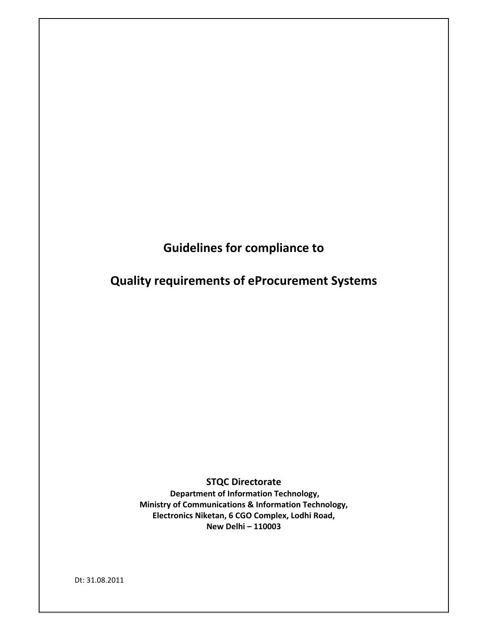**Guidelines for compliance to** 

**Quality requirements of eProcurement Systems**

**STQC Directorate Department of Information Technology, Ministry of Communications & Information Technology, Electronics Niketan, 6 CGO Complex, Lodhi Road, New Delhi – 110003**

Dt: 31.08.2011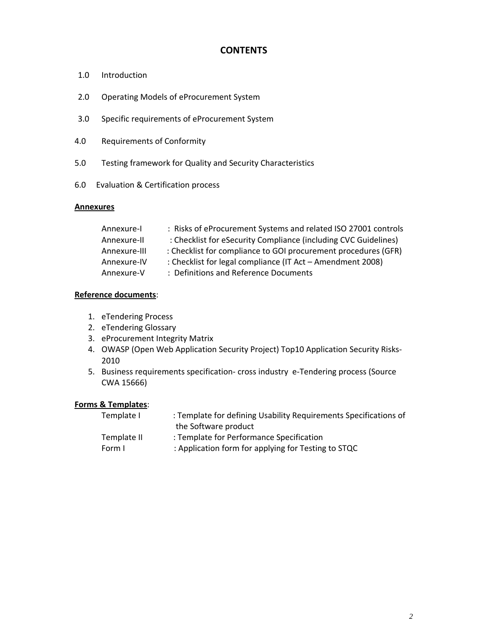# **CONTENTS**

- 1.0 Introduction
- 2.0 Operating Models of eProcurement System
- 3.0 Specific requirements of eProcurement System
- 4.0 Requirements of Conformity
- 5.0 Testing framework for Quality and Security Characteristics
- 6.0 Evaluation & Certification process

#### **Annexures**

| Annexure-I   | : Risks of eProcurement Systems and related ISO 27001 controls  |
|--------------|-----------------------------------------------------------------|
| Annexure-II  | : Checklist for eSecurity Compliance (including CVC Guidelines) |
| Annexure-III | : Checklist for compliance to GOI procurement procedures (GFR)  |
| Annexure-IV  | : Checklist for legal compliance (IT Act - Amendment 2008)      |
| Annexure-V   | : Definitions and Reference Documents                           |

## **Reference documents**:

- 1. eTendering Process
- 2. eTendering Glossary
- 3. eProcurement Integrity Matrix
- 4. OWASP (Open Web Application Security Project) Top10 Application Security Risks‐ 2010
- 5. Business requirements specification‐ cross industry e‐Tendering process (Source CWA 15666)

### **Forms & Templates**:

| Template I  | : Template for defining Usability Requirements Specifications of |
|-------------|------------------------------------------------------------------|
|             | the Software product                                             |
| Template II | : Template for Performance Specification                         |
| Form L      | : Application form for applying for Testing to STQC              |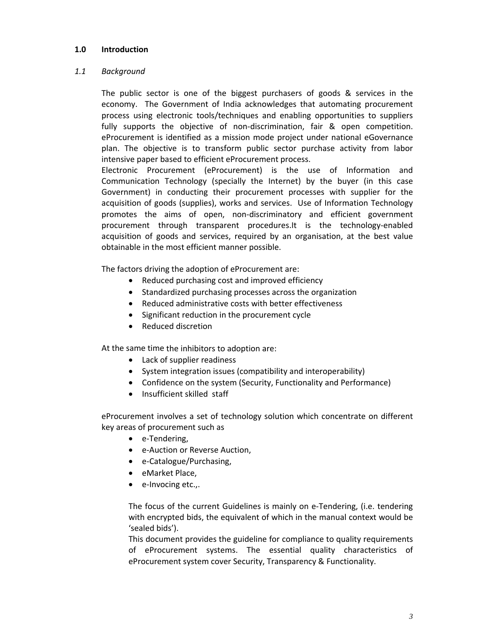### **1.0 Introduction**

## *1.1 Background*

The public sector is one of the biggest purchasers of goods & services in the economy. The Government of India acknowledges that automating procurement process using electronic tools/techniques and enabling opportunities to suppliers fully supports the objective of non-discrimination, fair & open competition. eProcurement is identified as a mission mode project under national eGovernance plan. The objective is to transform public sector purchase activity from labor intensive paper based to efficient eProcurement process.

Electronic Procurement (eProcurement) is the use of Information and Communication Technology (specially the Internet) by the buyer (in this case Government) in conducting their procurement processes with supplier for the acquisition of goods (supplies), works and services. Use of Information Technology promotes the aims of open, non‐discriminatory and efficient government procurement through transparent procedures.It is the technology-enabled acquisition of goods and services, required by an organisation, at the best value obtainable in the most efficient manner possible.

The factors driving the adoption of eProcurement are:

- Reduced purchasing cost and improved efficiency
- Standardized purchasing processes across the organization
- Reduced administrative costs with better effectiveness
- Significant reduction in the procurement cycle
- Reduced discretion

At the same time the inhibitors to adoption are:

- Lack of supplier readiness
- System integration issues (compatibility and interoperability)
- Confidence on the system (Security, Functionality and Performance)
- Insufficient skilled staff

eProcurement involves a set of technology solution which concentrate on different key areas of procurement such as

- e-Tendering,
- e-Auction or Reverse Auction,
- e-Catalogue/Purchasing,
- eMarket Place,
- e-Invocing etc.,.

The focus of the current Guidelines is mainly on e‐Tendering, (i.e. tendering with encrypted bids, the equivalent of which in the manual context would be 'sealed bids').

This document provides the guideline for compliance to quality requirements of eProcurement systems. The essential quality characteristics of eProcurement system cover Security, Transparency & Functionality.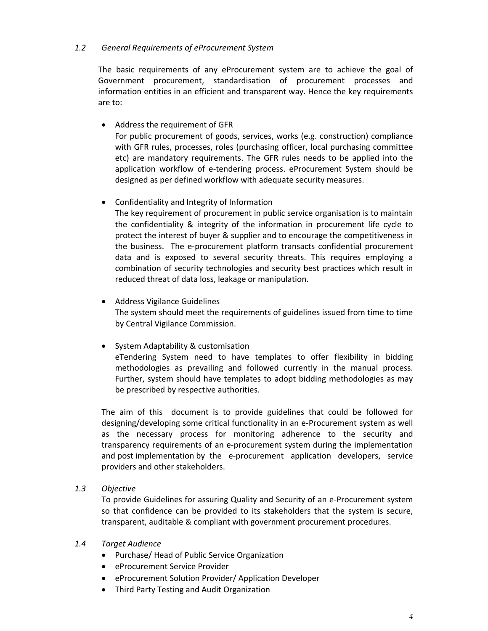## *1.2 General Requirements of eProcurement System*

The basic requirements of any eProcurement system are to achieve the goal of Government procurement, standardisation of procurement processes and information entities in an efficient and transparent way. Hence the key requirements are to:

• Address the requirement of GFR

For public procurement of goods, services, works (e.g. construction) compliance with GFR rules, processes, roles (purchasing officer, local purchasing committee etc) are mandatory requirements. The GFR rules needs to be applied into the application workflow of e‐tendering process. eProcurement System should be designed as per defined workflow with adequate security measures.

## Confidentiality and Integrity of Information

The key requirement of procurement in public service organisation is to maintain the confidentiality & integrity of the information in procurement life cycle to protect the interest of buyer & supplier and to encourage the competitiveness in the business. The e‐procurement platform transacts confidential procurement data and is exposed to several security threats. This requires employing a combination of security technologies and security best practices which result in reduced threat of data loss, leakage or manipulation.

- Address Vigilance Guidelines The system should meet the requirements of guidelines issued from time to time by Central Vigilance Commission.
- System Adaptability & customisation eTendering System need to have templates to offer flexibility in bidding methodologies as prevailing and followed currently in the manual process. Further, system should have templates to adopt bidding methodologies as may be prescribed by respective authorities.

The aim of this document is to provide guidelines that could be followed for designing/developing some critical functionality in an e‐Procurement system as well as the necessary process for monitoring adherence to the security and transparency requirements of an e‐procurement system during the implementation and post implementation by the e-procurement application developers, service providers and other stakeholders.

*1.3 Objective*

To provide Guidelines for assuring Quality and Security of an e‐Procurement system so that confidence can be provided to its stakeholders that the system is secure, transparent, auditable & compliant with government procurement procedures.

- *1.4 Target Audience*
	- Purchase/ Head of Public Service Organization
	- eProcurement Service Provider
	- **•** eProcurement Solution Provider/ Application Developer
	- Third Party Testing and Audit Organization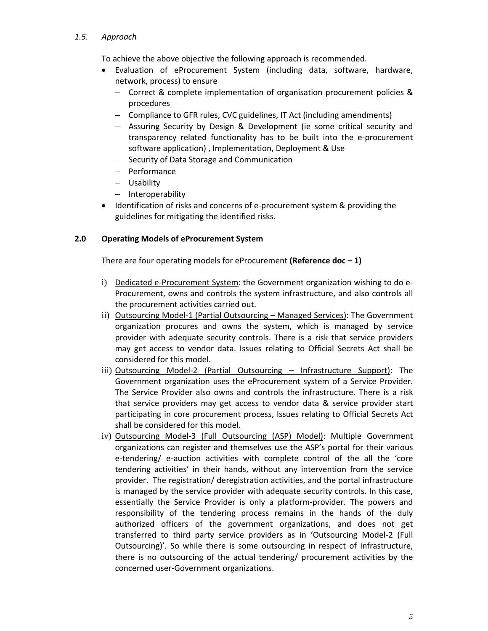## *1.5. Approach*

To achieve the above objective the following approach is recommended.

- Evaluation of eProcurement System (including data, software, hardware, network, process) to ensure
	- Correct & complete implementation of organisation procurement policies & procedures
	- Compliance to GFR rules, CVC guidelines, IT Act (including amendments)
	- Assuring Security by Design & Development (ie some critical security and transparency related functionality has to be built into the e‐procurement software application) , Implementation, Deployment & Use
	- Security of Data Storage and Communication
	- Performance
	- Usability
	- Interoperability
- Identification of risks and concerns of e-procurement system & providing the guidelines for mitigating the identified risks.

## **2.0 Operating Models of eProcurement System**

There are four operating models for eProcurement **(Reference doc – 1)**

- i) Dedicated e‐Procurement System: the Government organization wishing to do e‐ Procurement, owns and controls the system infrastructure, and also controls all the procurement activities carried out.
- ii) Outsourcing Model-1 (Partial Outsourcing Managed Services): The Government organization procures and owns the system, which is managed by service provider with adequate security controls. There is a risk that service providers may get access to vendor data. Issues relating to Official Secrets Act shall be considered for this model.
- iii) Outsourcing Model-2 (Partial Outsourcing Infrastructure Support): The Government organization uses the eProcurement system of a Service Provider. The Service Provider also owns and controls the infrastructure. There is a risk that service providers may get access to vendor data & service provider start participating in core procurement process, Issues relating to Official Secrets Act shall be considered for this model.
- iv) Outsourcing Model-3 (Full Outsourcing (ASP) Model): Multiple Government organizations can register and themselves use the ASP's portal for their various e-tendering/ e-auction activities with complete control of the all the 'core tendering activities' in their hands, without any intervention from the service provider. The registration/ deregistration activities, and the portal infrastructure is managed by the service provider with adequate security controls. In this case, essentially the Service Provider is only a platform‐provider. The powers and responsibility of the tendering process remains in the hands of the duly authorized officers of the government organizations, and does not get transferred to third party service providers as in 'Outsourcing Model‐2 (Full Outsourcing)'. So while there is some outsourcing in respect of infrastructure, there is no outsourcing of the actual tendering/ procurement activities by the concerned user‐Government organizations.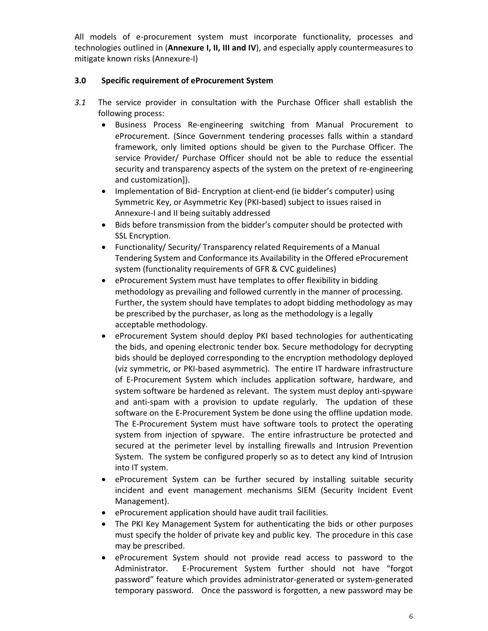All models of e‐procurement system must incorporate functionality, processes and technologies outlined in (**Annexure I, II, III and IV**), and especially apply countermeasures to mitigate known risks (Annexure‐I)

## **3.0 Specific requirement of eProcurement System**

- *3.1* The service provider in consultation with the Purchase Officer shall establish the following process:
	- Business Process Re‐engineering switching from Manual Procurement to eProcurement. (Since Government tendering processes falls within a standard framework, only limited options should be given to the Purchase Officer. The service Provider/ Purchase Officer should not be able to reduce the essential security and transparency aspects of the system on the pretext of re-engineering and customization]).
	- Implementation of Bid-Encryption at client-end (ie bidder's computer) using Symmetric Key, or Asymmetric Key (PKI‐based) subject to issues raised in Annexure‐I and II being suitably addressed
	- Bids before transmission from the bidder's computer should be protected with SSL Encryption.
	- Functionality/ Security/ Transparency related Requirements of a Manual Tendering System and Conformance its Availability in the Offered eProcurement system (functionality requirements of GFR & CVC guidelines)
	- eProcurement System must have templates to offer flexibility in bidding methodology as prevailing and followed currently in the manner of processing. Further, the system should have templates to adopt bidding methodology as may be prescribed by the purchaser, as long as the methodology is a legally acceptable methodology.
	- eProcurement System should deploy PKI based technologies for authenticating the bids, and opening electronic tender box. Secure methodology for decrypting bids should be deployed corresponding to the encryption methodology deployed (viz symmetric, or PKI‐based asymmetric). The entire IT hardware infrastructure of E‐Procurement System which includes application software, hardware, and system software be hardened as relevant. The system must deploy anti‐spyware and anti-spam with a provision to update regularly. The updation of these software on the E‐Procurement System be done using the offline updation mode. The E‐Procurement System must have software tools to protect the operating system from injection of spyware. The entire infrastructure be protected and secured at the perimeter level by installing firewalls and Intrusion Prevention System. The system be configured properly so as to detect any kind of Intrusion into IT system.
	- eProcurement System can be further secured by installing suitable security incident and event management mechanisms SIEM (Security Incident Event Management).
	- eProcurement application should have audit trail facilities.
	- The PKI Key Management System for authenticating the bids or other purposes must specify the holder of private key and public key. The procedure in this case may be prescribed.
	- eProcurement System should not provide read access to password to the Administrator. E‐Procurement System further should not have "forgot password" feature which provides administrator‐generated or system‐generated temporary password. Once the password is forgotten, a new password may be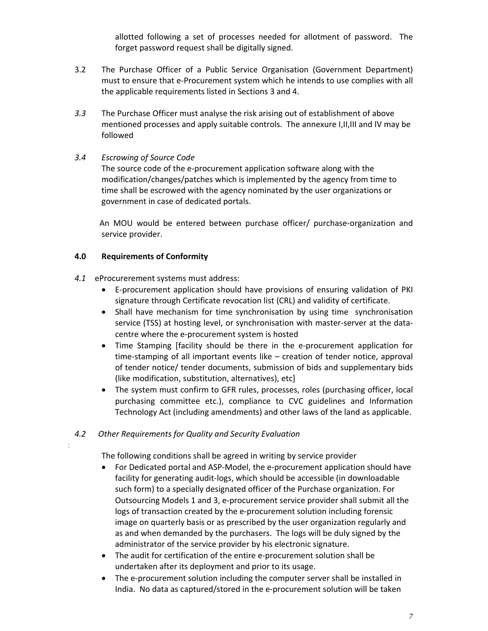allotted following a set of processes needed for allotment of password. The forget password request shall be digitally signed.

- 3.2 The Purchase Officer of a Public Service Organisation (Government Department) must to ensure that e‐Procurement system which he intends to use complies with all the applicable requirements listed in Sections 3 and 4.
- *3.3* The Purchase Officer must analyse the risk arising out of establishment of above mentioned processes and apply suitable controls. The annexure I,II,III and IV may be followed

## *3.4 Escrowing of Source Code*

The source code of the e-procurement application software along with the modification/changes/patches which is implemented by the agency from time to time shall be escrowed with the agency nominated by the user organizations or government in case of dedicated portals.

 An MOU would be entered between purchase officer/ purchase‐organization and service provider.

## **4.0 Requirements of Conformity**

- *4.1* eProcurerement systems must address:
	- E‐procurement application should have provisions of ensuring validation of PKI signature through Certificate revocation list (CRL) and validity of certificate.
	- Shall have mechanism for time synchronisation by using time synchronisation service (TSS) at hosting level, or synchronisation with master-server at the datacentre where the e‐procurement system is hosted
	- Time Stamping [facility should be there in the e-procurement application for time-stamping of all important events like – creation of tender notice, approval of tender notice/ tender documents, submission of bids and supplementary bids (like modification, substitution, alternatives), etc]
	- The system must confirm to GFR rules, processes, roles (purchasing officer, local purchasing committee etc.), compliance to CVC guidelines and Information Technology Act (including amendments) and other laws of the land as applicable.

## *4.2 Other Requirements for Quality and Security Evaluation*

:

The following conditions shall be agreed in writing by service provider

- For Dedicated portal and ASP‐Model, the e‐procurement application should have facility for generating audit-logs, which should be accessible (in downloadable such form) to a specially designated officer of the Purchase organization. For Outsourcing Models 1 and 3, e‐procurement service provider shall submit all the logs of transaction created by the e‐procurement solution including forensic image on quarterly basis or as prescribed by the user organization regularly and as and when demanded by the purchasers. The logs will be duly signed by the administrator of the service provider by his electronic signature.
- The audit for certification of the entire e-procurement solution shall be undertaken after its deployment and prior to its usage.
- The e-procurement solution including the computer server shall be installed in India. No data as captured/stored in the e‐procurement solution will be taken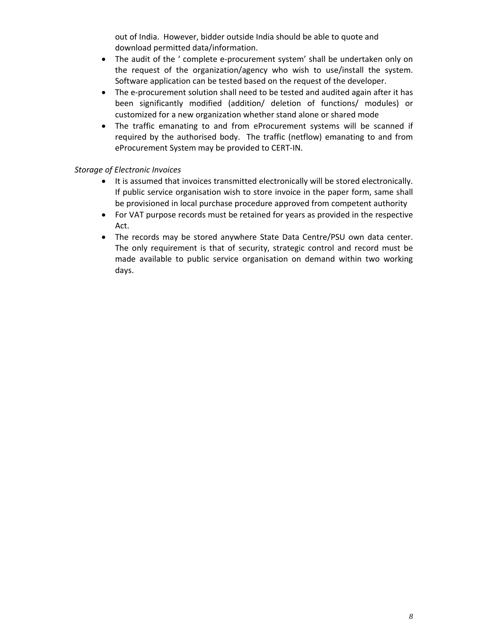out of India. However, bidder outside India should be able to quote and download permitted data/information.

- The audit of the ' complete e-procurement system' shall be undertaken only on the request of the organization/agency who wish to use/install the system. Software application can be tested based on the request of the developer.
- The e-procurement solution shall need to be tested and audited again after it has been significantly modified (addition/ deletion of functions/ modules) or customized for a new organization whether stand alone or shared mode
- The traffic emanating to and from eProcurement systems will be scanned if required by the authorised body. The traffic (netflow) emanating to and from eProcurement System may be provided to CERT‐IN.

## *Storage of Electronic Invoices*

- It is assumed that invoices transmitted electronically will be stored electronically. If public service organisation wish to store invoice in the paper form, same shall be provisioned in local purchase procedure approved from competent authority
- For VAT purpose records must be retained for years as provided in the respective Act.
- The records may be stored anywhere State Data Centre/PSU own data center. The only requirement is that of security, strategic control and record must be made available to public service organisation on demand within two working days.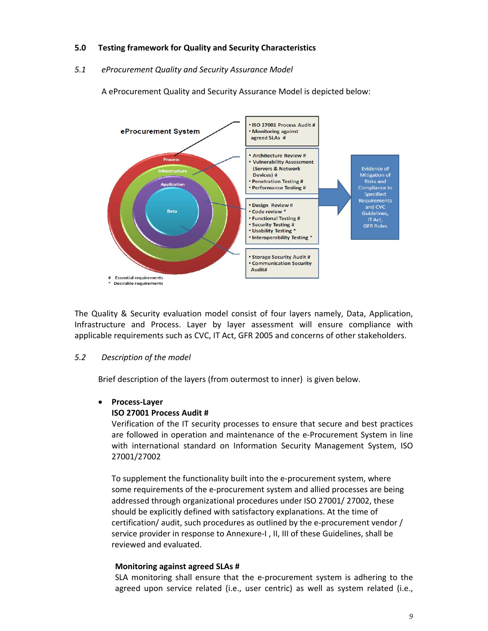## **5.0 Testing framework for Quality and Security Characteristics**

#### *5.1 eProcurement Quality and Security Assurance Model*

A eProcurement Quality and Security Assurance Model is depicted below:



The Quality & Security evaluation model consist of four layers namely, Data, Application, Infrastructure and Process. Layer by layer assessment will ensure compliance with applicable requirements such as CVC, IT Act, GFR 2005 and concerns of other stakeholders.

### *5.2 Description of the model*

Brief description of the layers (from outermost to inner) is given below.

### **Process‐Layer**

### **ISO 27001 Process Audit #**

Verification of the IT security processes to ensure that secure and best practices are followed in operation and maintenance of the e‐Procurement System in line with international standard on Information Security Management System, ISO 27001/27002

To supplement the functionality built into the e-procurement system, where some requirements of the e-procurement system and allied processes are being addressed through organizational procedures under ISO 27001/ 27002, these should be explicitly defined with satisfactory explanations. At the time of certification/ audit, such procedures as outlined by the e‐procurement vendor / service provider in response to Annexure-I, II, III of these Guidelines, shall be reviewed and evaluated.

#### **Monitoring against agreed SLAs #**

SLA monitoring shall ensure that the e‐procurement system is adhering to the agreed upon service related (i.e., user centric) as well as system related (i.e.,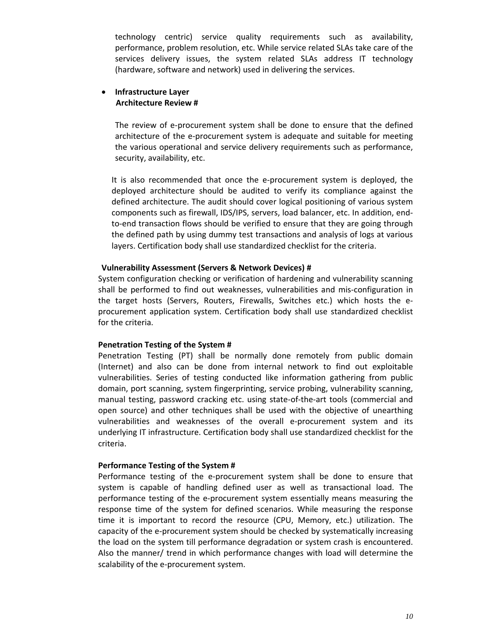technology centric) service quality requirements such as availability, performance, problem resolution, etc. While service related SLAs take care of the services delivery issues, the system related SLAs address IT technology (hardware, software and network) used in delivering the services.

## **Infrastructure Layer Architecture Review #**

The review of e-procurement system shall be done to ensure that the defined architecture of the e‐procurement system is adequate and suitable for meeting the various operational and service delivery requirements such as performance, security, availability, etc.

It is also recommended that once the e‐procurement system is deployed, the deployed architecture should be audited to verify its compliance against the defined architecture. The audit should cover logical positioning of various system components such as firewall, IDS/IPS, servers, load balancer, etc. In addition, end‐ to-end transaction flows should be verified to ensure that they are going through the defined path by using dummy test transactions and analysis of logs at various layers. Certification body shall use standardized checklist for the criteria.

### **Vulnerability Assessment (Servers & Network Devices) #**

System configuration checking or verification of hardening and vulnerability scanning shall be performed to find out weaknesses, vulnerabilities and mis-configuration in the target hosts (Servers, Routers, Firewalls, Switches etc.) which hosts the e‐ procurement application system. Certification body shall use standardized checklist for the criteria.

#### **Penetration Testing of the System #**

Penetration Testing (PT) shall be normally done remotely from public domain (Internet) and also can be done from internal network to find out exploitable vulnerabilities. Series of testing conducted like information gathering from public domain, port scanning, system fingerprinting, service probing, vulnerability scanning, manual testing, password cracking etc. using state‐of‐the‐art tools (commercial and open source) and other techniques shall be used with the objective of unearthing vulnerabilities and weaknesses of the overall e‐procurement system and its underlying IT infrastructure. Certification body shall use standardized checklist for the criteria.

#### **Performance Testing of the System #**

Performance testing of the e-procurement system shall be done to ensure that system is capable of handling defined user as well as transactional load. The performance testing of the e‐procurement system essentially means measuring the response time of the system for defined scenarios. While measuring the response time it is important to record the resource (CPU, Memory, etc.) utilization. The capacity of the e‐procurement system should be checked by systematically increasing the load on the system till performance degradation or system crash is encountered. Also the manner/ trend in which performance changes with load will determine the scalability of the e‐procurement system.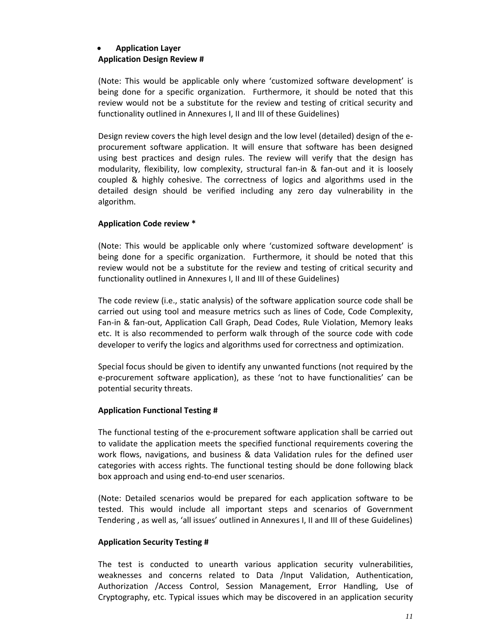# **Application Layer**

### **Application Design Review #**

(Note: This would be applicable only where 'customized software development' is being done for a specific organization. Furthermore, it should be noted that this review would not be a substitute for the review and testing of critical security and functionality outlined in Annexures I, II and III of these Guidelines)

Design review covers the high level design and the low level (detailed) design of the e‐ procurement software application. It will ensure that software has been designed using best practices and design rules. The review will verify that the design has modularity, flexibility, low complexity, structural fan-in & fan-out and it is loosely coupled & highly cohesive. The correctness of logics and algorithms used in the detailed design should be verified including any zero day vulnerability in the algorithm.

## **Application Code review \***

(Note: This would be applicable only where 'customized software development' is being done for a specific organization. Furthermore, it should be noted that this review would not be a substitute for the review and testing of critical security and functionality outlined in Annexures I, II and III of these Guidelines)

The code review (i.e., static analysis) of the software application source code shall be carried out using tool and measure metrics such as lines of Code, Code Complexity, Fan-in & fan-out, Application Call Graph, Dead Codes, Rule Violation, Memory leaks etc. It is also recommended to perform walk through of the source code with code developer to verify the logics and algorithms used for correctness and optimization.

Special focus should be given to identify any unwanted functions (not required by the e‐procurement software application), as these 'not to have functionalities' can be potential security threats.

### **Application Functional Testing #**

The functional testing of the e-procurement software application shall be carried out to validate the application meets the specified functional requirements covering the work flows, navigations, and business & data Validation rules for the defined user categories with access rights. The functional testing should be done following black box approach and using end‐to‐end user scenarios.

(Note: Detailed scenarios would be prepared for each application software to be tested. This would include all important steps and scenarios of Government Tendering , as well as, 'all issues' outlined in Annexures I, II and III of these Guidelines)

### **Application Security Testing #**

The test is conducted to unearth various application security vulnerabilities, weaknesses and concerns related to Data /Input Validation, Authentication, Authorization /Access Control, Session Management, Error Handling, Use of Cryptography, etc. Typical issues which may be discovered in an application security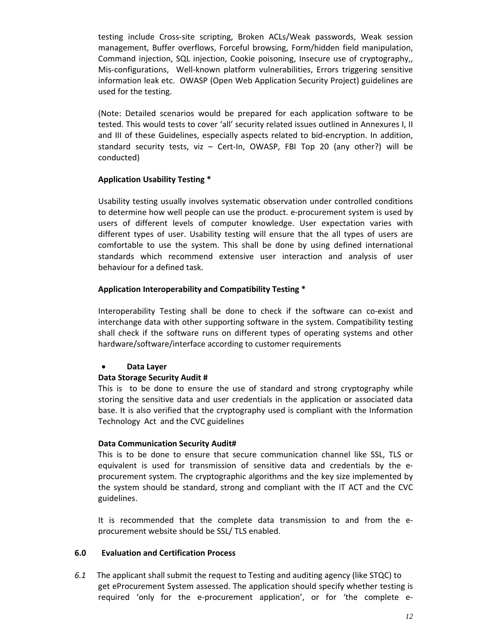testing include Cross‐site scripting, Broken ACLs/Weak passwords, Weak session management, Buffer overflows, Forceful browsing, Form/hidden field manipulation, Command injection, SQL injection, Cookie poisoning, Insecure use of cryptography,, Mis‐configurations, Well‐known platform vulnerabilities, Errors triggering sensitive information leak etc. OWASP (Open Web Application Security Project) guidelines are used for the testing.

(Note: Detailed scenarios would be prepared for each application software to be tested. This would tests to cover 'all' security related issues outlined in Annexures I, II and III of these Guidelines, especially aspects related to bid-encryption. In addition, standard security tests, viz – Cert-In, OWASP, FBI Top 20 (any other?) will be conducted)

### **Application Usability Testing \***

Usability testing usually involves systematic observation under controlled conditions to determine how well people can use the product. e‐procurement system is used by users of different levels of computer knowledge. User expectation varies with different types of user. Usability testing will ensure that the all types of users are comfortable to use the system. This shall be done by using defined international standards which recommend extensive user interaction and analysis of user behaviour for a defined task.

### **Application Interoperability and Compatibility Testing \***

Interoperability Testing shall be done to check if the software can co‐exist and interchange data with other supporting software in the system. Compatibility testing shall check if the software runs on different types of operating systems and other hardware/software/interface according to customer requirements

### **Data Layer**

### **Data Storage Security Audit #**

This is to be done to ensure the use of standard and strong cryptography while storing the sensitive data and user credentials in the application or associated data base. It is also verified that the cryptography used is compliant with the Information Technology Act and the CVC guidelines

### **Data Communication Security Audit#**

This is to be done to ensure that secure communication channel like SSL, TLS or equivalent is used for transmission of sensitive data and credentials by the e‐ procurement system. The cryptographic algorithms and the key size implemented by the system should be standard, strong and compliant with the IT ACT and the CVC guidelines.

It is recommended that the complete data transmission to and from the e‐ procurement website should be SSL/ TLS enabled.

### **6.0 Evaluation and Certification Process**

*6.1* The applicant shall submit the request to Testing and auditing agency (like STQC) to get eProcurement System assessed. The application should specify whether testing is required 'only for the e-procurement application', or for 'the complete e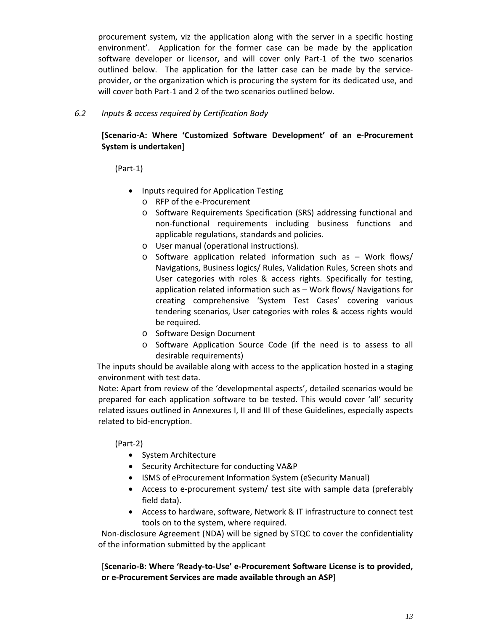procurement system, viz the application along with the server in a specific hosting environment'. Application for the former case can be made by the application software developer or licensor, and will cover only Part‐1 of the two scenarios outlined below. The application for the latter case can be made by the serviceprovider, or the organization which is procuring the system for its dedicated use, and will cover both Part-1 and 2 of the two scenarios outlined below.

## *6.2 Inputs & access required by Certification Body*

## **[Scenario‐A: Where 'Customized Software Development' of an e‐Procurement System is undertaken**]

(Part‐1)

- Inputs required for Application Testing
	- o RFP of the e‐Procurement
	- o Software Requirements Specification (SRS) addressing functional and non‐functional requirements including business functions and applicable regulations, standards and policies.
	- o User manual (operational instructions).
	- o Software application related information such as Work flows/ Navigations, Business logics/ Rules, Validation Rules, Screen shots and User categories with roles & access rights. Specifically for testing, application related information such as – Work flows/ Navigations for creating comprehensive 'System Test Cases' covering various tendering scenarios, User categories with roles & access rights would be required.
	- o Software Design Document
	- o Software Application Source Code (if the need is to assess to all desirable requirements)

The inputs should be available along with access to the application hosted in a staging environment with test data.

Note: Apart from review of the 'developmental aspects', detailed scenarios would be prepared for each application software to be tested. This would cover 'all' security related issues outlined in Annexures I, II and III of these Guidelines, especially aspects related to bid‐encryption.

(Part‐2)

- System Architecture
- Security Architecture for conducting VA&P
- ISMS of eProcurement Information System (eSecurity Manual)
- Access to e-procurement system/ test site with sample data (preferably field data).
- Access to hardware, software, Network & IT infrastructure to connect test tools on to the system, where required.

Non-disclosure Agreement (NDA) will be signed by STQC to cover the confidentiality of the information submitted by the applicant

[**Scenario‐B: Where 'Ready‐to‐Use' e‐Procurement Software License is to provided, or e‐Procurement Services are made available through an ASP**]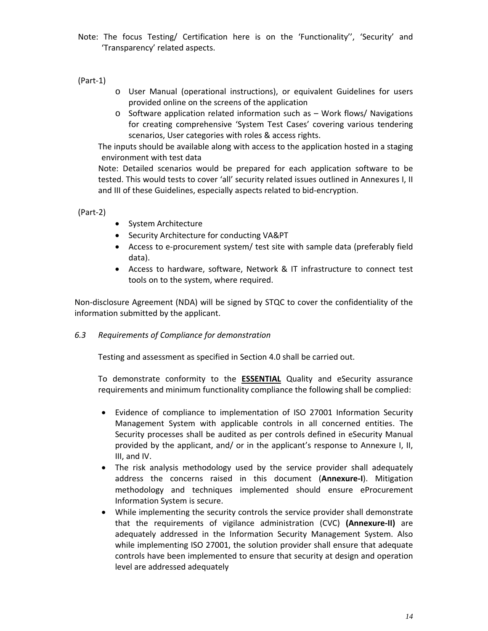Note: The focus Testing/ Certification here is on the 'Functionality'', 'Security' and 'Transparency' related aspects.

(Part‐1)

- o User Manual (operational instructions), or equivalent Guidelines for users provided online on the screens of the application
- o Software application related information such as Work flows/ Navigations for creating comprehensive 'System Test Cases' covering various tendering scenarios, User categories with roles & access rights.

The inputs should be available along with access to the application hosted in a staging environment with test data

Note: Detailed scenarios would be prepared for each application software to be tested. This would tests to cover 'all' security related issues outlined in Annexures I, II and III of these Guidelines, especially aspects related to bid‐encryption.

(Part‐2)

- System Architecture
- Security Architecture for conducting VA&PT
- Access to e-procurement system/ test site with sample data (preferably field data).
- Access to hardware, software, Network & IT infrastructure to connect test tools on to the system, where required.

Non‐disclosure Agreement (NDA) will be signed by STQC to cover the confidentiality of the information submitted by the applicant.

## *6.3 Requirements of Compliance for demonstration*

Testing and assessment as specified in Section 4.0 shall be carried out.

To demonstrate conformity to the **ESSENTIAL** Quality and eSecurity assurance requirements and minimum functionality compliance the following shall be complied:

- Evidence of compliance to implementation of ISO 27001 Information Security Management System with applicable controls in all concerned entities. The Security processes shall be audited as per controls defined in eSecurity Manual provided by the applicant, and/ or in the applicant's response to Annexure I, II, III, and IV.
- The risk analysis methodology used by the service provider shall adequately address the concerns raised in this document (**Annexure‐I**). Mitigation methodology and techniques implemented should ensure eProcurement Information System is secure.
- While implementing the security controls the service provider shall demonstrate that the requirements of vigilance administration (CVC) **(Annexure‐II)** are adequately addressed in the Information Security Management System. Also while implementing ISO 27001, the solution provider shall ensure that adequate controls have been implemented to ensure that security at design and operation level are addressed adequately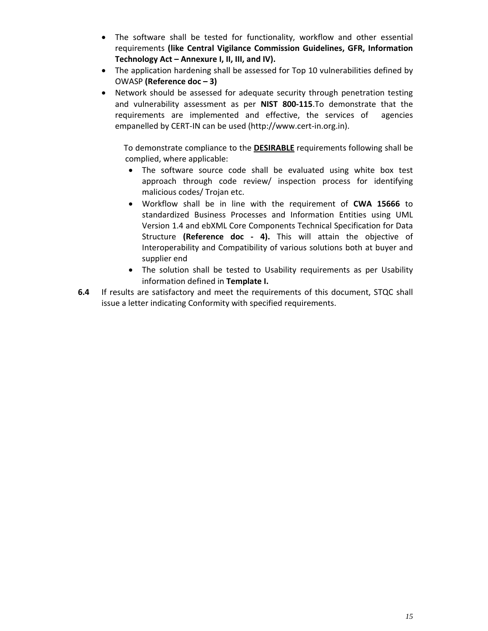- The software shall be tested for functionality, workflow and other essential requirements **(like Central Vigilance Commission Guidelines, GFR, Information Technology Act – Annexure I, II, III, and IV).**
- The application hardening shall be assessed for Top 10 vulnerabilities defined by OWASP **(Reference doc – 3)**
- Network should be assessed for adequate security through penetration testing and vulnerability assessment as per **NIST 800‐115**.To demonstrate that the requirements are implemented and effective, the services of agencies empanelled by CERT‐IN can be used (http://www.cert‐in.org.in).

To demonstrate compliance to the **DESIRABLE** requirements following shall be complied, where applicable:

- The software source code shall be evaluated using white box test approach through code review/ inspection process for identifying malicious codes/ Trojan etc.
- Workflow shall be in line with the requirement of **CWA 15666** to standardized Business Processes and Information Entities using UML Version 1.4 and ebXML Core Components Technical Specification for Data Structure **(Reference doc ‐ 4).** This will attain the objective of Interoperability and Compatibility of various solutions both at buyer and supplier end
- The solution shall be tested to Usability requirements as per Usability information defined in **Template I.**
- **6.4**  If results are satisfactory and meet the requirements of this document, STQC shall issue a letter indicating Conformity with specified requirements.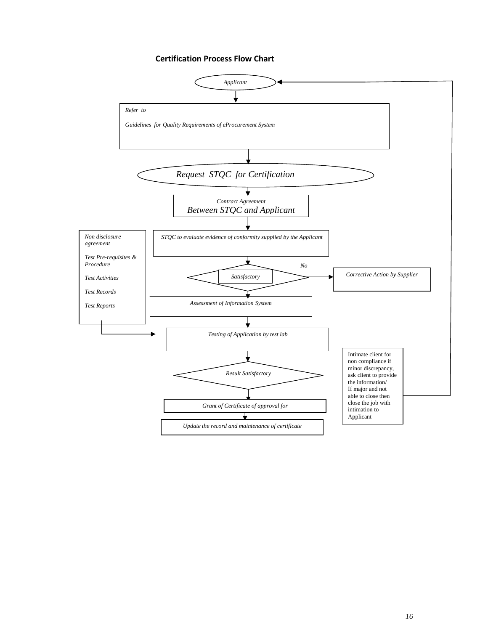#### **Certification Process Flow Chart**

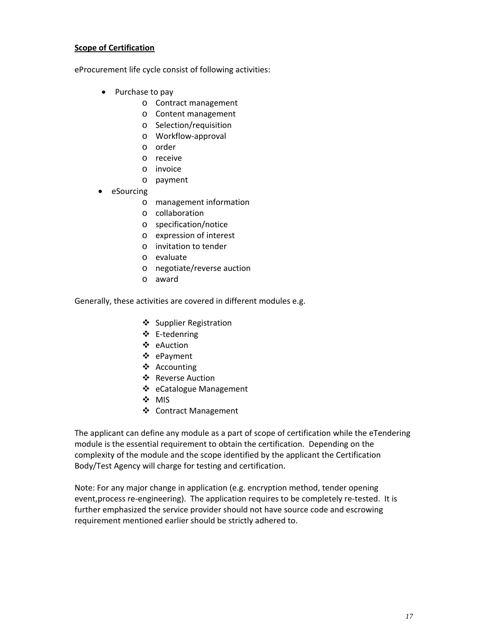### **Scope of Certification**

eProcurement life cycle consist of following activities:

- Purchase to pay
	- o Contract management
	- o Content management
	- o Selection/requisition
	- o Workflow‐approval
	- o order
	- o receive
	- o invoice
	- o payment
- eSourcing
	- o management information
	- o collaboration
	- o specification/notice
	- o expression of interest
	- o invitation to tender
	- o evaluate
	- o negotiate/reverse auction
	- o award

Generally, these activities are covered in different modules e.g.

- ❖ Supplier Registration
- E‐tedenring
- eAuction
- ePayment
- ❖ Accounting
- ❖ Reverse Auction
- ❖ eCatalogue Management
- ❖ MIS
- Contract Management

The applicant can define any module as a part of scope of certification while the eTendering module is the essential requirement to obtain the certification. Depending on the complexity of the module and the scope identified by the applicant the Certification Body/Test Agency will charge for testing and certification.

Note: For any major change in application (e.g. encryption method, tender opening event, process re-engineering). The application requires to be completely re-tested. It is further emphasized the service provider should not have source code and escrowing requirement mentioned earlier should be strictly adhered to.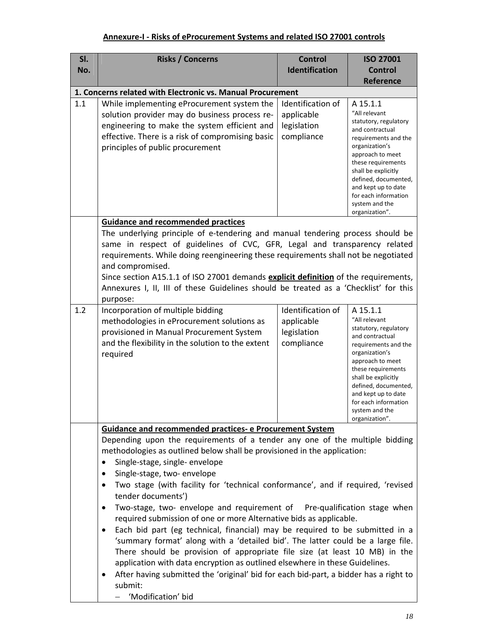# **Annexure‐I ‐ Risks of eProcurement Systems and related ISO 27001 controls**

| SI. | <b>Risks / Concerns</b>                                                                                                                                                                                                                                                                                                                   | <b>Control</b>                                               | <b>ISO 27001</b>                                                                                                                                                                                                                                                                            |
|-----|-------------------------------------------------------------------------------------------------------------------------------------------------------------------------------------------------------------------------------------------------------------------------------------------------------------------------------------------|--------------------------------------------------------------|---------------------------------------------------------------------------------------------------------------------------------------------------------------------------------------------------------------------------------------------------------------------------------------------|
| No. |                                                                                                                                                                                                                                                                                                                                           | <b>Identification</b>                                        | <b>Control</b>                                                                                                                                                                                                                                                                              |
|     |                                                                                                                                                                                                                                                                                                                                           |                                                              | <b>Reference</b>                                                                                                                                                                                                                                                                            |
|     | 1. Concerns related with Electronic vs. Manual Procurement                                                                                                                                                                                                                                                                                |                                                              |                                                                                                                                                                                                                                                                                             |
| 1.1 | While implementing eProcurement system the<br>solution provider may do business process re-<br>engineering to make the system efficient and<br>effective. There is a risk of compromising basic<br>principles of public procurement                                                                                                       | Identification of<br>applicable<br>legislation<br>compliance | A 15.1.1<br>"All relevant<br>statutory, regulatory<br>and contractual<br>requirements and the<br>organization's<br>approach to meet<br>these requirements<br>shall be explicitly<br>defined, documented,<br>and kept up to date<br>for each information<br>system and the<br>organization". |
|     | <b>Guidance and recommended practices</b>                                                                                                                                                                                                                                                                                                 |                                                              |                                                                                                                                                                                                                                                                                             |
|     | The underlying principle of e-tendering and manual tendering process should be                                                                                                                                                                                                                                                            |                                                              |                                                                                                                                                                                                                                                                                             |
|     | same in respect of guidelines of CVC, GFR, Legal and transparency related<br>requirements. While doing reengineering these requirements shall not be negotiated                                                                                                                                                                           |                                                              |                                                                                                                                                                                                                                                                                             |
|     | and compromised.                                                                                                                                                                                                                                                                                                                          |                                                              |                                                                                                                                                                                                                                                                                             |
|     | Since section A15.1.1 of ISO 27001 demands explicit definition of the requirements,                                                                                                                                                                                                                                                       |                                                              |                                                                                                                                                                                                                                                                                             |
|     | Annexures I, II, III of these Guidelines should be treated as a 'Checklist' for this<br>purpose:                                                                                                                                                                                                                                          |                                                              |                                                                                                                                                                                                                                                                                             |
| 1.2 | Incorporation of multiple bidding                                                                                                                                                                                                                                                                                                         | Identification of                                            | A 15.1.1                                                                                                                                                                                                                                                                                    |
|     | methodologies in eProcurement solutions as<br>provisioned in Manual Procurement System<br>and the flexibility in the solution to the extent<br>required                                                                                                                                                                                   | applicable<br>legislation<br>compliance                      | "All relevant<br>statutory, regulatory<br>and contractual<br>requirements and the<br>organization's<br>approach to meet<br>these requirements<br>shall be explicitly<br>defined, documented,<br>and kept up to date<br>for each information<br>system and the<br>organization".             |
|     | Guidance and recommended practices- e Procurement System                                                                                                                                                                                                                                                                                  |                                                              |                                                                                                                                                                                                                                                                                             |
|     | Depending upon the requirements of a tender any one of the multiple bidding<br>methodologies as outlined below shall be provisioned in the application:<br>Single-stage, single-envelope<br>٠<br>Single-stage, two- envelope<br>٠                                                                                                         |                                                              |                                                                                                                                                                                                                                                                                             |
|     | Two stage (with facility for 'technical conformance', and if required, 'revised<br>tender documents')                                                                                                                                                                                                                                     |                                                              |                                                                                                                                                                                                                                                                                             |
|     | Two-stage, two- envelope and requirement of Pre-qualification stage when<br>required submission of one or more Alternative bids as applicable.                                                                                                                                                                                            |                                                              |                                                                                                                                                                                                                                                                                             |
|     | Each bid part (eg technical, financial) may be required to be submitted in a<br>$\bullet$<br>'summary format' along with a 'detailed bid'. The latter could be a large file.<br>There should be provision of appropriate file size (at least 10 MB) in the<br>application with data encryption as outlined elsewhere in these Guidelines. |                                                              |                                                                                                                                                                                                                                                                                             |
|     | After having submitted the 'original' bid for each bid-part, a bidder has a right to<br>submit:<br>'Modification' bid                                                                                                                                                                                                                     |                                                              |                                                                                                                                                                                                                                                                                             |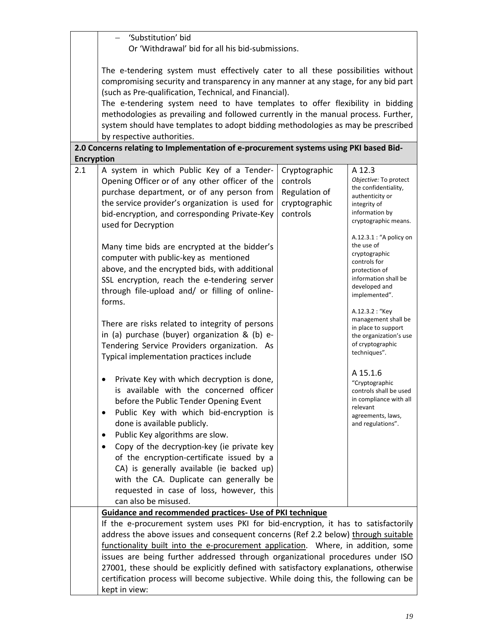|                                                                                                                                                                                                                                                                                                                                                                                                                                                                                                                                              | 'Substitution' bid<br>Or 'Withdrawal' bid for all his bid-submissions.                                                                                                                                                                                                                                                                                                                                                                                                                                                     |                                                        |                                                                                                                                                       |
|----------------------------------------------------------------------------------------------------------------------------------------------------------------------------------------------------------------------------------------------------------------------------------------------------------------------------------------------------------------------------------------------------------------------------------------------------------------------------------------------------------------------------------------------|----------------------------------------------------------------------------------------------------------------------------------------------------------------------------------------------------------------------------------------------------------------------------------------------------------------------------------------------------------------------------------------------------------------------------------------------------------------------------------------------------------------------------|--------------------------------------------------------|-------------------------------------------------------------------------------------------------------------------------------------------------------|
|                                                                                                                                                                                                                                                                                                                                                                                                                                                                                                                                              | The e-tendering system must effectively cater to all these possibilities without<br>compromising security and transparency in any manner at any stage, for any bid part<br>(such as Pre-qualification, Technical, and Financial).<br>The e-tendering system need to have templates to offer flexibility in bidding<br>methodologies as prevailing and followed currently in the manual process. Further,<br>system should have templates to adopt bidding methodologies as may be prescribed<br>by respective authorities. |                                                        |                                                                                                                                                       |
|                                                                                                                                                                                                                                                                                                                                                                                                                                                                                                                                              | 2.0 Concerns relating to Implementation of e-procurement systems using PKI based Bid-                                                                                                                                                                                                                                                                                                                                                                                                                                      |                                                        |                                                                                                                                                       |
| <b>Encryption</b><br>2.1                                                                                                                                                                                                                                                                                                                                                                                                                                                                                                                     | A system in which Public Key of a Tender-                                                                                                                                                                                                                                                                                                                                                                                                                                                                                  | Cryptographic                                          | A 12.3                                                                                                                                                |
|                                                                                                                                                                                                                                                                                                                                                                                                                                                                                                                                              | Opening Officer or of any other officer of the<br>purchase department, or of any person from<br>the service provider's organization is used for<br>bid-encryption, and corresponding Private-Key<br>used for Decryption                                                                                                                                                                                                                                                                                                    | controls<br>Regulation of<br>cryptographic<br>controls | Objective: To protect<br>the confidentiality,<br>authenticity or<br>integrity of<br>information by<br>cryptographic means.<br>A.12.3.1 : "A policy on |
|                                                                                                                                                                                                                                                                                                                                                                                                                                                                                                                                              | Many time bids are encrypted at the bidder's<br>computer with public-key as mentioned<br>above, and the encrypted bids, with additional<br>SSL encryption, reach the e-tendering server<br>through file-upload and/ or filling of online-<br>forms.                                                                                                                                                                                                                                                                        |                                                        | the use of<br>cryptographic<br>controls for<br>protection of<br>information shall be<br>developed and<br>implemented".                                |
|                                                                                                                                                                                                                                                                                                                                                                                                                                                                                                                                              | There are risks related to integrity of persons<br>in (a) purchase (buyer) organization & (b) e-<br>Tendering Service Providers organization. As<br>Typical implementation practices include                                                                                                                                                                                                                                                                                                                               |                                                        | A.12.3.2 : "Key<br>management shall be<br>in place to support<br>the organization's use<br>of cryptographic<br>techniques".                           |
|                                                                                                                                                                                                                                                                                                                                                                                                                                                                                                                                              | Private Key with which decryption is done,<br>is available with the concerned officer<br>before the Public Tender Opening Event<br>Public Key with which bid-encryption is<br>٠<br>done is available publicly.<br>Public Key algorithms are slow.<br>Copy of the decryption-key (ie private key<br>of the encryption-certificate issued by a                                                                                                                                                                               |                                                        | A 15.1.6<br>"Cryptographic<br>controls shall be used<br>in compliance with all<br>relevant<br>agreements, laws,<br>and regulations".                  |
|                                                                                                                                                                                                                                                                                                                                                                                                                                                                                                                                              | CA) is generally available (ie backed up)<br>with the CA. Duplicate can generally be<br>requested in case of loss, however, this<br>can also be misused.                                                                                                                                                                                                                                                                                                                                                                   |                                                        |                                                                                                                                                       |
|                                                                                                                                                                                                                                                                                                                                                                                                                                                                                                                                              | Guidance and recommended practices- Use of PKI technique                                                                                                                                                                                                                                                                                                                                                                                                                                                                   |                                                        |                                                                                                                                                       |
| If the e-procurement system uses PKI for bid-encryption, it has to satisfactorily<br>address the above issues and consequent concerns (Ref 2.2 below) through suitable<br>functionality built into the e-procurement application. Where, in addition, some<br>issues are being further addressed through organizational procedures under ISO<br>27001, these should be explicitly defined with satisfactory explanations, otherwise<br>certification process will become subjective. While doing this, the following can be<br>kept in view: |                                                                                                                                                                                                                                                                                                                                                                                                                                                                                                                            |                                                        |                                                                                                                                                       |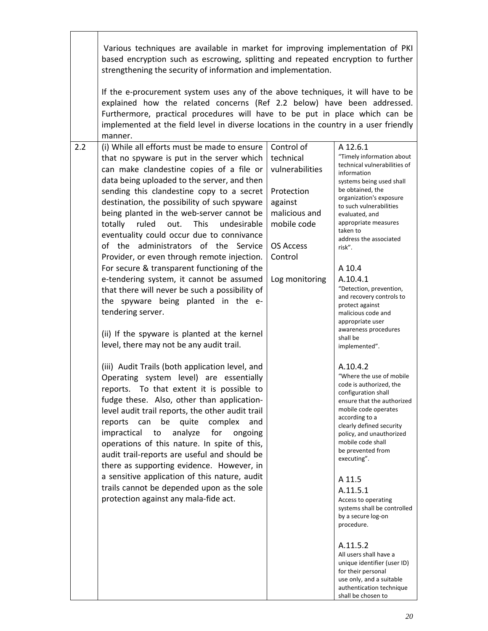|     | Various techniques are available in market for improving implementation of PKI<br>based encryption such as escrowing, splitting and repeated encryption to further<br>strengthening the security of information and implementation.                                                                                                                                                                                                                                                                                                                                                                                                                                                                                                                                                                                                                                                                                                                                                                                                                                                                                                                                                                                                                                                                                                                                                                                                                                       |                                                                                                                                                      |                                                                                                                                                                                                                                                                                                                                                                                                                                                                                                                                                                                                                                                                                                                                                                                                                                                                                                                                                                                                                                                                 |
|-----|---------------------------------------------------------------------------------------------------------------------------------------------------------------------------------------------------------------------------------------------------------------------------------------------------------------------------------------------------------------------------------------------------------------------------------------------------------------------------------------------------------------------------------------------------------------------------------------------------------------------------------------------------------------------------------------------------------------------------------------------------------------------------------------------------------------------------------------------------------------------------------------------------------------------------------------------------------------------------------------------------------------------------------------------------------------------------------------------------------------------------------------------------------------------------------------------------------------------------------------------------------------------------------------------------------------------------------------------------------------------------------------------------------------------------------------------------------------------------|------------------------------------------------------------------------------------------------------------------------------------------------------|-----------------------------------------------------------------------------------------------------------------------------------------------------------------------------------------------------------------------------------------------------------------------------------------------------------------------------------------------------------------------------------------------------------------------------------------------------------------------------------------------------------------------------------------------------------------------------------------------------------------------------------------------------------------------------------------------------------------------------------------------------------------------------------------------------------------------------------------------------------------------------------------------------------------------------------------------------------------------------------------------------------------------------------------------------------------|
|     | If the e-procurement system uses any of the above techniques, it will have to be<br>explained how the related concerns (Ref 2.2 below) have been addressed.<br>Furthermore, practical procedures will have to be put in place which can be<br>implemented at the field level in diverse locations in the country in a user friendly<br>manner.                                                                                                                                                                                                                                                                                                                                                                                                                                                                                                                                                                                                                                                                                                                                                                                                                                                                                                                                                                                                                                                                                                                            |                                                                                                                                                      |                                                                                                                                                                                                                                                                                                                                                                                                                                                                                                                                                                                                                                                                                                                                                                                                                                                                                                                                                                                                                                                                 |
| 2.2 | (i) While all efforts must be made to ensure<br>that no spyware is put in the server which<br>can make clandestine copies of a file or<br>data being uploaded to the server, and then<br>sending this clandestine copy to a secret<br>destination, the possibility of such spyware<br>being planted in the web-server cannot be<br>totally<br>ruled<br>out.<br><b>This</b><br>undesirable<br>eventuality could occur due to connivance<br>of the administrators of the Service<br>Provider, or even through remote injection.<br>For secure & transparent functioning of the<br>e-tendering system, it cannot be assumed<br>that there will never be such a possibility of<br>the spyware being planted in the e-<br>tendering server.<br>(ii) If the spyware is planted at the kernel<br>level, there may not be any audit trail.<br>(iii) Audit Trails (both application level, and<br>Operating system level) are essentially<br>reports. To that extent it is possible to<br>fudge these. Also, other than application-<br>level audit trail reports, the other audit trail<br>be<br>quite<br>complex<br>reports<br>can<br>and<br>impractical<br>analyze<br>for<br>ongoing<br>to<br>operations of this nature. In spite of this,<br>audit trail-reports are useful and should be<br>there as supporting evidence. However, in<br>a sensitive application of this nature, audit<br>trails cannot be depended upon as the sole<br>protection against any mala-fide act. | Control of<br>technical<br>vulnerabilities<br>Protection<br>against<br>malicious and<br>mobile code<br><b>OS Access</b><br>Control<br>Log monitoring | A 12.6.1<br>"Timely information about<br>technical vulnerabilities of<br>information<br>systems being used shall<br>be obtained, the<br>organization's exposure<br>to such vulnerabilities<br>evaluated, and<br>appropriate measures<br>taken to<br>address the associated<br>risk".<br>A 10.4<br>A.10.4.1<br>"Detection, prevention,<br>and recovery controls to<br>protect against<br>malicious code and<br>appropriate user<br>awareness procedures<br>shall be<br>implemented".<br>A.10.4.2<br>"Where the use of mobile<br>code is authorized, the<br>configuration shall<br>ensure that the authorized<br>mobile code operates<br>according to a<br>clearly defined security<br>policy, and unauthorized<br>mobile code shall<br>be prevented from<br>executing".<br>A 11.5<br>A.11.5.1<br>Access to operating<br>systems shall be controlled<br>by a secure log-on<br>procedure.<br>A.11.5.2<br>All users shall have a<br>unique identifier (user ID)<br>for their personal<br>use only, and a suitable<br>authentication technique<br>shall be chosen to |

┑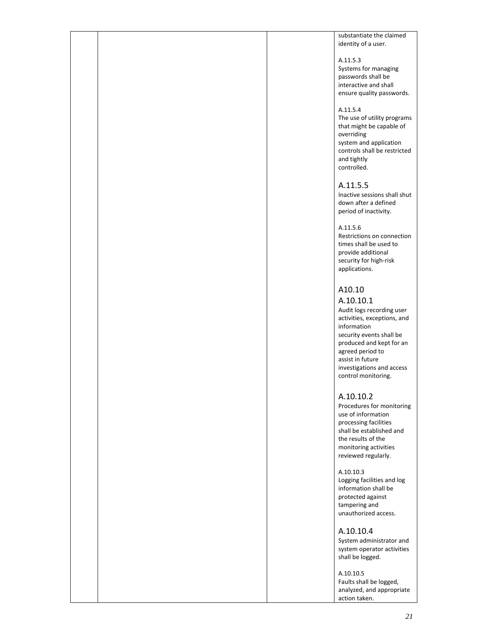substantiate the claimed identity of a user.

#### A.11.5.3

Systems for managing passwords shall be interactive and shall ensure quality passwords.

#### A.11.5.4

The use of utility programs that might be capable of overriding system and application controls shall be restricted and tightly controlled.

#### A.11.5.5

Inactive sessions shall shut down after a defined period of inactivity.

#### A.11.5.6

Restrictions on connection times shall be used to provide additional security for high-risk applications.

# A10.10

A.10.10.1 Audit logs recording user activities, exceptions, and information security events shall be produced and kept for an agreed period to assist in future investigations and access control monitoring.

#### A.10.10.2

Procedures for monitoring use of information processing facilities shall be established and the results of the monitoring activities reviewed regularly.

A.10.10.3 Logging facilities and log information shall be protected against tampering and unauthorized access.

A.10.10.4 System administrator and system operator activities

shall be logged.

A.10.10.5 Faults shall be logged, analyzed, and appropriate action taken.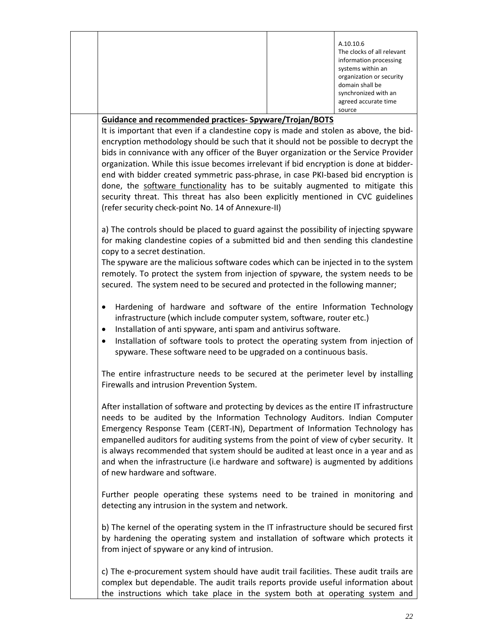|  |                                                                                        | A.10.10.6<br>The clocks of all relevant<br>information processing<br>systems within an<br>organization or security<br>domain shall be<br>synchronized with an<br>agreed accurate time<br>source |
|--|----------------------------------------------------------------------------------------|-------------------------------------------------------------------------------------------------------------------------------------------------------------------------------------------------|
|  | <b>Guidance and recommended practices- Spyware/Trojan/BOTS</b>                         |                                                                                                                                                                                                 |
|  | It is important that even if a clandestine copy is made and stolen as above, the bid-  |                                                                                                                                                                                                 |
|  | encryption methodology should be such that it should not be possible to decrypt the    |                                                                                                                                                                                                 |
|  | bids in connivance with any officer of the Buyer organization or the Service Provider  |                                                                                                                                                                                                 |
|  | organization. While this issue becomes irrelevant if bid encryption is done at bidder- |                                                                                                                                                                                                 |
|  | end with bidder created symmetric pass-phrase, in case PKI-based bid encryption is     |                                                                                                                                                                                                 |
|  | done, the software functionality has to be suitably augmented to mitigate this         |                                                                                                                                                                                                 |

a) The controls should be placed to guard against the possibility of injecting spyware for making clandestine copies of a submitted bid and then sending this clandestine copy to a secret destination.

security threat. This threat has also been explicitly mentioned in CVC guidelines

The spyware are the malicious software codes which can be injected in to the system remotely. To protect the system from injection of spyware, the system needs to be secured. The system need to be secured and protected in the following manner;

- Hardening of hardware and software of the entire Information Technology infrastructure (which include computer system, software, router etc.)
- Installation of anti spyware, anti spam and antivirus software.

(refer security check‐point No. 14 of Annexure‐II)

• Installation of software tools to protect the operating system from injection of spyware. These software need to be upgraded on a continuous basis.

The entire infrastructure needs to be secured at the perimeter level by installing Firewalls and intrusion Prevention System.

After installation of software and protecting by devices as the entire IT infrastructure needs to be audited by the Information Technology Auditors. Indian Computer Emergency Response Team (CERT‐IN), Department of Information Technology has empanelled auditors for auditing systems from the point of view of cyber security. It is always recommended that system should be audited at least once in a year and as and when the infrastructure (i.e hardware and software) is augmented by additions of new hardware and software.

Further people operating these systems need to be trained in monitoring and detecting any intrusion in the system and network.

b) The kernel of the operating system in the IT infrastructure should be secured first by hardening the operating system and installation of software which protects it from inject of spyware or any kind of intrusion.

c) The e-procurement system should have audit trail facilities. These audit trails are complex but dependable. The audit trails reports provide useful information about the instructions which take place in the system both at operating system and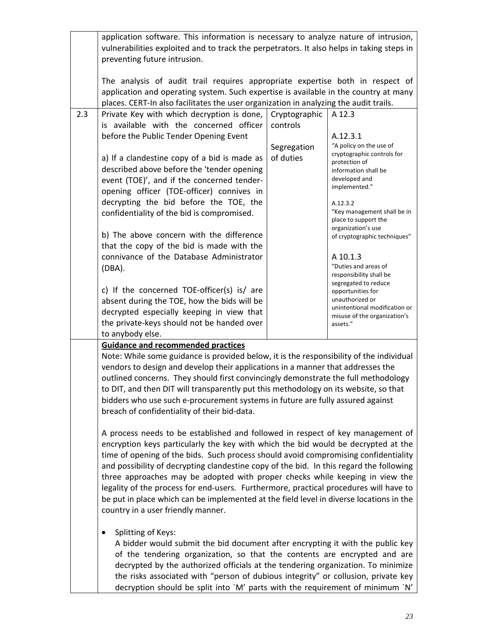|                                                                                                                                                                                                                                                                                                                                                            | application software. This information is necessary to analyze nature of intrusion,<br>vulnerabilities exploited and to track the perpetrators. It also helps in taking steps in<br>preventing future intrusion.                                                                                                                                                                                                                                                                                                                                                                                                                                                                                                                                                                                                                                                                                                                                                                                                                                                                                                                                                                                           |                                      |                                                                                                                                                                                                                                                                                                                                                                                                                                                                                             |
|------------------------------------------------------------------------------------------------------------------------------------------------------------------------------------------------------------------------------------------------------------------------------------------------------------------------------------------------------------|------------------------------------------------------------------------------------------------------------------------------------------------------------------------------------------------------------------------------------------------------------------------------------------------------------------------------------------------------------------------------------------------------------------------------------------------------------------------------------------------------------------------------------------------------------------------------------------------------------------------------------------------------------------------------------------------------------------------------------------------------------------------------------------------------------------------------------------------------------------------------------------------------------------------------------------------------------------------------------------------------------------------------------------------------------------------------------------------------------------------------------------------------------------------------------------------------------|--------------------------------------|---------------------------------------------------------------------------------------------------------------------------------------------------------------------------------------------------------------------------------------------------------------------------------------------------------------------------------------------------------------------------------------------------------------------------------------------------------------------------------------------|
|                                                                                                                                                                                                                                                                                                                                                            | The analysis of audit trail requires appropriate expertise both in respect of<br>application and operating system. Such expertise is available in the country at many<br>places. CERT-In also facilitates the user organization in analyzing the audit trails.                                                                                                                                                                                                                                                                                                                                                                                                                                                                                                                                                                                                                                                                                                                                                                                                                                                                                                                                             |                                      |                                                                                                                                                                                                                                                                                                                                                                                                                                                                                             |
| 2.3                                                                                                                                                                                                                                                                                                                                                        | Private Key with which decryption is done, Cryptographic<br>is available with the concerned officer<br>before the Public Tender Opening Event<br>a) If a clandestine copy of a bid is made as<br>described above before the 'tender opening<br>event (TOE)', and if the concerned tender-<br>opening officer (TOE-officer) connives in<br>decrypting the bid before the TOE, the<br>confidentiality of the bid is compromised.<br>b) The above concern with the difference<br>that the copy of the bid is made with the<br>connivance of the Database Administrator<br>$(DBA)$ .<br>c) If the concerned TOE-officer(s) is/ are<br>absent during the TOE, how the bids will be<br>decrypted especially keeping in view that<br>the private-keys should not be handed over<br>to anybody else.                                                                                                                                                                                                                                                                                                                                                                                                               | controls<br>Segregation<br>of duties | A 12.3<br>A.12.3.1<br>"A policy on the use of<br>cryptographic controls for<br>protection of<br>information shall be<br>developed and<br>implemented."<br>A.12.3.2<br>"Key management shall be in<br>place to support the<br>organization's use<br>of cryptographic techniques"<br>A 10.1.3<br>"Duties and areas of<br>responsibility shall be<br>segregated to reduce<br>opportunities for<br>unauthorized or<br>unintentional modification or<br>misuse of the organization's<br>assets." |
|                                                                                                                                                                                                                                                                                                                                                            | <b>Guidance and recommended practices</b><br>Note: While some guidance is provided below, it is the responsibility of the individual<br>vendors to design and develop their applications in a manner that addresses the<br>outlined concerns. They should first convincingly demonstrate the full methodology<br>to DIT, and then DIT will transparently put this methodology on its website, so that<br>bidders who use such e-procurement systems in future are fully assured against<br>breach of confidentiality of their bid-data.<br>A process needs to be established and followed in respect of key management of<br>encryption keys particularly the key with which the bid would be decrypted at the<br>time of opening of the bids. Such process should avoid compromising confidentiality<br>and possibility of decrypting clandestine copy of the bid. In this regard the following<br>three approaches may be adopted with proper checks while keeping in view the<br>legality of the process for end-users. Furthermore, practical procedures will have to<br>be put in place which can be implemented at the field level in diverse locations in the<br>country in a user friendly manner. |                                      |                                                                                                                                                                                                                                                                                                                                                                                                                                                                                             |
| Splitting of Keys:<br>A bidder would submit the bid document after encrypting it with the public key<br>of the tendering organization, so that the contents are encrypted and are<br>decrypted by the authorized officials at the tendering organization. To minimize<br>the risks associated with "person of dubious integrity" or collusion, private key |                                                                                                                                                                                                                                                                                                                                                                                                                                                                                                                                                                                                                                                                                                                                                                                                                                                                                                                                                                                                                                                                                                                                                                                                            |                                      |                                                                                                                                                                                                                                                                                                                                                                                                                                                                                             |

decryption should be split into `M' parts with the requirement of minimum `N'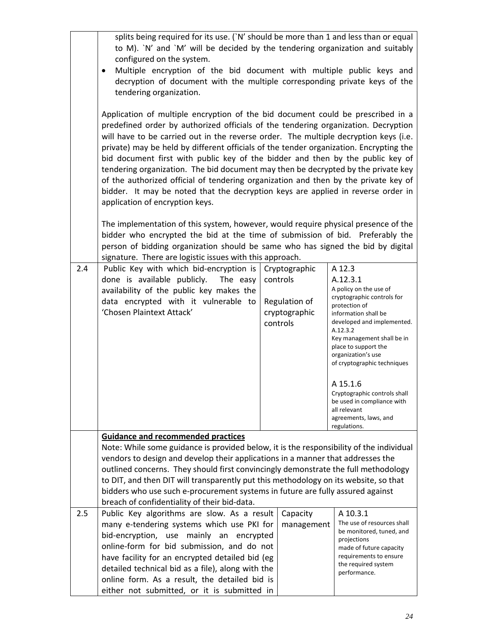|     | splits being required for its use. (`N' should be more than 1 and less than or equal<br>to M). `N' and `M' will be decided by the tendering organization and suitably<br>configured on the system.<br>Multiple encryption of the bid document with multiple public keys and<br>٠                                                                                                                                                                                                                                                                                                                                                                                                                                                             |                                                                         |                                                                                                                                                                                                                                                                          |  |  |
|-----|----------------------------------------------------------------------------------------------------------------------------------------------------------------------------------------------------------------------------------------------------------------------------------------------------------------------------------------------------------------------------------------------------------------------------------------------------------------------------------------------------------------------------------------------------------------------------------------------------------------------------------------------------------------------------------------------------------------------------------------------|-------------------------------------------------------------------------|--------------------------------------------------------------------------------------------------------------------------------------------------------------------------------------------------------------------------------------------------------------------------|--|--|
|     | decryption of document with the multiple corresponding private keys of the<br>tendering organization.                                                                                                                                                                                                                                                                                                                                                                                                                                                                                                                                                                                                                                        |                                                                         |                                                                                                                                                                                                                                                                          |  |  |
|     | Application of multiple encryption of the bid document could be prescribed in a<br>predefined order by authorized officials of the tendering organization. Decryption<br>will have to be carried out in the reverse order. The multiple decryption keys (i.e.<br>private) may be held by different officials of the tender organization. Encrypting the<br>bid document first with public key of the bidder and then by the public key of<br>tendering organization. The bid document may then be decrypted by the private key<br>of the authorized official of tendering organization and then by the private key of<br>bidder. It may be noted that the decryption keys are applied in reverse order in<br>application of encryption keys. |                                                                         |                                                                                                                                                                                                                                                                          |  |  |
|     | The implementation of this system, however, would require physical presence of the<br>bidder who encrypted the bid at the time of submission of bid. Preferably the<br>person of bidding organization should be same who has signed the bid by digital<br>signature. There are logistic issues with this approach.                                                                                                                                                                                                                                                                                                                                                                                                                           |                                                                         |                                                                                                                                                                                                                                                                          |  |  |
| 2.4 | Public Key with which bid-encryption is<br>done is available publicly.<br>The easy<br>availability of the public key makes the<br>data encrypted with it vulnerable to<br>'Chosen Plaintext Attack'                                                                                                                                                                                                                                                                                                                                                                                                                                                                                                                                          | Cryptographic<br>controls<br>Regulation of<br>cryptographic<br>controls | A 12.3<br>A.12.3.1<br>A policy on the use of<br>cryptographic controls for<br>protection of<br>information shall be<br>developed and implemented.<br>A.12.3.2<br>Key management shall be in<br>place to support the<br>organization's use<br>of cryptographic techniques |  |  |
|     |                                                                                                                                                                                                                                                                                                                                                                                                                                                                                                                                                                                                                                                                                                                                              |                                                                         | A 15.1.6<br>Cryptographic controls shall<br>be used in compliance with<br>all relevant<br>agreements, laws, and<br>regulations.                                                                                                                                          |  |  |
|     | <b>Guidance and recommended practices</b>                                                                                                                                                                                                                                                                                                                                                                                                                                                                                                                                                                                                                                                                                                    |                                                                         |                                                                                                                                                                                                                                                                          |  |  |
|     | Note: While some guidance is provided below, it is the responsibility of the individual<br>vendors to design and develop their applications in a manner that addresses the<br>outlined concerns. They should first convincingly demonstrate the full methodology<br>to DIT, and then DIT will transparently put this methodology on its website, so that                                                                                                                                                                                                                                                                                                                                                                                     |                                                                         |                                                                                                                                                                                                                                                                          |  |  |
|     | bidders who use such e-procurement systems in future are fully assured against<br>breach of confidentiality of their bid-data.                                                                                                                                                                                                                                                                                                                                                                                                                                                                                                                                                                                                               |                                                                         |                                                                                                                                                                                                                                                                          |  |  |
| 2.5 | Public Key algorithms are slow. As a result<br>many e-tendering systems which use PKI for<br>bid-encryption, use mainly an encrypted<br>online-form for bid submission, and do not<br>have facility for an encrypted detailed bid (eg<br>detailed technical bid as a file), along with the<br>online form. As a result, the detailed bid is<br>either not submitted, or it is submitted in                                                                                                                                                                                                                                                                                                                                                   | Capacity<br>management                                                  | A 10.3.1<br>The use of resources shall<br>be monitored, tuned, and<br>projections<br>made of future capacity<br>requirements to ensure<br>the required system<br>performance.                                                                                            |  |  |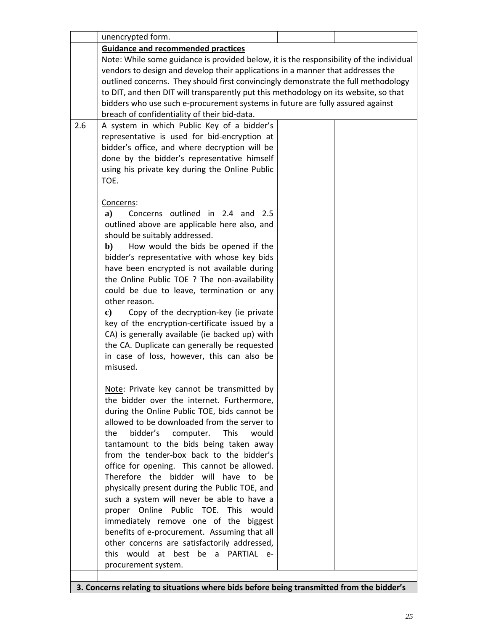|     | unencrypted form.                                                                              |  |  |
|-----|------------------------------------------------------------------------------------------------|--|--|
|     | <b>Guidance and recommended practices</b>                                                      |  |  |
|     | Note: While some guidance is provided below, it is the responsibility of the individual        |  |  |
|     | vendors to design and develop their applications in a manner that addresses the                |  |  |
|     | outlined concerns. They should first convincingly demonstrate the full methodology             |  |  |
|     | to DIT, and then DIT will transparently put this methodology on its website, so that           |  |  |
|     | bidders who use such e-procurement systems in future are fully assured against                 |  |  |
|     | breach of confidentiality of their bid-data.                                                   |  |  |
| 2.6 | A system in which Public Key of a bidder's                                                     |  |  |
|     | representative is used for bid-encryption at                                                   |  |  |
|     | bidder's office, and where decryption will be                                                  |  |  |
|     | done by the bidder's representative himself                                                    |  |  |
|     | using his private key during the Online Public                                                 |  |  |
|     | TOE.                                                                                           |  |  |
|     |                                                                                                |  |  |
|     | Concerns:                                                                                      |  |  |
|     | a)<br>Concerns outlined in 2.4 and 2.5                                                         |  |  |
|     | outlined above are applicable here also, and                                                   |  |  |
|     | should be suitably addressed.                                                                  |  |  |
|     | How would the bids be opened if the<br>b)                                                      |  |  |
|     | bidder's representative with whose key bids                                                    |  |  |
|     | have been encrypted is not available during                                                    |  |  |
|     | the Online Public TOE ? The non-availability                                                   |  |  |
|     | could be due to leave, termination or any                                                      |  |  |
|     | other reason.                                                                                  |  |  |
|     | Copy of the decryption-key (ie private<br>c)                                                   |  |  |
|     | key of the encryption-certificate issued by a                                                  |  |  |
|     | CA) is generally available (ie backed up) with<br>the CA. Duplicate can generally be requested |  |  |
|     | in case of loss, however, this can also be                                                     |  |  |
|     | misused.                                                                                       |  |  |
|     |                                                                                                |  |  |
|     | Note: Private key cannot be transmitted by                                                     |  |  |
|     | the bidder over the internet. Furthermore,                                                     |  |  |
|     | during the Online Public TOE, bids cannot be                                                   |  |  |
|     | allowed to be downloaded from the server to                                                    |  |  |
|     | bidder's<br><b>This</b><br>the<br>computer.<br>would                                           |  |  |
|     | tantamount to the bids being taken away                                                        |  |  |
|     | from the tender-box back to the bidder's                                                       |  |  |
|     | office for opening. This cannot be allowed.                                                    |  |  |
|     | Therefore the bidder will have to be                                                           |  |  |
|     | physically present during the Public TOE, and                                                  |  |  |
|     | such a system will never be able to have a                                                     |  |  |
|     | proper Online Public TOE. This<br>would                                                        |  |  |
|     | immediately remove one of the biggest                                                          |  |  |
|     | benefits of e-procurement. Assuming that all                                                   |  |  |
|     | other concerns are satisfactorily addressed,                                                   |  |  |
|     | this would<br>at best be<br>PARTIAL e-<br>a                                                    |  |  |
|     | procurement system.                                                                            |  |  |
|     |                                                                                                |  |  |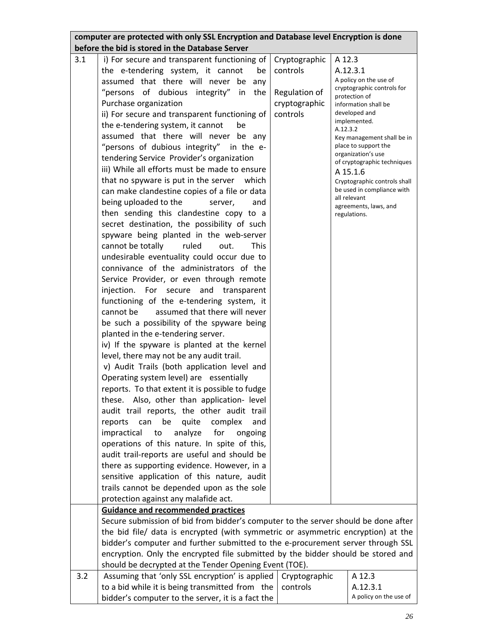|     | computer are protected with only SSL Encryption and Database level Encryption is done<br>before the bid is stored in the Database Server |               |                                                            |  |
|-----|------------------------------------------------------------------------------------------------------------------------------------------|---------------|------------------------------------------------------------|--|
|     |                                                                                                                                          |               |                                                            |  |
| 3.1 | i) For secure and transparent functioning of                                                                                             | Cryptographic | A 12.3                                                     |  |
|     | the e-tendering system, it cannot<br>be                                                                                                  | controls      | A.12.3.1                                                   |  |
|     | assumed that there will never be<br>any                                                                                                  |               | A policy on the use of                                     |  |
|     | "persons of dubious integrity"<br>the<br>in                                                                                              | Regulation of | cryptographic controls for<br>protection of                |  |
|     | Purchase organization                                                                                                                    | cryptographic | information shall be                                       |  |
|     | ii) For secure and transparent functioning of                                                                                            | controls      | developed and                                              |  |
|     | the e-tendering system, it cannot<br>be                                                                                                  |               | implemented.                                               |  |
|     | assumed that there will never be any                                                                                                     |               | A.12.3.2<br>Key management shall be in                     |  |
|     | "persons of dubious integrity" in the e-                                                                                                 |               | place to support the                                       |  |
|     | tendering Service Provider's organization                                                                                                |               | organization's use                                         |  |
|     | iii) While all efforts must be made to ensure                                                                                            |               | of cryptographic techniques                                |  |
|     | that no spyware is put in the server which                                                                                               |               | A 15.1.6                                                   |  |
|     |                                                                                                                                          |               | Cryptographic controls shall<br>be used in compliance with |  |
|     | can make clandestine copies of a file or data                                                                                            |               | all relevant                                               |  |
|     | being uploaded to the<br>server,<br>and                                                                                                  |               | agreements, laws, and                                      |  |
|     | then sending this clandestine copy to a                                                                                                  |               | regulations.                                               |  |
|     | secret destination, the possibility of such                                                                                              |               |                                                            |  |
|     | spyware being planted in the web-server                                                                                                  |               |                                                            |  |
|     | cannot be totally<br>ruled<br>out.<br><b>This</b>                                                                                        |               |                                                            |  |
|     | undesirable eventuality could occur due to                                                                                               |               |                                                            |  |
|     | connivance of the administrators of the                                                                                                  |               |                                                            |  |
|     | Service Provider, or even through remote                                                                                                 |               |                                                            |  |
|     | injection. For secure<br>and<br>transparent                                                                                              |               |                                                            |  |
|     | functioning of the e-tendering system, it                                                                                                |               |                                                            |  |
|     | cannot be<br>assumed that there will never                                                                                               |               |                                                            |  |
|     | be such a possibility of the spyware being                                                                                               |               |                                                            |  |
|     | planted in the e-tendering server.                                                                                                       |               |                                                            |  |
|     | iv) If the spyware is planted at the kernel                                                                                              |               |                                                            |  |
|     | level, there may not be any audit trail.                                                                                                 |               |                                                            |  |
|     | v) Audit Trails (both application level and                                                                                              |               |                                                            |  |
|     | Operating system level) are essentially                                                                                                  |               |                                                            |  |
|     | reports. To that extent it is possible to fudge                                                                                          |               |                                                            |  |
|     |                                                                                                                                          |               |                                                            |  |
|     | these. Also, other than application- level                                                                                               |               |                                                            |  |
|     | audit trail reports, the other audit trail                                                                                               |               |                                                            |  |
|     | quite<br>reports<br>can<br>be<br>complex<br>and                                                                                          |               |                                                            |  |
|     | analyze<br>impractical<br>for<br>to<br>ongoing                                                                                           |               |                                                            |  |
|     | operations of this nature. In spite of this,                                                                                             |               |                                                            |  |
|     | audit trail-reports are useful and should be                                                                                             |               |                                                            |  |
|     | there as supporting evidence. However, in a                                                                                              |               |                                                            |  |
|     | sensitive application of this nature, audit                                                                                              |               |                                                            |  |
|     | trails cannot be depended upon as the sole                                                                                               |               |                                                            |  |
|     | protection against any malafide act.                                                                                                     |               |                                                            |  |
|     | <b>Guidance and recommended practices</b>                                                                                                |               |                                                            |  |
|     | Secure submission of bid from bidder's computer to the server should be done after                                                       |               |                                                            |  |
|     | the bid file/ data is encrypted (with symmetric or asymmetric encryption) at the                                                         |               |                                                            |  |
|     | bidder's computer and further submitted to the e-procurement server through SSL                                                          |               |                                                            |  |
|     | encryption. Only the encrypted file submitted by the bidder should be stored and                                                         |               |                                                            |  |
|     | should be decrypted at the Tender Opening Event (TOE).                                                                                   |               |                                                            |  |
| 3.2 | Assuming that 'only SSL encryption' is applied                                                                                           | Cryptographic | A 12.3                                                     |  |
|     | to a bid while it is being transmitted from the                                                                                          | controls      | A.12.3.1                                                   |  |
|     | bidder's computer to the server, it is a fact the                                                                                        |               | A policy on the use of                                     |  |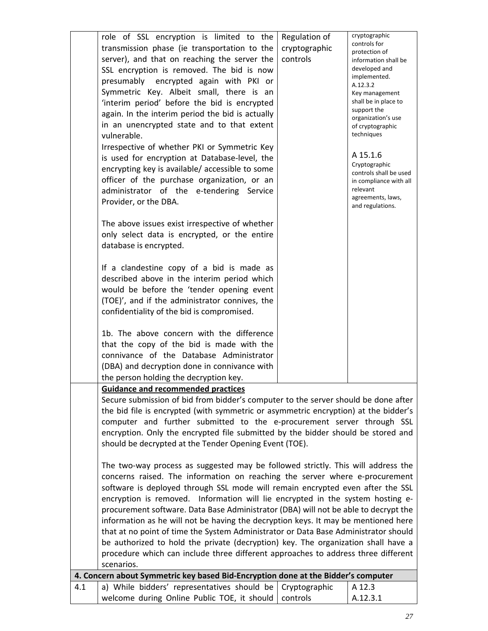|     | role of SSL encryption is limited to the                                                     | Regulation of | cryptographic<br>controls for                    |
|-----|----------------------------------------------------------------------------------------------|---------------|--------------------------------------------------|
|     | transmission phase (ie transportation to the                                                 | cryptographic | protection of                                    |
|     | server), and that on reaching the server the                                                 | controls      | information shall be<br>developed and            |
|     | SSL encryption is removed. The bid is now                                                    |               | implemented.                                     |
|     | presumably encrypted again with PKI or                                                       |               | A.12.3.2                                         |
|     | Symmetric Key. Albeit small, there is an                                                     |               | Key management<br>shall be in place to           |
|     | 'interim period' before the bid is encrypted                                                 |               | support the                                      |
|     | again. In the interim period the bid is actually                                             |               | organization's use                               |
|     | in an unencrypted state and to that extent<br>vulnerable.                                    |               | of cryptographic<br>techniques                   |
|     | Irrespective of whether PKI or Symmetric Key                                                 |               |                                                  |
|     | is used for encryption at Database-level, the                                                |               | A 15.1.6                                         |
|     | encrypting key is available/accessible to some                                               |               | Cryptographic                                    |
|     | officer of the purchase organization, or an                                                  |               | controls shall be used<br>in compliance with all |
|     | administrator of the e-tendering Service                                                     |               | relevant                                         |
|     | Provider, or the DBA.                                                                        |               | agreements, laws,                                |
|     |                                                                                              |               | and regulations.                                 |
|     | The above issues exist irrespective of whether                                               |               |                                                  |
|     | only select data is encrypted, or the entire                                                 |               |                                                  |
|     | database is encrypted.                                                                       |               |                                                  |
|     |                                                                                              |               |                                                  |
|     | If a clandestine copy of a bid is made as                                                    |               |                                                  |
|     | described above in the interim period which                                                  |               |                                                  |
|     | would be before the 'tender opening event                                                    |               |                                                  |
|     | (TOE)', and if the administrator connives, the<br>confidentiality of the bid is compromised. |               |                                                  |
|     |                                                                                              |               |                                                  |
|     | 1b. The above concern with the difference                                                    |               |                                                  |
|     | that the copy of the bid is made with the                                                    |               |                                                  |
|     | connivance of the Database Administrator                                                     |               |                                                  |
|     | (DBA) and decryption done in connivance with                                                 |               |                                                  |
|     | the person holding the decryption key.                                                       |               |                                                  |
|     | <b>Guidance and recommended practices</b>                                                    |               |                                                  |
|     | Secure submission of bid from bidder's computer to the server should be done after           |               |                                                  |
|     | the bid file is encrypted (with symmetric or asymmetric encryption) at the bidder's          |               |                                                  |
|     | computer and further submitted to the e-procurement server through SSL                       |               |                                                  |
|     | encryption. Only the encrypted file submitted by the bidder should be stored and             |               |                                                  |
|     | should be decrypted at the Tender Opening Event (TOE).                                       |               |                                                  |
|     | The two-way process as suggested may be followed strictly. This will address the             |               |                                                  |
|     | concerns raised. The information on reaching the server where e-procurement                  |               |                                                  |
|     | software is deployed through SSL mode will remain encrypted even after the SSL               |               |                                                  |
|     | encryption is removed. Information will lie encrypted in the system hosting e-               |               |                                                  |
|     | procurement software. Data Base Administrator (DBA) will not be able to decrypt the          |               |                                                  |
|     | information as he will not be having the decryption keys. It may be mentioned here           |               |                                                  |
|     | that at no point of time the System Administrator or Data Base Administrator should          |               |                                                  |
|     | be authorized to hold the private (decryption) key. The organization shall have a            |               |                                                  |
|     | procedure which can include three different approaches to address three different            |               |                                                  |
|     | scenarios.                                                                                   |               |                                                  |
|     | 4. Concern about Symmetric key based Bid-Encryption done at the Bidder's computer            |               |                                                  |
| 4.1 | a) While bidders' representatives should be                                                  | Cryptographic | A 12.3                                           |
|     | welcome during Online Public TOE, it should                                                  | controls      | A.12.3.1                                         |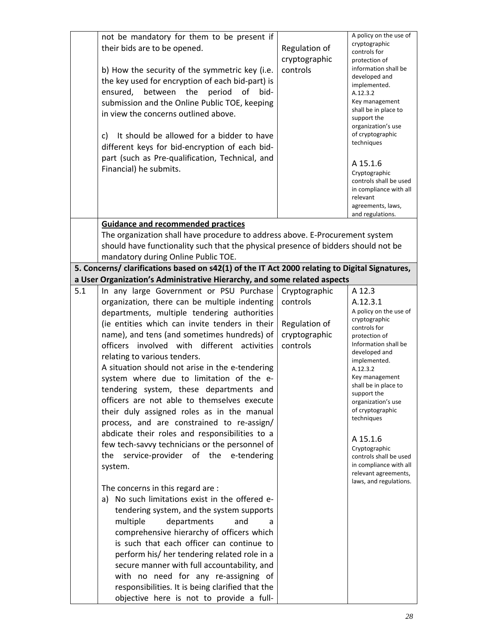|     | not be mandatory for them to be present if                                                                                                                                 |               | A policy on the use of                           |
|-----|----------------------------------------------------------------------------------------------------------------------------------------------------------------------------|---------------|--------------------------------------------------|
|     | their bids are to be opened.                                                                                                                                               | Regulation of | cryptographic<br>controls for                    |
|     |                                                                                                                                                                            | cryptographic | protection of                                    |
|     | b) How the security of the symmetric key (i.e.                                                                                                                             | controls      | information shall be                             |
|     | the key used for encryption of each bid-part) is                                                                                                                           |               | developed and                                    |
|     | ensured, between the<br>period<br>οf<br>bid-                                                                                                                               |               | implemented.<br>A.12.3.2                         |
|     | submission and the Online Public TOE, keeping                                                                                                                              |               | Key management                                   |
|     | in view the concerns outlined above.                                                                                                                                       |               | shall be in place to                             |
|     |                                                                                                                                                                            |               | support the                                      |
|     | It should be allowed for a bidder to have<br>C)                                                                                                                            |               | organization's use<br>of cryptographic           |
|     | different keys for bid-encryption of each bid-                                                                                                                             |               | techniques                                       |
|     |                                                                                                                                                                            |               |                                                  |
|     | part (such as Pre-qualification, Technical, and                                                                                                                            |               | A 15.1.6                                         |
|     | Financial) he submits.                                                                                                                                                     |               | Cryptographic                                    |
|     |                                                                                                                                                                            |               | controls shall be used<br>in compliance with all |
|     |                                                                                                                                                                            |               | relevant                                         |
|     |                                                                                                                                                                            |               | agreements, laws,                                |
|     |                                                                                                                                                                            |               | and regulations.                                 |
|     | <b>Guidance and recommended practices</b>                                                                                                                                  |               |                                                  |
|     | The organization shall have procedure to address above. E-Procurement system                                                                                               |               |                                                  |
|     | should have functionality such that the physical presence of bidders should not be                                                                                         |               |                                                  |
|     | mandatory during Online Public TOE.                                                                                                                                        |               |                                                  |
|     | 5. Concerns/ clarifications based on s42(1) of the IT Act 2000 relating to Digital Signatures,<br>a User Organization's Administrative Hierarchy, and some related aspects |               |                                                  |
| 5.1 | In any large Government or PSU Purchase                                                                                                                                    | Cryptographic | A 12.3                                           |
|     |                                                                                                                                                                            |               |                                                  |
|     | organization, there can be multiple indenting                                                                                                                              | controls      | A.12.3.1<br>A policy on the use of               |
|     | departments, multiple tendering authorities                                                                                                                                |               | cryptographic                                    |
|     | (ie entities which can invite tenders in their                                                                                                                             | Regulation of | controls for                                     |
|     | name), and tens (and sometimes hundreds) of                                                                                                                                | cryptographic | protection of<br>Information shall be            |
|     | officers involved with different activities                                                                                                                                | controls      | developed and                                    |
|     | relating to various tenders.                                                                                                                                               |               | implemented.                                     |
|     | A situation should not arise in the e-tendering                                                                                                                            |               | A.12.3.2                                         |
|     | system where due to limitation of the e-                                                                                                                                   |               | Key management<br>shall be in place to           |
|     | tendering system, these departments and                                                                                                                                    |               | support the                                      |
|     | officers are not able to themselves execute                                                                                                                                |               | organization's use                               |
|     | their duly assigned roles as in the manual                                                                                                                                 |               | of cryptographic<br>techniques                   |
|     | process, and are constrained to re-assign/                                                                                                                                 |               |                                                  |
|     | abdicate their roles and responsibilities to a                                                                                                                             |               | A 15.1.6                                         |
|     | few tech-savvy technicians or the personnel of                                                                                                                             |               | Cryptographic                                    |
|     | service-provider of the e-tendering<br>the                                                                                                                                 |               | controls shall be used                           |
|     | system.                                                                                                                                                                    |               | in compliance with all                           |
|     |                                                                                                                                                                            |               | relevant agreements,<br>laws, and regulations.   |
|     | The concerns in this regard are :                                                                                                                                          |               |                                                  |
|     | a) No such limitations exist in the offered e-                                                                                                                             |               |                                                  |
|     | tendering system, and the system supports                                                                                                                                  |               |                                                  |
|     | departments<br>and<br>multiple<br>a                                                                                                                                        |               |                                                  |
|     | comprehensive hierarchy of officers which                                                                                                                                  |               |                                                  |
|     | is such that each officer can continue to                                                                                                                                  |               |                                                  |
|     | perform his/ her tendering related role in a                                                                                                                               |               |                                                  |
|     | secure manner with full accountability, and                                                                                                                                |               |                                                  |
|     | with no need for any re-assigning of                                                                                                                                       |               |                                                  |
|     | responsibilities. It is being clarified that the                                                                                                                           |               |                                                  |
|     | objective here is not to provide a full-                                                                                                                                   |               |                                                  |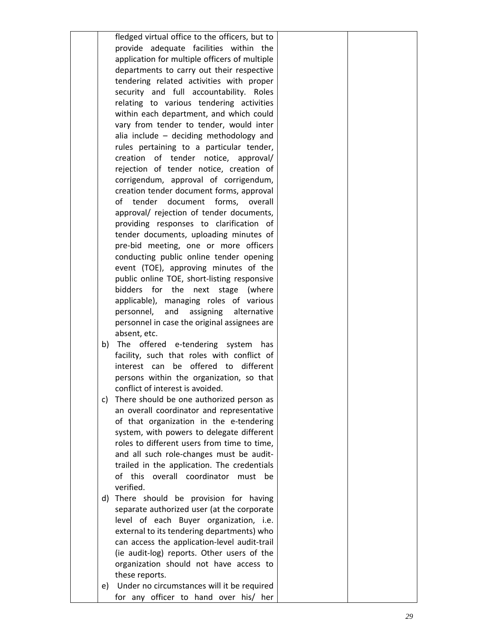|    | fledged virtual office to the officers, but to                                             |  |
|----|--------------------------------------------------------------------------------------------|--|
|    | provide adequate facilities within the                                                     |  |
|    | application for multiple officers of multiple                                              |  |
|    | departments to carry out their respective                                                  |  |
|    | tendering related activities with proper                                                   |  |
|    | security and full accountability. Roles                                                    |  |
|    | relating to various tendering activities                                                   |  |
|    | within each department, and which could                                                    |  |
|    | vary from tender to tender, would inter                                                    |  |
|    | alia include - deciding methodology and                                                    |  |
|    | rules pertaining to a particular tender,                                                   |  |
|    | creation of tender notice, approval/                                                       |  |
|    | rejection of tender notice, creation of                                                    |  |
|    | corrigendum, approval of corrigendum,                                                      |  |
|    | creation tender document forms, approval                                                   |  |
|    | of<br>tender document forms,<br>overall                                                    |  |
|    | approval/ rejection of tender documents,                                                   |  |
|    | providing responses to clarification of                                                    |  |
|    | tender documents, uploading minutes of                                                     |  |
|    | pre-bid meeting, one or more officers                                                      |  |
|    | conducting public online tender opening                                                    |  |
|    | event (TOE), approving minutes of the<br>public online TOE, short-listing responsive       |  |
|    | bidders<br>for the next stage (where                                                       |  |
|    | applicable), managing roles of various                                                     |  |
|    | personnel,<br>and assigning<br>alternative                                                 |  |
|    | personnel in case the original assignees are                                               |  |
|    | absent, etc.                                                                               |  |
| b) | The offered e-tendering system<br>has                                                      |  |
|    | facility, such that roles with conflict of                                                 |  |
|    | be offered to different<br>interest can                                                    |  |
|    | persons within the organization, so that                                                   |  |
|    | conflict of interest is avoided.                                                           |  |
| C) | There should be one authorized person as                                                   |  |
|    | an overall coordinator and representative                                                  |  |
|    | of that organization in the e-tendering                                                    |  |
|    | system, with powers to delegate different                                                  |  |
|    | roles to different users from time to time,                                                |  |
|    | and all such role-changes must be audit-                                                   |  |
|    | trailed in the application. The credentials                                                |  |
|    | of this<br>overall coordinator<br>must<br>be                                               |  |
|    | verified.                                                                                  |  |
| d) | There should be provision for having                                                       |  |
|    | separate authorized user (at the corporate                                                 |  |
|    | level of each Buyer organization, i.e.                                                     |  |
|    | external to its tendering departments) who                                                 |  |
|    | can access the application-level audit-trail<br>(ie audit-log) reports. Other users of the |  |
|    | organization should not have access to                                                     |  |
|    | these reports.                                                                             |  |
| e) | Under no circumstances will it be required                                                 |  |
|    | for any officer to hand over his/ her                                                      |  |
|    |                                                                                            |  |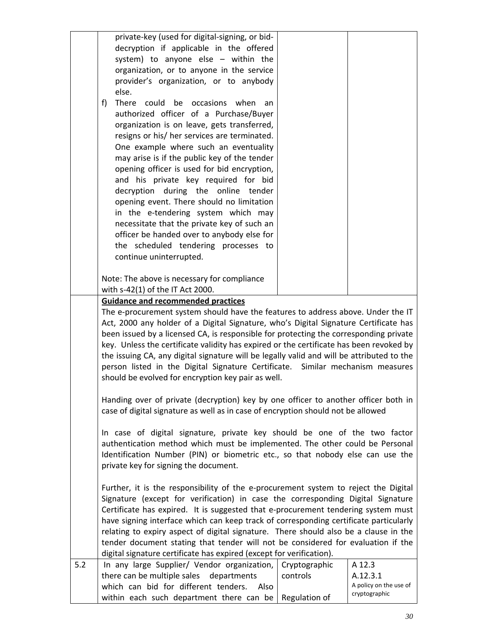|     | private-key (used for digital-signing, or bid-<br>decryption if applicable in the offered<br>system) to anyone else - within the<br>organization, or to anyone in the service<br>provider's organization, or to anybody<br>else.<br>f)<br>There could be occasions when<br>an<br>authorized officer of a Purchase/Buyer<br>organization is on leave, gets transferred,<br>resigns or his/ her services are terminated.                                                                                                                                                                                   |
|-----|----------------------------------------------------------------------------------------------------------------------------------------------------------------------------------------------------------------------------------------------------------------------------------------------------------------------------------------------------------------------------------------------------------------------------------------------------------------------------------------------------------------------------------------------------------------------------------------------------------|
|     | One example where such an eventuality<br>may arise is if the public key of the tender<br>opening officer is used for bid encryption,<br>and his private key required for bid<br>decryption during the online tender<br>opening event. There should no limitation<br>in the e-tendering system which may<br>necessitate that the private key of such an<br>officer be handed over to anybody else for<br>the scheduled tendering processes to<br>continue uninterrupted.                                                                                                                                  |
|     | Note: The above is necessary for compliance                                                                                                                                                                                                                                                                                                                                                                                                                                                                                                                                                              |
|     | with s-42(1) of the IT Act 2000.<br><b>Guidance and recommended practices</b>                                                                                                                                                                                                                                                                                                                                                                                                                                                                                                                            |
|     | The e-procurement system should have the features to address above. Under the IT<br>Act, 2000 any holder of a Digital Signature, who's Digital Signature Certificate has<br>been issued by a licensed CA, is responsible for protecting the corresponding private<br>key. Unless the certificate validity has expired or the certificate has been revoked by<br>the issuing CA, any digital signature will be legally valid and will be attributed to the<br>person listed in the Digital Signature Certificate. Similar mechanism measures<br>should be evolved for encryption key pair as well.        |
|     | Handing over of private (decryption) key by one officer to another officer both in<br>case of digital signature as well as in case of encryption should not be allowed                                                                                                                                                                                                                                                                                                                                                                                                                                   |
|     | In case of digital signature, private key should be one of the two factor<br>authentication method which must be implemented. The other could be Personal<br>Identification Number (PIN) or biometric etc., so that nobody else can use the<br>private key for signing the document.                                                                                                                                                                                                                                                                                                                     |
|     | Further, it is the responsibility of the e-procurement system to reject the Digital<br>Signature (except for verification) in case the corresponding Digital Signature<br>Certificate has expired. It is suggested that e-procurement tendering system must<br>have signing interface which can keep track of corresponding certificate particularly<br>relating to expiry aspect of digital signature. There should also be a clause in the<br>tender document stating that tender will not be considered for evaluation if the<br>digital signature certificate has expired (except for verification). |
| 5.2 | A 12.3<br>In any large Supplier/ Vendor organization,<br>Cryptographic<br>there can be multiple sales departments<br>controls<br>A.12.3.1<br>A policy on the use of<br>which can bid for different tenders.<br>Also<br>cryptographic<br>Regulation of<br>within each such department there can be                                                                                                                                                                                                                                                                                                        |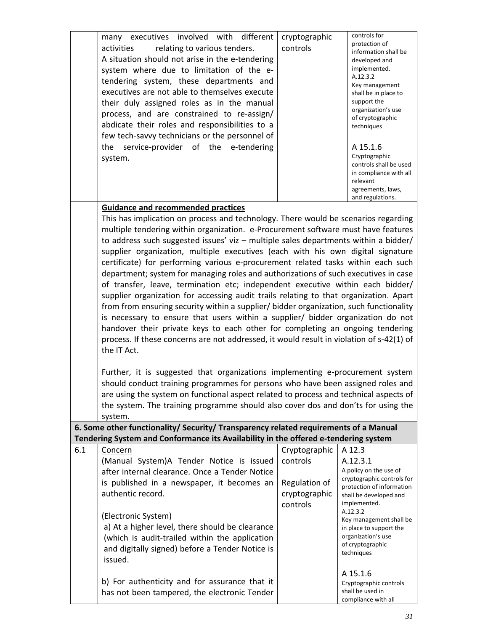|     | many executives involved with different<br>relating to various tenders.<br>activities<br>A situation should not arise in the e-tendering<br>system where due to limitation of the e-<br>tendering system, these departments and<br>executives are not able to themselves execute<br>their duly assigned roles as in the manual<br>process, and are constrained to re-assign/<br>abdicate their roles and responsibilities to a<br>few tech-savvy technicians or the personnel of<br>the service-provider of the e-tendering<br>system.                                                                                                                                                                                                                                                                                                                                                                                                                                                                                                                                                                                                                                                                           | cryptographic<br>controls                                               | controls for<br>protection of<br>information shall be<br>developed and<br>implemented.<br>A.12.3.2<br>Key management<br>shall be in place to<br>support the<br>organization's use<br>of cryptographic<br>techniques<br>A 15.1.6<br>Cryptographic<br>controls shall be used<br>in compliance with all<br>relevant<br>agreements, laws,<br>and regulations. |
|-----|------------------------------------------------------------------------------------------------------------------------------------------------------------------------------------------------------------------------------------------------------------------------------------------------------------------------------------------------------------------------------------------------------------------------------------------------------------------------------------------------------------------------------------------------------------------------------------------------------------------------------------------------------------------------------------------------------------------------------------------------------------------------------------------------------------------------------------------------------------------------------------------------------------------------------------------------------------------------------------------------------------------------------------------------------------------------------------------------------------------------------------------------------------------------------------------------------------------|-------------------------------------------------------------------------|-----------------------------------------------------------------------------------------------------------------------------------------------------------------------------------------------------------------------------------------------------------------------------------------------------------------------------------------------------------|
|     |                                                                                                                                                                                                                                                                                                                                                                                                                                                                                                                                                                                                                                                                                                                                                                                                                                                                                                                                                                                                                                                                                                                                                                                                                  |                                                                         |                                                                                                                                                                                                                                                                                                                                                           |
|     | <b>Guidance and recommended practices</b><br>This has implication on process and technology. There would be scenarios regarding<br>multiple tendering within organization. e-Procurement software must have features<br>to address such suggested issues' viz $-$ multiple sales departments within a bidder/<br>supplier organization, multiple executives (each with his own digital signature<br>certificate) for performing various e-procurement related tasks within each such<br>department; system for managing roles and authorizations of such executives in case<br>of transfer, leave, termination etc; independent executive within each bidder/<br>supplier organization for accessing audit trails relating to that organization. Apart<br>from from ensuring security within a supplier/ bidder organization, such functionality<br>is necessary to ensure that users within a supplier/ bidder organization do not<br>handover their private keys to each other for completing an ongoing tendering<br>process. If these concerns are not addressed, it would result in violation of s-42(1) of<br>the IT Act.<br>Further, it is suggested that organizations implementing e-procurement system |                                                                         |                                                                                                                                                                                                                                                                                                                                                           |
|     | should conduct training programmes for persons who have been assigned roles and                                                                                                                                                                                                                                                                                                                                                                                                                                                                                                                                                                                                                                                                                                                                                                                                                                                                                                                                                                                                                                                                                                                                  |                                                                         |                                                                                                                                                                                                                                                                                                                                                           |
|     | are using the system on functional aspect related to process and technical aspects of                                                                                                                                                                                                                                                                                                                                                                                                                                                                                                                                                                                                                                                                                                                                                                                                                                                                                                                                                                                                                                                                                                                            |                                                                         |                                                                                                                                                                                                                                                                                                                                                           |
|     | the system. The training programme should also cover dos and don'ts for using the                                                                                                                                                                                                                                                                                                                                                                                                                                                                                                                                                                                                                                                                                                                                                                                                                                                                                                                                                                                                                                                                                                                                |                                                                         |                                                                                                                                                                                                                                                                                                                                                           |
|     | system.                                                                                                                                                                                                                                                                                                                                                                                                                                                                                                                                                                                                                                                                                                                                                                                                                                                                                                                                                                                                                                                                                                                                                                                                          |                                                                         |                                                                                                                                                                                                                                                                                                                                                           |
|     | 6. Some other functionality/ Security/ Transparency related requirements of a Manual                                                                                                                                                                                                                                                                                                                                                                                                                                                                                                                                                                                                                                                                                                                                                                                                                                                                                                                                                                                                                                                                                                                             |                                                                         |                                                                                                                                                                                                                                                                                                                                                           |
|     | Tendering System and Conformance its Availability in the offered e-tendering system                                                                                                                                                                                                                                                                                                                                                                                                                                                                                                                                                                                                                                                                                                                                                                                                                                                                                                                                                                                                                                                                                                                              |                                                                         |                                                                                                                                                                                                                                                                                                                                                           |
| 6.1 | <b>Concern</b><br>(Manual System)A Tender Notice is issued<br>after internal clearance. Once a Tender Notice<br>is published in a newspaper, it becomes an<br>authentic record.                                                                                                                                                                                                                                                                                                                                                                                                                                                                                                                                                                                                                                                                                                                                                                                                                                                                                                                                                                                                                                  | Cryptographic<br>controls<br>Regulation of<br>cryptographic<br>controls | A 12.3<br>A.12.3.1<br>A policy on the use of<br>cryptographic controls for<br>protection of information<br>shall be developed and<br>implemented.                                                                                                                                                                                                         |
|     | (Electronic System)<br>a) At a higher level, there should be clearance<br>(which is audit-trailed within the application<br>and digitally signed) before a Tender Notice is<br>issued.                                                                                                                                                                                                                                                                                                                                                                                                                                                                                                                                                                                                                                                                                                                                                                                                                                                                                                                                                                                                                           |                                                                         | A.12.3.2<br>Key management shall be<br>in place to support the<br>organization's use<br>of cryptographic<br>techniques                                                                                                                                                                                                                                    |
|     | b) For authenticity and for assurance that it                                                                                                                                                                                                                                                                                                                                                                                                                                                                                                                                                                                                                                                                                                                                                                                                                                                                                                                                                                                                                                                                                                                                                                    |                                                                         | A 15.1.6<br>Cryptographic controls                                                                                                                                                                                                                                                                                                                        |

has not been tampered, the electronic Tender

shall be used in compliance with all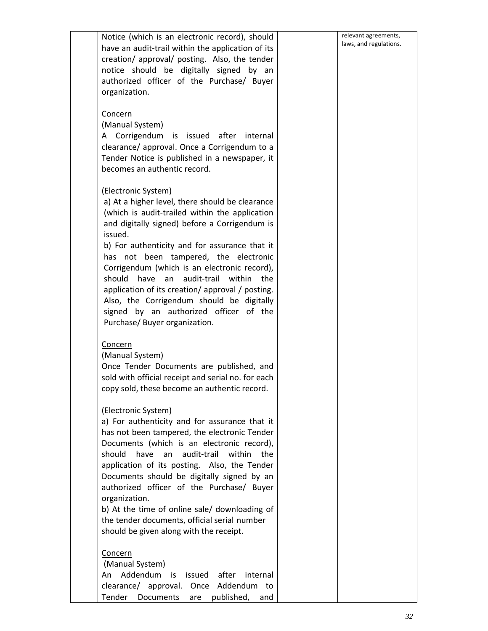| Notice (which is an electronic record), should<br>have an audit-trail within the application of its<br>creation/ approval/ posting. Also, the tender<br>notice should be digitally signed by an<br>authorized officer of the Purchase/ Buyer<br>organization.                                                                                                                                                                                                                                                                                             | relevant agreements,<br>laws, and regulations. |
|-----------------------------------------------------------------------------------------------------------------------------------------------------------------------------------------------------------------------------------------------------------------------------------------------------------------------------------------------------------------------------------------------------------------------------------------------------------------------------------------------------------------------------------------------------------|------------------------------------------------|
| Concern<br>(Manual System)<br>A Corrigendum is issued after<br>internal<br>clearance/ approval. Once a Corrigendum to a<br>Tender Notice is published in a newspaper, it<br>becomes an authentic record.                                                                                                                                                                                                                                                                                                                                                  |                                                |
| (Electronic System)<br>a) At a higher level, there should be clearance<br>(which is audit-trailed within the application<br>and digitally signed) before a Corrigendum is<br>issued.<br>b) For authenticity and for assurance that it<br>has not been tampered, the electronic<br>Corrigendum (which is an electronic record),<br>should<br>have an audit-trail within<br>the<br>application of its creation/ approval / posting.<br>Also, the Corrigendum should be digitally<br>signed by an authorized officer of the<br>Purchase/ Buyer organization. |                                                |
| Concern<br>(Manual System)<br>Once Tender Documents are published, and<br>sold with official receipt and serial no. for each<br>copy sold, these become an authentic record.                                                                                                                                                                                                                                                                                                                                                                              |                                                |
| (Electronic System)<br>a) For authenticity and for assurance that it<br>has not been tampered, the electronic Tender<br>Documents (which is an electronic record),<br>have<br>audit-trail<br>within<br>should<br>an<br>the<br>application of its posting. Also, the Tender<br>Documents should be digitally signed by an<br>authorized officer of the Purchase/ Buyer<br>organization.<br>b) At the time of online sale/ downloading of<br>the tender documents, official serial number<br>should be given along with the receipt.                        |                                                |
| Concern<br>(Manual System)<br>An Addendum is<br>issued<br>after<br>internal<br>Addendum to<br>clearance/ approval. Once<br>Tender Documents<br>published, and<br>are                                                                                                                                                                                                                                                                                                                                                                                      |                                                |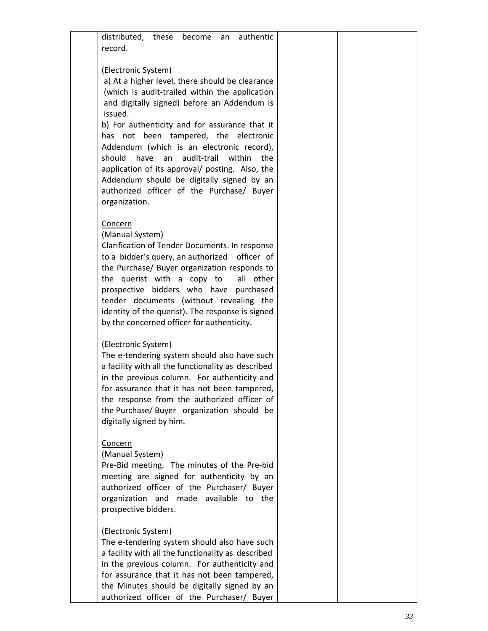| distributed, these become<br>authentic<br>an<br>record.                                                                                                                                                                                                                                                                                                                                                                                                                                                                                         |  |
|-------------------------------------------------------------------------------------------------------------------------------------------------------------------------------------------------------------------------------------------------------------------------------------------------------------------------------------------------------------------------------------------------------------------------------------------------------------------------------------------------------------------------------------------------|--|
| (Electronic System)<br>a) At a higher level, there should be clearance<br>(which is audit-trailed within the application<br>and digitally signed) before an Addendum is<br>issued.<br>b) For authenticity and for assurance that it<br>has not been tampered, the electronic<br>Addendum (which is an electronic record),<br>audit-trail<br>should<br>have<br>an<br>within<br>the<br>application of its approval/ posting. Also, the<br>Addendum should be digitally signed by an<br>authorized officer of the Purchase/ Buyer<br>organization. |  |
| Concern<br>(Manual System)<br>Clarification of Tender Documents. In response<br>to a bidder's query, an authorized officer of<br>the Purchase/ Buyer organization responds to<br>the querist with a copy to<br>all other<br>prospective bidders who have purchased<br>tender documents (without revealing the<br>identity of the querist). The response is signed<br>by the concerned officer for authenticity.                                                                                                                                 |  |
| (Electronic System)<br>The e-tendering system should also have such<br>a facility with all the functionality as described<br>in the previous column. For authenticity and<br>for assurance that it has not been tampered,<br>the response from the authorized officer of<br>the Purchase/ Buyer organization should be<br>digitally signed by him.                                                                                                                                                                                              |  |
| Concern<br>(Manual System)<br>Pre-Bid meeting. The minutes of the Pre-bid<br>meeting are signed for authenticity by an<br>authorized officer of the Purchaser/ Buyer<br>organization and made available to the<br>prospective bidders.                                                                                                                                                                                                                                                                                                          |  |
| (Electronic System)<br>The e-tendering system should also have such<br>a facility with all the functionality as described<br>in the previous column. For authenticity and<br>for assurance that it has not been tampered,<br>the Minutes should be digitally signed by an<br>authorized officer of the Purchaser/ Buyer                                                                                                                                                                                                                         |  |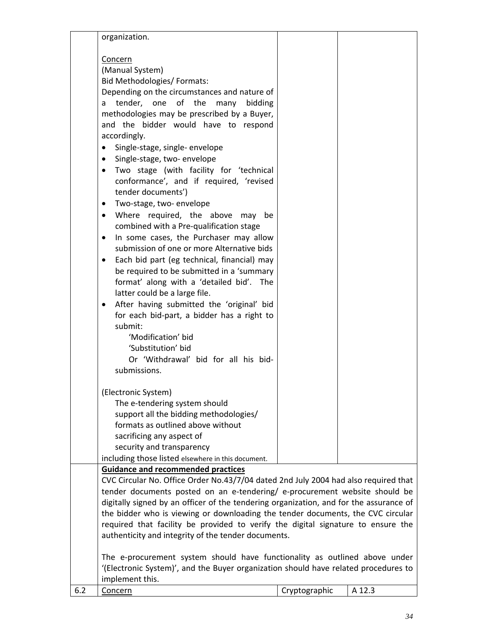|     | organization.                                                                                                                                                                                                                                                                                                                                                                                                                                                                                                                                                                                                                                                                                                                                                                                                                                                                                                                                                                                                                                                                                           |               |        |
|-----|---------------------------------------------------------------------------------------------------------------------------------------------------------------------------------------------------------------------------------------------------------------------------------------------------------------------------------------------------------------------------------------------------------------------------------------------------------------------------------------------------------------------------------------------------------------------------------------------------------------------------------------------------------------------------------------------------------------------------------------------------------------------------------------------------------------------------------------------------------------------------------------------------------------------------------------------------------------------------------------------------------------------------------------------------------------------------------------------------------|---------------|--------|
|     | Concern<br>(Manual System)<br>Bid Methodologies/ Formats:<br>Depending on the circumstances and nature of<br>tender, one of the<br>many<br>bidding<br>a<br>methodologies may be prescribed by a Buyer,<br>and the bidder would have to respond<br>accordingly.<br>Single-stage, single- envelope<br>$\bullet$<br>Single-stage, two- envelope<br>$\bullet$<br>Two stage (with facility for 'technical<br>conformance', and if required, 'revised<br>tender documents')<br>Two-stage, two-envelope<br>$\bullet$<br>Where required, the above<br>may<br>be<br>$\bullet$<br>combined with a Pre-qualification stage<br>In some cases, the Purchaser may allow<br>$\bullet$<br>submission of one or more Alternative bids<br>Each bid part (eg technical, financial) may<br>be required to be submitted in a 'summary<br>format' along with a 'detailed bid'. The<br>latter could be a large file.<br>After having submitted the 'original' bid<br>for each bid-part, a bidder has a right to<br>submit:<br>'Modification' bid<br>'Substitution' bid<br>Or 'Withdrawal' bid for all his bid-<br>submissions. |               |        |
|     | (Electronic System)<br>The e-tendering system should<br>support all the bidding methodologies/<br>formats as outlined above without<br>sacrificing any aspect of<br>security and transparency                                                                                                                                                                                                                                                                                                                                                                                                                                                                                                                                                                                                                                                                                                                                                                                                                                                                                                           |               |        |
|     | including those listed elsewhere in this document.<br><b>Guidance and recommended practices</b>                                                                                                                                                                                                                                                                                                                                                                                                                                                                                                                                                                                                                                                                                                                                                                                                                                                                                                                                                                                                         |               |        |
|     | CVC Circular No. Office Order No.43/7/04 dated 2nd July 2004 had also required that<br>tender documents posted on an e-tendering/ e-procurement website should be<br>digitally signed by an officer of the tendering organization, and for the assurance of<br>the bidder who is viewing or downloading the tender documents, the CVC circular<br>required that facility be provided to verify the digital signature to ensure the<br>authenticity and integrity of the tender documents.                                                                                                                                                                                                                                                                                                                                                                                                                                                                                                                                                                                                               |               |        |
|     | The e-procurement system should have functionality as outlined above under<br>(Electronic System)', and the Buyer organization should have related procedures to<br>implement this.                                                                                                                                                                                                                                                                                                                                                                                                                                                                                                                                                                                                                                                                                                                                                                                                                                                                                                                     |               |        |
| 6.2 | Concern                                                                                                                                                                                                                                                                                                                                                                                                                                                                                                                                                                                                                                                                                                                                                                                                                                                                                                                                                                                                                                                                                                 | Cryptographic | A 12.3 |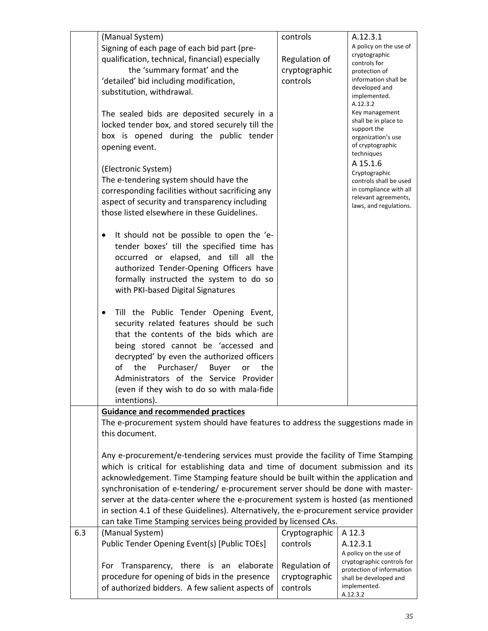|     | (Manual System)<br>Signing of each page of each bid part (pre-<br>qualification, technical, financial) especially<br>the 'summary format' and the<br>'detailed' bid including modification,<br>substitution, withdrawal.<br>The sealed bids are deposited securely in a<br>locked tender box, and stored securely till the<br>box is opened during the public tender<br>opening event.<br>(Electronic System)<br>The e-tendering system should have the<br>corresponding facilities without sacrificing any<br>aspect of security and transparency including<br>those listed elsewhere in these Guidelines.<br>It should not be possible to open the 'e-<br>$\bullet$<br>tender boxes' till the specified time has<br>occurred or elapsed, and till all the<br>authorized Tender-Opening Officers have<br>formally instructed the system to do so<br>with PKI-based Digital Signatures<br>Till the Public Tender Opening Event,<br>٠<br>security related features should be such<br>that the contents of the bids which are<br>being stored cannot be 'accessed and<br>decrypted' by even the authorized officers<br>Purchaser/ Buyer<br>of<br>the<br>the<br>or<br>Administrators of the Service Provider<br>(even if they wish to do so with mala-fide | controls<br>Regulation of<br>cryptographic<br>controls | A.12.3.1<br>A policy on the use of<br>cryptographic<br>controls for<br>protection of<br>information shall be<br>developed and<br>implemented.<br>A.12.3.2<br>Key management<br>shall be in place to<br>support the<br>organization's use<br>of cryptographic<br>techniques<br>A 15.1.6<br>Cryptographic<br>controls shall be used<br>in compliance with all<br>relevant agreements,<br>laws, and regulations. |
|-----|---------------------------------------------------------------------------------------------------------------------------------------------------------------------------------------------------------------------------------------------------------------------------------------------------------------------------------------------------------------------------------------------------------------------------------------------------------------------------------------------------------------------------------------------------------------------------------------------------------------------------------------------------------------------------------------------------------------------------------------------------------------------------------------------------------------------------------------------------------------------------------------------------------------------------------------------------------------------------------------------------------------------------------------------------------------------------------------------------------------------------------------------------------------------------------------------------------------------------------------------------------|--------------------------------------------------------|---------------------------------------------------------------------------------------------------------------------------------------------------------------------------------------------------------------------------------------------------------------------------------------------------------------------------------------------------------------------------------------------------------------|
|     | intentions).<br><b>Guidance and recommended practices</b>                                                                                                                                                                                                                                                                                                                                                                                                                                                                                                                                                                                                                                                                                                                                                                                                                                                                                                                                                                                                                                                                                                                                                                                               |                                                        |                                                                                                                                                                                                                                                                                                                                                                                                               |
|     | The e-procurement system should have features to address the suggestions made in<br>this document.                                                                                                                                                                                                                                                                                                                                                                                                                                                                                                                                                                                                                                                                                                                                                                                                                                                                                                                                                                                                                                                                                                                                                      |                                                        |                                                                                                                                                                                                                                                                                                                                                                                                               |
|     | Any e-procurement/e-tendering services must provide the facility of Time Stamping<br>which is critical for establishing data and time of document submission and its<br>acknowledgement. Time Stamping feature should be built within the application and<br>synchronisation of e-tendering/ e-procurement server should be done with master-<br>server at the data-center where the e-procurement system is hosted (as mentioned<br>in section 4.1 of these Guidelines). Alternatively, the e-procurement service provider<br>can take Time Stamping services being provided by licensed CAs.                                                                                                                                                                                                                                                                                                                                                                                                                                                                                                                                                                                                                                                          |                                                        |                                                                                                                                                                                                                                                                                                                                                                                                               |
| 6.3 | (Manual System)<br>Public Tender Opening Event(s) [Public TOEs]                                                                                                                                                                                                                                                                                                                                                                                                                                                                                                                                                                                                                                                                                                                                                                                                                                                                                                                                                                                                                                                                                                                                                                                         | Cryptographic<br>controls                              | A 12.3<br>A.12.3.1<br>A policy on the use of<br>cryptographic controls for                                                                                                                                                                                                                                                                                                                                    |
|     | For Transparency, there is an<br>elaborate<br>procedure for opening of bids in the presence<br>of authorized bidders. A few salient aspects of                                                                                                                                                                                                                                                                                                                                                                                                                                                                                                                                                                                                                                                                                                                                                                                                                                                                                                                                                                                                                                                                                                          | Regulation of<br>cryptographic<br>controls             | protection of information<br>shall be developed and<br>implemented.<br>A.12.3.2                                                                                                                                                                                                                                                                                                                               |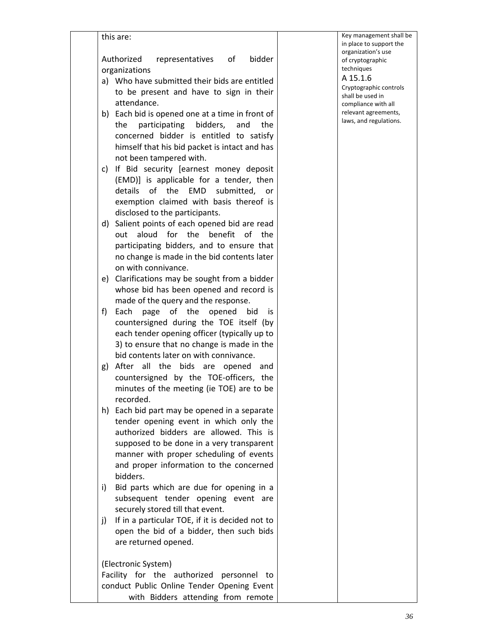|    | Authorized<br>bidder<br>representatives of                                              |  |
|----|-----------------------------------------------------------------------------------------|--|
|    | organizations                                                                           |  |
|    | a) Who have submitted their bids are entitled                                           |  |
|    | to be present and have to sign in their                                                 |  |
|    | attendance.                                                                             |  |
| b) | Each bid is opened one at a time in front of                                            |  |
|    | participating bidders, and<br>the<br>the                                                |  |
|    | concerned bidder is entitled to satisfy                                                 |  |
|    | himself that his bid packet is intact and has                                           |  |
|    | not been tampered with.                                                                 |  |
| c) | If Bid security [earnest money deposit                                                  |  |
|    | (EMD)] is applicable for a tender, then                                                 |  |
|    | EMD submitted, or<br>details of the                                                     |  |
|    | exemption claimed with basis thereof is                                                 |  |
|    | disclosed to the participants.                                                          |  |
| d) | Salient points of each opened bid are read                                              |  |
|    | for the benefit of<br>aloud<br>the<br>out                                               |  |
|    | participating bidders, and to ensure that                                               |  |
|    | no change is made in the bid contents later                                             |  |
|    | on with connivance.                                                                     |  |
| e) | Clarifications may be sought from a bidder                                              |  |
|    | whose bid has been opened and record is                                                 |  |
| f) | made of the query and the response.                                                     |  |
|    | page of the opened<br>Each<br>bid<br>İS.                                                |  |
|    | countersigned during the TOE itself (by<br>each tender opening officer (typically up to |  |
|    | 3) to ensure that no change is made in the                                              |  |
|    | bid contents later on with connivance.                                                  |  |
| g) | After<br>all<br>the bids<br>are<br>opened<br>and                                        |  |
|    | countersigned by the TOE-officers, the                                                  |  |
|    | minutes of the meeting (ie TOE) are to be                                               |  |
|    | recorded.                                                                               |  |
| h) | Each bid part may be opened in a separate                                               |  |
|    | tender opening event in which only the                                                  |  |
|    | authorized bidders are allowed. This is                                                 |  |
|    | supposed to be done in a very transparent                                               |  |
|    | manner with proper scheduling of events                                                 |  |
|    | and proper information to the concerned                                                 |  |
|    | bidders.                                                                                |  |
| i) | Bid parts which are due for opening in a                                                |  |
|    | subsequent tender opening event are                                                     |  |
|    | securely stored till that event.                                                        |  |
| j) | If in a particular TOE, if it is decided not to                                         |  |
|    | open the bid of a bidder, then such bids                                                |  |
|    | are returned opened.                                                                    |  |
|    | (Electronic System)                                                                     |  |

with Bidders attending from remote

management shall be blace to support the anization's use cryptographic niques

#### A 15.1.6

ptographic controls shall be used in npliance with all evant agreements, is, and regulations.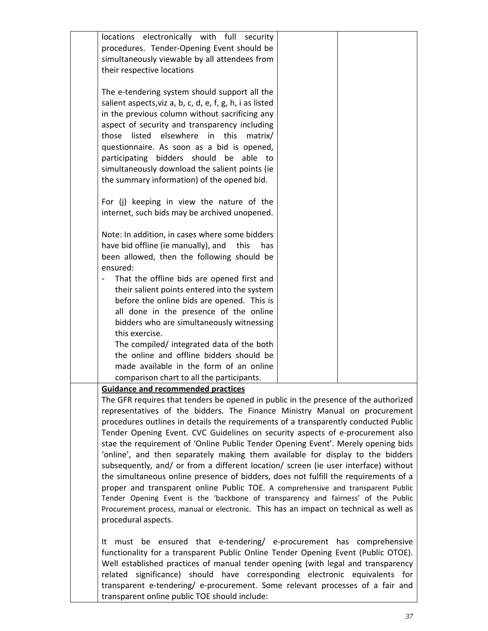| locations electronically with full security<br>procedures. Tender-Opening Event should be<br>simultaneously viewable by all attendees from<br>their respective locations                                                                                                                                                                                                                                                                                                                                                                                                                                                                                                                                                                                                                                                                                                                                                                                                                                                                                         |  |
|------------------------------------------------------------------------------------------------------------------------------------------------------------------------------------------------------------------------------------------------------------------------------------------------------------------------------------------------------------------------------------------------------------------------------------------------------------------------------------------------------------------------------------------------------------------------------------------------------------------------------------------------------------------------------------------------------------------------------------------------------------------------------------------------------------------------------------------------------------------------------------------------------------------------------------------------------------------------------------------------------------------------------------------------------------------|--|
| The e-tendering system should support all the<br>salient aspects, viz a, b, c, d, e, f, g, h, i as listed<br>in the previous column without sacrificing any<br>aspect of security and transparency including                                                                                                                                                                                                                                                                                                                                                                                                                                                                                                                                                                                                                                                                                                                                                                                                                                                     |  |
| those<br>listed elsewhere in this<br>matrix/<br>questionnaire. As soon as a bid is opened,<br>bidders should be<br>participating<br>able to<br>simultaneously download the salient points (ie<br>the summary information) of the opened bid.                                                                                                                                                                                                                                                                                                                                                                                                                                                                                                                                                                                                                                                                                                                                                                                                                     |  |
| For (j) keeping in view the nature of the<br>internet, such bids may be archived unopened.                                                                                                                                                                                                                                                                                                                                                                                                                                                                                                                                                                                                                                                                                                                                                                                                                                                                                                                                                                       |  |
| Note: In addition, in cases where some bidders<br>have bid offline (ie manually), and<br>this<br>has<br>been allowed, then the following should be<br>ensured:                                                                                                                                                                                                                                                                                                                                                                                                                                                                                                                                                                                                                                                                                                                                                                                                                                                                                                   |  |
| That the offline bids are opened first and<br>their salient points entered into the system<br>before the online bids are opened. This is<br>all done in the presence of the online                                                                                                                                                                                                                                                                                                                                                                                                                                                                                                                                                                                                                                                                                                                                                                                                                                                                               |  |
| bidders who are simultaneously witnessing<br>this exercise.<br>The compiled/ integrated data of the both<br>the online and offline bidders should be<br>made available in the form of an online                                                                                                                                                                                                                                                                                                                                                                                                                                                                                                                                                                                                                                                                                                                                                                                                                                                                  |  |
| comparison chart to all the participants.<br><b>Guidance and recommended practices</b>                                                                                                                                                                                                                                                                                                                                                                                                                                                                                                                                                                                                                                                                                                                                                                                                                                                                                                                                                                           |  |
| The GFR requires that tenders be opened in public in the presence of the authorized<br>representatives of the bidders. The Finance Ministry Manual on procurement<br>procedures outlines in details the requirements of a transparently conducted Public<br>Tender Opening Event. CVC Guidelines on security aspects of e-procurement also<br>stae the requirement of 'Online Public Tender Opening Event'. Merely opening bids<br>'online', and then separately making them available for display to the bidders<br>subsequently, and/ or from a different location/ screen (ie user interface) without<br>the simultaneous online presence of bidders, does not fulfill the requirements of a<br>proper and transparent online Public TOE. A comprehensive and transparent Public<br>Tender Opening Event is the 'backbone of transparency and fairness' of the Public<br>Procurement process, manual or electronic. This has an impact on technical as well as<br>procedural aspects.<br>It must be ensured that e-tendering/ e-procurement has comprehensive |  |
| functionality for a transparent Public Online Tender Opening Event (Public OTOE).<br>Well established practices of manual tender opening (with legal and transparency<br>related significance) should have corresponding electronic equivalents for<br>transparent e-tendering/ e-procurement. Some relevant processes of a fair and                                                                                                                                                                                                                                                                                                                                                                                                                                                                                                                                                                                                                                                                                                                             |  |

transparent online public TOE should include: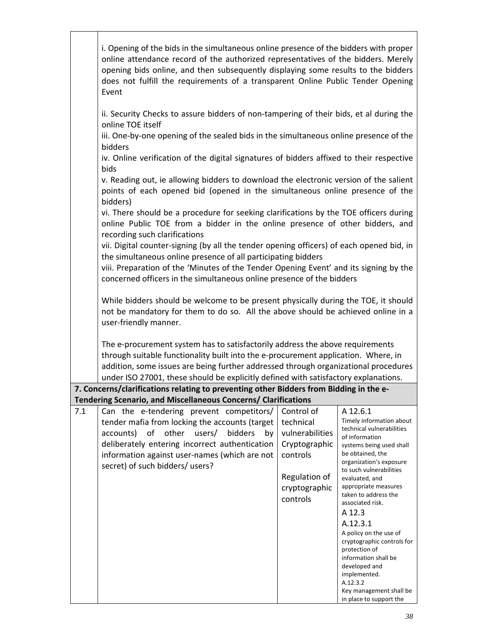|     | i. Opening of the bids in the simultaneous online presence of the bidders with proper<br>online attendance record of the authorized representatives of the bidders. Merely<br>opening bids online, and then subsequently displaying some results to the bidders<br>does not fulfill the requirements of a transparent Online Public Tender Opening<br>Event |                 |                                                    |
|-----|-------------------------------------------------------------------------------------------------------------------------------------------------------------------------------------------------------------------------------------------------------------------------------------------------------------------------------------------------------------|-----------------|----------------------------------------------------|
|     | ii. Security Checks to assure bidders of non-tampering of their bids, et al during the<br>online TOE itself<br>iii. One-by-one opening of the sealed bids in the simultaneous online presence of the                                                                                                                                                        |                 |                                                    |
|     | bidders                                                                                                                                                                                                                                                                                                                                                     |                 |                                                    |
|     | iv. Online verification of the digital signatures of bidders affixed to their respective<br>bids                                                                                                                                                                                                                                                            |                 |                                                    |
|     | v. Reading out, ie allowing bidders to download the electronic version of the salient<br>points of each opened bid (opened in the simultaneous online presence of the<br>bidders)                                                                                                                                                                           |                 |                                                    |
|     | vi. There should be a procedure for seeking clarifications by the TOE officers during<br>online Public TOE from a bidder in the online presence of other bidders, and<br>recording such clarifications                                                                                                                                                      |                 |                                                    |
|     | vii. Digital counter-signing (by all the tender opening officers) of each opened bid, in                                                                                                                                                                                                                                                                    |                 |                                                    |
|     | the simultaneous online presence of all participating bidders<br>viii. Preparation of the 'Minutes of the Tender Opening Event' and its signing by the                                                                                                                                                                                                      |                 |                                                    |
|     | concerned officers in the simultaneous online presence of the bidders                                                                                                                                                                                                                                                                                       |                 |                                                    |
|     | While bidders should be welcome to be present physically during the TOE, it should<br>not be mandatory for them to do so. All the above should be achieved online in a<br>user-friendly manner.                                                                                                                                                             |                 |                                                    |
|     | The e-procurement system has to satisfactorily address the above requirements<br>through suitable functionality built into the e-procurement application. Where, in<br>addition, some issues are being further addressed through organizational procedures<br>under ISO 27001, these should be explicitly defined with satisfactory explanations.           |                 |                                                    |
|     | 7. Concerns/clarifications relating to preventing other Bidders from Bidding in the e-                                                                                                                                                                                                                                                                      |                 |                                                    |
| 7.1 | Tendering Scenario, and Miscellaneous Concerns/ Clarifications<br>Can the e-tendering prevent competitors/                                                                                                                                                                                                                                                  | Control of      | A 12.6.1                                           |
|     | tender mafia from locking the accounts (target                                                                                                                                                                                                                                                                                                              | technical       | Timely information about                           |
|     | accounts) of<br>other<br>users/<br>bidders<br>by                                                                                                                                                                                                                                                                                                            | vulnerabilities | technical vulnerabilities<br>of information        |
|     | deliberately entering incorrect authentication                                                                                                                                                                                                                                                                                                              | Cryptographic   | systems being used shall<br>be obtained, the       |
|     | information against user-names (which are not<br>secret) of such bidders/ users?                                                                                                                                                                                                                                                                            | controls        | organization's exposure                            |
|     |                                                                                                                                                                                                                                                                                                                                                             | Regulation of   | to such vulnerabilities<br>evaluated, and          |
|     |                                                                                                                                                                                                                                                                                                                                                             | cryptographic   | appropriate measures                               |
|     |                                                                                                                                                                                                                                                                                                                                                             | controls        | taken to address the<br>associated risk.           |
|     |                                                                                                                                                                                                                                                                                                                                                             |                 | A 12.3                                             |
|     |                                                                                                                                                                                                                                                                                                                                                             |                 | A.12.3.1<br>A policy on the use of                 |
|     |                                                                                                                                                                                                                                                                                                                                                             |                 | cryptographic controls for                         |
|     |                                                                                                                                                                                                                                                                                                                                                             |                 | protection of<br>information shall be              |
|     |                                                                                                                                                                                                                                                                                                                                                             |                 | developed and<br>implemented.                      |
|     |                                                                                                                                                                                                                                                                                                                                                             |                 | A.12.3.2                                           |
|     |                                                                                                                                                                                                                                                                                                                                                             |                 | Key management shall be<br>in place to support the |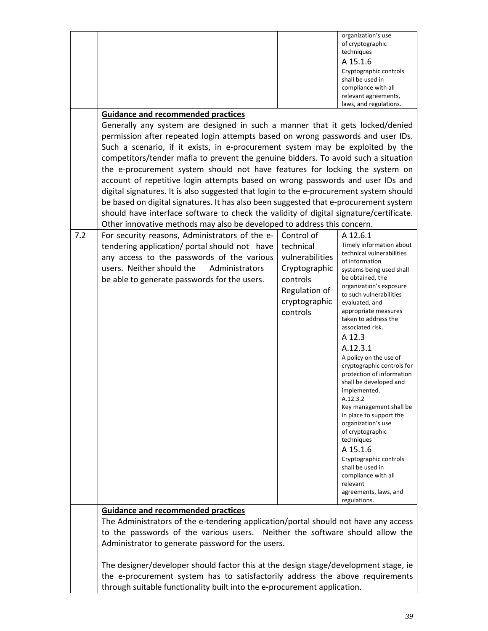| techniques<br>A 15.1.6<br>Cryptographic controls<br>shall be used in<br>compliance with all<br>relevant agreements,<br>laws, and regulations.<br><b>Guidance and recommended practices</b><br>Generally any system are designed in such a manner that it gets locked/denied<br>permission after repeated login attempts based on wrong passwords and user IDs.<br>Such a scenario, if it exists, in e-procurement system may be exploited by the<br>competitors/tender mafia to prevent the genuine bidders. To avoid such a situation<br>the e-procurement system should not have features for locking the system on<br>account of repetitive login attempts based on wrong passwords and user IDs and<br>digital signatures. It is also suggested that login to the e-procurement system should<br>be based on digital signatures. It has also been suggested that e-procurement system<br>should have interface software to check the validity of digital signature/certificate.<br>Other innovative methods may also be developed to address this concern.<br>7.2<br>For security reasons, Administrators of the e-<br>Control of<br>A 12.6.1<br>Timely information about<br>tendering application/ portal should not have<br>technical<br>technical vulnerabilities<br>vulnerabilities<br>any access to the passwords of the various<br>of information<br>users. Neither should the<br>Administrators<br>Cryptographic<br>systems being used shall<br>be obtained, the<br>be able to generate passwords for the users.<br>controls<br>organization's exposure<br>Regulation of<br>to such vulnerabilities<br>cryptographic<br>evaluated, and<br>appropriate measures<br>controls<br>taken to address the<br>associated risk.<br>A 12.3<br>A.12.3.1<br>A policy on the use of<br>cryptographic controls for<br>protection of information<br>shall be developed and<br>implemented.<br>A.12.3.2<br>Key management shall be<br>in place to support the<br>organization's use<br>of cryptographic<br>techniques<br>A 15.1.6<br>Cryptographic controls<br>shall be used in<br>compliance with all<br>relevant<br>agreements, laws, and<br>regulations.<br><b>Guidance and recommended practices</b><br>The Administrators of the e-tendering application/portal should not have any access<br>to the passwords of the various users. Neither the software should allow the<br>Administrator to generate password for the users.<br>The designer/developer should factor this at the design stage/development stage, ie<br>the e-procurement system has to satisfactorily address the above requirements |                                                                          | organization's use |
|---------------------------------------------------------------------------------------------------------------------------------------------------------------------------------------------------------------------------------------------------------------------------------------------------------------------------------------------------------------------------------------------------------------------------------------------------------------------------------------------------------------------------------------------------------------------------------------------------------------------------------------------------------------------------------------------------------------------------------------------------------------------------------------------------------------------------------------------------------------------------------------------------------------------------------------------------------------------------------------------------------------------------------------------------------------------------------------------------------------------------------------------------------------------------------------------------------------------------------------------------------------------------------------------------------------------------------------------------------------------------------------------------------------------------------------------------------------------------------------------------------------------------------------------------------------------------------------------------------------------------------------------------------------------------------------------------------------------------------------------------------------------------------------------------------------------------------------------------------------------------------------------------------------------------------------------------------------------------------------------------------------------------------------------------------------------------------------------------------------------------------------------------------------------------------------------------------------------------------------------------------------------------------------------------------------------------------------------------------------------------------------------------------------------------------------------------------------------------------------------------------------------------------------------------------------------------------------------------------|--------------------------------------------------------------------------|--------------------|
|                                                                                                                                                                                                                                                                                                                                                                                                                                                                                                                                                                                                                                                                                                                                                                                                                                                                                                                                                                                                                                                                                                                                                                                                                                                                                                                                                                                                                                                                                                                                                                                                                                                                                                                                                                                                                                                                                                                                                                                                                                                                                                                                                                                                                                                                                                                                                                                                                                                                                                                                                                                                         |                                                                          | of cryptographic   |
|                                                                                                                                                                                                                                                                                                                                                                                                                                                                                                                                                                                                                                                                                                                                                                                                                                                                                                                                                                                                                                                                                                                                                                                                                                                                                                                                                                                                                                                                                                                                                                                                                                                                                                                                                                                                                                                                                                                                                                                                                                                                                                                                                                                                                                                                                                                                                                                                                                                                                                                                                                                                         |                                                                          |                    |
|                                                                                                                                                                                                                                                                                                                                                                                                                                                                                                                                                                                                                                                                                                                                                                                                                                                                                                                                                                                                                                                                                                                                                                                                                                                                                                                                                                                                                                                                                                                                                                                                                                                                                                                                                                                                                                                                                                                                                                                                                                                                                                                                                                                                                                                                                                                                                                                                                                                                                                                                                                                                         |                                                                          |                    |
|                                                                                                                                                                                                                                                                                                                                                                                                                                                                                                                                                                                                                                                                                                                                                                                                                                                                                                                                                                                                                                                                                                                                                                                                                                                                                                                                                                                                                                                                                                                                                                                                                                                                                                                                                                                                                                                                                                                                                                                                                                                                                                                                                                                                                                                                                                                                                                                                                                                                                                                                                                                                         |                                                                          |                    |
|                                                                                                                                                                                                                                                                                                                                                                                                                                                                                                                                                                                                                                                                                                                                                                                                                                                                                                                                                                                                                                                                                                                                                                                                                                                                                                                                                                                                                                                                                                                                                                                                                                                                                                                                                                                                                                                                                                                                                                                                                                                                                                                                                                                                                                                                                                                                                                                                                                                                                                                                                                                                         |                                                                          |                    |
|                                                                                                                                                                                                                                                                                                                                                                                                                                                                                                                                                                                                                                                                                                                                                                                                                                                                                                                                                                                                                                                                                                                                                                                                                                                                                                                                                                                                                                                                                                                                                                                                                                                                                                                                                                                                                                                                                                                                                                                                                                                                                                                                                                                                                                                                                                                                                                                                                                                                                                                                                                                                         |                                                                          |                    |
|                                                                                                                                                                                                                                                                                                                                                                                                                                                                                                                                                                                                                                                                                                                                                                                                                                                                                                                                                                                                                                                                                                                                                                                                                                                                                                                                                                                                                                                                                                                                                                                                                                                                                                                                                                                                                                                                                                                                                                                                                                                                                                                                                                                                                                                                                                                                                                                                                                                                                                                                                                                                         |                                                                          |                    |
|                                                                                                                                                                                                                                                                                                                                                                                                                                                                                                                                                                                                                                                                                                                                                                                                                                                                                                                                                                                                                                                                                                                                                                                                                                                                                                                                                                                                                                                                                                                                                                                                                                                                                                                                                                                                                                                                                                                                                                                                                                                                                                                                                                                                                                                                                                                                                                                                                                                                                                                                                                                                         |                                                                          |                    |
|                                                                                                                                                                                                                                                                                                                                                                                                                                                                                                                                                                                                                                                                                                                                                                                                                                                                                                                                                                                                                                                                                                                                                                                                                                                                                                                                                                                                                                                                                                                                                                                                                                                                                                                                                                                                                                                                                                                                                                                                                                                                                                                                                                                                                                                                                                                                                                                                                                                                                                                                                                                                         |                                                                          |                    |
|                                                                                                                                                                                                                                                                                                                                                                                                                                                                                                                                                                                                                                                                                                                                                                                                                                                                                                                                                                                                                                                                                                                                                                                                                                                                                                                                                                                                                                                                                                                                                                                                                                                                                                                                                                                                                                                                                                                                                                                                                                                                                                                                                                                                                                                                                                                                                                                                                                                                                                                                                                                                         |                                                                          |                    |
|                                                                                                                                                                                                                                                                                                                                                                                                                                                                                                                                                                                                                                                                                                                                                                                                                                                                                                                                                                                                                                                                                                                                                                                                                                                                                                                                                                                                                                                                                                                                                                                                                                                                                                                                                                                                                                                                                                                                                                                                                                                                                                                                                                                                                                                                                                                                                                                                                                                                                                                                                                                                         |                                                                          |                    |
|                                                                                                                                                                                                                                                                                                                                                                                                                                                                                                                                                                                                                                                                                                                                                                                                                                                                                                                                                                                                                                                                                                                                                                                                                                                                                                                                                                                                                                                                                                                                                                                                                                                                                                                                                                                                                                                                                                                                                                                                                                                                                                                                                                                                                                                                                                                                                                                                                                                                                                                                                                                                         |                                                                          |                    |
|                                                                                                                                                                                                                                                                                                                                                                                                                                                                                                                                                                                                                                                                                                                                                                                                                                                                                                                                                                                                                                                                                                                                                                                                                                                                                                                                                                                                                                                                                                                                                                                                                                                                                                                                                                                                                                                                                                                                                                                                                                                                                                                                                                                                                                                                                                                                                                                                                                                                                                                                                                                                         |                                                                          |                    |
|                                                                                                                                                                                                                                                                                                                                                                                                                                                                                                                                                                                                                                                                                                                                                                                                                                                                                                                                                                                                                                                                                                                                                                                                                                                                                                                                                                                                                                                                                                                                                                                                                                                                                                                                                                                                                                                                                                                                                                                                                                                                                                                                                                                                                                                                                                                                                                                                                                                                                                                                                                                                         |                                                                          |                    |
|                                                                                                                                                                                                                                                                                                                                                                                                                                                                                                                                                                                                                                                                                                                                                                                                                                                                                                                                                                                                                                                                                                                                                                                                                                                                                                                                                                                                                                                                                                                                                                                                                                                                                                                                                                                                                                                                                                                                                                                                                                                                                                                                                                                                                                                                                                                                                                                                                                                                                                                                                                                                         |                                                                          |                    |
|                                                                                                                                                                                                                                                                                                                                                                                                                                                                                                                                                                                                                                                                                                                                                                                                                                                                                                                                                                                                                                                                                                                                                                                                                                                                                                                                                                                                                                                                                                                                                                                                                                                                                                                                                                                                                                                                                                                                                                                                                                                                                                                                                                                                                                                                                                                                                                                                                                                                                                                                                                                                         |                                                                          |                    |
|                                                                                                                                                                                                                                                                                                                                                                                                                                                                                                                                                                                                                                                                                                                                                                                                                                                                                                                                                                                                                                                                                                                                                                                                                                                                                                                                                                                                                                                                                                                                                                                                                                                                                                                                                                                                                                                                                                                                                                                                                                                                                                                                                                                                                                                                                                                                                                                                                                                                                                                                                                                                         |                                                                          |                    |
|                                                                                                                                                                                                                                                                                                                                                                                                                                                                                                                                                                                                                                                                                                                                                                                                                                                                                                                                                                                                                                                                                                                                                                                                                                                                                                                                                                                                                                                                                                                                                                                                                                                                                                                                                                                                                                                                                                                                                                                                                                                                                                                                                                                                                                                                                                                                                                                                                                                                                                                                                                                                         |                                                                          |                    |
|                                                                                                                                                                                                                                                                                                                                                                                                                                                                                                                                                                                                                                                                                                                                                                                                                                                                                                                                                                                                                                                                                                                                                                                                                                                                                                                                                                                                                                                                                                                                                                                                                                                                                                                                                                                                                                                                                                                                                                                                                                                                                                                                                                                                                                                                                                                                                                                                                                                                                                                                                                                                         |                                                                          |                    |
|                                                                                                                                                                                                                                                                                                                                                                                                                                                                                                                                                                                                                                                                                                                                                                                                                                                                                                                                                                                                                                                                                                                                                                                                                                                                                                                                                                                                                                                                                                                                                                                                                                                                                                                                                                                                                                                                                                                                                                                                                                                                                                                                                                                                                                                                                                                                                                                                                                                                                                                                                                                                         |                                                                          |                    |
|                                                                                                                                                                                                                                                                                                                                                                                                                                                                                                                                                                                                                                                                                                                                                                                                                                                                                                                                                                                                                                                                                                                                                                                                                                                                                                                                                                                                                                                                                                                                                                                                                                                                                                                                                                                                                                                                                                                                                                                                                                                                                                                                                                                                                                                                                                                                                                                                                                                                                                                                                                                                         |                                                                          |                    |
|                                                                                                                                                                                                                                                                                                                                                                                                                                                                                                                                                                                                                                                                                                                                                                                                                                                                                                                                                                                                                                                                                                                                                                                                                                                                                                                                                                                                                                                                                                                                                                                                                                                                                                                                                                                                                                                                                                                                                                                                                                                                                                                                                                                                                                                                                                                                                                                                                                                                                                                                                                                                         |                                                                          |                    |
|                                                                                                                                                                                                                                                                                                                                                                                                                                                                                                                                                                                                                                                                                                                                                                                                                                                                                                                                                                                                                                                                                                                                                                                                                                                                                                                                                                                                                                                                                                                                                                                                                                                                                                                                                                                                                                                                                                                                                                                                                                                                                                                                                                                                                                                                                                                                                                                                                                                                                                                                                                                                         |                                                                          |                    |
|                                                                                                                                                                                                                                                                                                                                                                                                                                                                                                                                                                                                                                                                                                                                                                                                                                                                                                                                                                                                                                                                                                                                                                                                                                                                                                                                                                                                                                                                                                                                                                                                                                                                                                                                                                                                                                                                                                                                                                                                                                                                                                                                                                                                                                                                                                                                                                                                                                                                                                                                                                                                         |                                                                          |                    |
|                                                                                                                                                                                                                                                                                                                                                                                                                                                                                                                                                                                                                                                                                                                                                                                                                                                                                                                                                                                                                                                                                                                                                                                                                                                                                                                                                                                                                                                                                                                                                                                                                                                                                                                                                                                                                                                                                                                                                                                                                                                                                                                                                                                                                                                                                                                                                                                                                                                                                                                                                                                                         |                                                                          |                    |
|                                                                                                                                                                                                                                                                                                                                                                                                                                                                                                                                                                                                                                                                                                                                                                                                                                                                                                                                                                                                                                                                                                                                                                                                                                                                                                                                                                                                                                                                                                                                                                                                                                                                                                                                                                                                                                                                                                                                                                                                                                                                                                                                                                                                                                                                                                                                                                                                                                                                                                                                                                                                         |                                                                          |                    |
|                                                                                                                                                                                                                                                                                                                                                                                                                                                                                                                                                                                                                                                                                                                                                                                                                                                                                                                                                                                                                                                                                                                                                                                                                                                                                                                                                                                                                                                                                                                                                                                                                                                                                                                                                                                                                                                                                                                                                                                                                                                                                                                                                                                                                                                                                                                                                                                                                                                                                                                                                                                                         |                                                                          |                    |
|                                                                                                                                                                                                                                                                                                                                                                                                                                                                                                                                                                                                                                                                                                                                                                                                                                                                                                                                                                                                                                                                                                                                                                                                                                                                                                                                                                                                                                                                                                                                                                                                                                                                                                                                                                                                                                                                                                                                                                                                                                                                                                                                                                                                                                                                                                                                                                                                                                                                                                                                                                                                         |                                                                          |                    |
|                                                                                                                                                                                                                                                                                                                                                                                                                                                                                                                                                                                                                                                                                                                                                                                                                                                                                                                                                                                                                                                                                                                                                                                                                                                                                                                                                                                                                                                                                                                                                                                                                                                                                                                                                                                                                                                                                                                                                                                                                                                                                                                                                                                                                                                                                                                                                                                                                                                                                                                                                                                                         |                                                                          |                    |
|                                                                                                                                                                                                                                                                                                                                                                                                                                                                                                                                                                                                                                                                                                                                                                                                                                                                                                                                                                                                                                                                                                                                                                                                                                                                                                                                                                                                                                                                                                                                                                                                                                                                                                                                                                                                                                                                                                                                                                                                                                                                                                                                                                                                                                                                                                                                                                                                                                                                                                                                                                                                         |                                                                          |                    |
|                                                                                                                                                                                                                                                                                                                                                                                                                                                                                                                                                                                                                                                                                                                                                                                                                                                                                                                                                                                                                                                                                                                                                                                                                                                                                                                                                                                                                                                                                                                                                                                                                                                                                                                                                                                                                                                                                                                                                                                                                                                                                                                                                                                                                                                                                                                                                                                                                                                                                                                                                                                                         |                                                                          |                    |
|                                                                                                                                                                                                                                                                                                                                                                                                                                                                                                                                                                                                                                                                                                                                                                                                                                                                                                                                                                                                                                                                                                                                                                                                                                                                                                                                                                                                                                                                                                                                                                                                                                                                                                                                                                                                                                                                                                                                                                                                                                                                                                                                                                                                                                                                                                                                                                                                                                                                                                                                                                                                         |                                                                          |                    |
|                                                                                                                                                                                                                                                                                                                                                                                                                                                                                                                                                                                                                                                                                                                                                                                                                                                                                                                                                                                                                                                                                                                                                                                                                                                                                                                                                                                                                                                                                                                                                                                                                                                                                                                                                                                                                                                                                                                                                                                                                                                                                                                                                                                                                                                                                                                                                                                                                                                                                                                                                                                                         |                                                                          |                    |
|                                                                                                                                                                                                                                                                                                                                                                                                                                                                                                                                                                                                                                                                                                                                                                                                                                                                                                                                                                                                                                                                                                                                                                                                                                                                                                                                                                                                                                                                                                                                                                                                                                                                                                                                                                                                                                                                                                                                                                                                                                                                                                                                                                                                                                                                                                                                                                                                                                                                                                                                                                                                         |                                                                          |                    |
|                                                                                                                                                                                                                                                                                                                                                                                                                                                                                                                                                                                                                                                                                                                                                                                                                                                                                                                                                                                                                                                                                                                                                                                                                                                                                                                                                                                                                                                                                                                                                                                                                                                                                                                                                                                                                                                                                                                                                                                                                                                                                                                                                                                                                                                                                                                                                                                                                                                                                                                                                                                                         |                                                                          |                    |
|                                                                                                                                                                                                                                                                                                                                                                                                                                                                                                                                                                                                                                                                                                                                                                                                                                                                                                                                                                                                                                                                                                                                                                                                                                                                                                                                                                                                                                                                                                                                                                                                                                                                                                                                                                                                                                                                                                                                                                                                                                                                                                                                                                                                                                                                                                                                                                                                                                                                                                                                                                                                         |                                                                          |                    |
|                                                                                                                                                                                                                                                                                                                                                                                                                                                                                                                                                                                                                                                                                                                                                                                                                                                                                                                                                                                                                                                                                                                                                                                                                                                                                                                                                                                                                                                                                                                                                                                                                                                                                                                                                                                                                                                                                                                                                                                                                                                                                                                                                                                                                                                                                                                                                                                                                                                                                                                                                                                                         |                                                                          |                    |
|                                                                                                                                                                                                                                                                                                                                                                                                                                                                                                                                                                                                                                                                                                                                                                                                                                                                                                                                                                                                                                                                                                                                                                                                                                                                                                                                                                                                                                                                                                                                                                                                                                                                                                                                                                                                                                                                                                                                                                                                                                                                                                                                                                                                                                                                                                                                                                                                                                                                                                                                                                                                         |                                                                          |                    |
|                                                                                                                                                                                                                                                                                                                                                                                                                                                                                                                                                                                                                                                                                                                                                                                                                                                                                                                                                                                                                                                                                                                                                                                                                                                                                                                                                                                                                                                                                                                                                                                                                                                                                                                                                                                                                                                                                                                                                                                                                                                                                                                                                                                                                                                                                                                                                                                                                                                                                                                                                                                                         |                                                                          |                    |
|                                                                                                                                                                                                                                                                                                                                                                                                                                                                                                                                                                                                                                                                                                                                                                                                                                                                                                                                                                                                                                                                                                                                                                                                                                                                                                                                                                                                                                                                                                                                                                                                                                                                                                                                                                                                                                                                                                                                                                                                                                                                                                                                                                                                                                                                                                                                                                                                                                                                                                                                                                                                         |                                                                          |                    |
|                                                                                                                                                                                                                                                                                                                                                                                                                                                                                                                                                                                                                                                                                                                                                                                                                                                                                                                                                                                                                                                                                                                                                                                                                                                                                                                                                                                                                                                                                                                                                                                                                                                                                                                                                                                                                                                                                                                                                                                                                                                                                                                                                                                                                                                                                                                                                                                                                                                                                                                                                                                                         |                                                                          |                    |
|                                                                                                                                                                                                                                                                                                                                                                                                                                                                                                                                                                                                                                                                                                                                                                                                                                                                                                                                                                                                                                                                                                                                                                                                                                                                                                                                                                                                                                                                                                                                                                                                                                                                                                                                                                                                                                                                                                                                                                                                                                                                                                                                                                                                                                                                                                                                                                                                                                                                                                                                                                                                         |                                                                          |                    |
|                                                                                                                                                                                                                                                                                                                                                                                                                                                                                                                                                                                                                                                                                                                                                                                                                                                                                                                                                                                                                                                                                                                                                                                                                                                                                                                                                                                                                                                                                                                                                                                                                                                                                                                                                                                                                                                                                                                                                                                                                                                                                                                                                                                                                                                                                                                                                                                                                                                                                                                                                                                                         |                                                                          |                    |
|                                                                                                                                                                                                                                                                                                                                                                                                                                                                                                                                                                                                                                                                                                                                                                                                                                                                                                                                                                                                                                                                                                                                                                                                                                                                                                                                                                                                                                                                                                                                                                                                                                                                                                                                                                                                                                                                                                                                                                                                                                                                                                                                                                                                                                                                                                                                                                                                                                                                                                                                                                                                         |                                                                          |                    |
|                                                                                                                                                                                                                                                                                                                                                                                                                                                                                                                                                                                                                                                                                                                                                                                                                                                                                                                                                                                                                                                                                                                                                                                                                                                                                                                                                                                                                                                                                                                                                                                                                                                                                                                                                                                                                                                                                                                                                                                                                                                                                                                                                                                                                                                                                                                                                                                                                                                                                                                                                                                                         |                                                                          |                    |
|                                                                                                                                                                                                                                                                                                                                                                                                                                                                                                                                                                                                                                                                                                                                                                                                                                                                                                                                                                                                                                                                                                                                                                                                                                                                                                                                                                                                                                                                                                                                                                                                                                                                                                                                                                                                                                                                                                                                                                                                                                                                                                                                                                                                                                                                                                                                                                                                                                                                                                                                                                                                         |                                                                          |                    |
|                                                                                                                                                                                                                                                                                                                                                                                                                                                                                                                                                                                                                                                                                                                                                                                                                                                                                                                                                                                                                                                                                                                                                                                                                                                                                                                                                                                                                                                                                                                                                                                                                                                                                                                                                                                                                                                                                                                                                                                                                                                                                                                                                                                                                                                                                                                                                                                                                                                                                                                                                                                                         |                                                                          |                    |
|                                                                                                                                                                                                                                                                                                                                                                                                                                                                                                                                                                                                                                                                                                                                                                                                                                                                                                                                                                                                                                                                                                                                                                                                                                                                                                                                                                                                                                                                                                                                                                                                                                                                                                                                                                                                                                                                                                                                                                                                                                                                                                                                                                                                                                                                                                                                                                                                                                                                                                                                                                                                         |                                                                          |                    |
|                                                                                                                                                                                                                                                                                                                                                                                                                                                                                                                                                                                                                                                                                                                                                                                                                                                                                                                                                                                                                                                                                                                                                                                                                                                                                                                                                                                                                                                                                                                                                                                                                                                                                                                                                                                                                                                                                                                                                                                                                                                                                                                                                                                                                                                                                                                                                                                                                                                                                                                                                                                                         |                                                                          |                    |
|                                                                                                                                                                                                                                                                                                                                                                                                                                                                                                                                                                                                                                                                                                                                                                                                                                                                                                                                                                                                                                                                                                                                                                                                                                                                                                                                                                                                                                                                                                                                                                                                                                                                                                                                                                                                                                                                                                                                                                                                                                                                                                                                                                                                                                                                                                                                                                                                                                                                                                                                                                                                         |                                                                          |                    |
|                                                                                                                                                                                                                                                                                                                                                                                                                                                                                                                                                                                                                                                                                                                                                                                                                                                                                                                                                                                                                                                                                                                                                                                                                                                                                                                                                                                                                                                                                                                                                                                                                                                                                                                                                                                                                                                                                                                                                                                                                                                                                                                                                                                                                                                                                                                                                                                                                                                                                                                                                                                                         |                                                                          |                    |
|                                                                                                                                                                                                                                                                                                                                                                                                                                                                                                                                                                                                                                                                                                                                                                                                                                                                                                                                                                                                                                                                                                                                                                                                                                                                                                                                                                                                                                                                                                                                                                                                                                                                                                                                                                                                                                                                                                                                                                                                                                                                                                                                                                                                                                                                                                                                                                                                                                                                                                                                                                                                         |                                                                          |                    |
|                                                                                                                                                                                                                                                                                                                                                                                                                                                                                                                                                                                                                                                                                                                                                                                                                                                                                                                                                                                                                                                                                                                                                                                                                                                                                                                                                                                                                                                                                                                                                                                                                                                                                                                                                                                                                                                                                                                                                                                                                                                                                                                                                                                                                                                                                                                                                                                                                                                                                                                                                                                                         |                                                                          |                    |
|                                                                                                                                                                                                                                                                                                                                                                                                                                                                                                                                                                                                                                                                                                                                                                                                                                                                                                                                                                                                                                                                                                                                                                                                                                                                                                                                                                                                                                                                                                                                                                                                                                                                                                                                                                                                                                                                                                                                                                                                                                                                                                                                                                                                                                                                                                                                                                                                                                                                                                                                                                                                         | through suitable functionality built into the e-procurement application. |                    |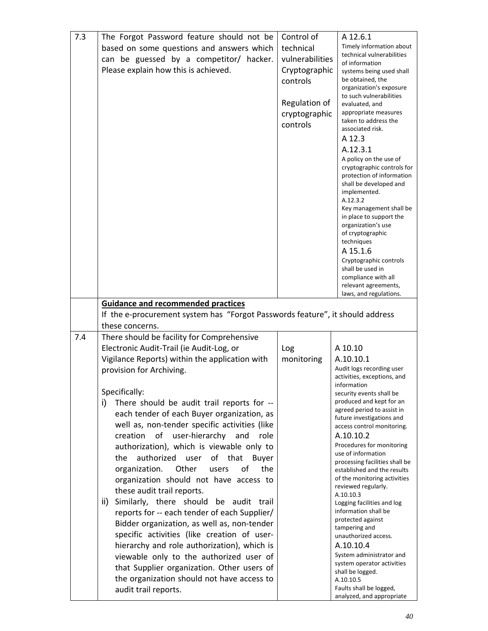| 7.3 | The Forgot Password feature should not be                                     | Control of      | A 12.6.1                                                 |
|-----|-------------------------------------------------------------------------------|-----------------|----------------------------------------------------------|
|     | based on some questions and answers which                                     | technical       | Timely information about                                 |
|     |                                                                               | vulnerabilities | technical vulnerabilities                                |
|     | can be guessed by a competitor/ hacker.                                       |                 | of information                                           |
|     | Please explain how this is achieved.                                          | Cryptographic   | systems being used shall                                 |
|     |                                                                               | controls        | be obtained, the                                         |
|     |                                                                               |                 | organization's exposure                                  |
|     |                                                                               |                 | to such vulnerabilities                                  |
|     |                                                                               | Regulation of   | evaluated, and                                           |
|     |                                                                               | cryptographic   | appropriate measures                                     |
|     |                                                                               | controls        | taken to address the                                     |
|     |                                                                               |                 | associated risk.                                         |
|     |                                                                               |                 | A 12.3                                                   |
|     |                                                                               |                 | A.12.3.1                                                 |
|     |                                                                               |                 | A policy on the use of                                   |
|     |                                                                               |                 | cryptographic controls for                               |
|     |                                                                               |                 | protection of information                                |
|     |                                                                               |                 | shall be developed and                                   |
|     |                                                                               |                 | implemented.                                             |
|     |                                                                               |                 | A.12.3.2                                                 |
|     |                                                                               |                 | Key management shall be                                  |
|     |                                                                               |                 | in place to support the<br>organization's use            |
|     |                                                                               |                 | of cryptographic                                         |
|     |                                                                               |                 | techniques                                               |
|     |                                                                               |                 | A 15.1.6                                                 |
|     |                                                                               |                 | Cryptographic controls                                   |
|     |                                                                               |                 | shall be used in                                         |
|     |                                                                               |                 | compliance with all                                      |
|     |                                                                               |                 | relevant agreements,                                     |
|     |                                                                               |                 | laws, and regulations.                                   |
|     | <b>Guidance and recommended practices</b>                                     |                 |                                                          |
|     | If the e-procurement system has "Forgot Passwords feature", it should address |                 |                                                          |
|     |                                                                               |                 |                                                          |
|     | these concerns.                                                               |                 |                                                          |
| 7.4 | There should be facility for Comprehensive                                    |                 |                                                          |
|     |                                                                               |                 |                                                          |
|     | Electronic Audit-Trail (ie Audit-Log, or                                      | Log             | A 10.10                                                  |
|     |                                                                               |                 | A.10.10.1                                                |
|     | Vigilance Reports) within the application with                                | monitoring      |                                                          |
|     | provision for Archiving.                                                      |                 | Audit logs recording user<br>activities, exceptions, and |
|     |                                                                               |                 | information                                              |
|     | Specifically:                                                                 |                 | security events shall be                                 |
|     | i)                                                                            |                 | produced and kept for an                                 |
|     | There should be audit trail reports for --                                    |                 | agreed period to assist in                               |
|     | each tender of each Buyer organization, as                                    |                 | future investigations and                                |
|     | well as, non-tender specific activities (like                                 |                 | access control monitoring.                               |
|     | of<br>user-hierarchy<br>creation<br>and<br>role                               |                 | A.10.10.2                                                |
|     | authorization), which is viewable only to                                     |                 | Procedures for monitoring                                |
|     | the                                                                           |                 | use of information                                       |
|     | authorized<br>user<br>of<br>that<br>Buyer                                     |                 | processing facilities shall be                           |
|     | Other<br>the<br>organization.<br>οf<br>users                                  |                 | established and the results                              |
|     | organization should not have access to                                        |                 | of the monitoring activities                             |
|     | these audit trail reports.                                                    |                 | reviewed regularly.<br>A.10.10.3                         |
|     | ii)<br>Similarly, there should be audit trail                                 |                 |                                                          |
|     |                                                                               |                 | Logging facilities and log<br>information shall be       |
|     | reports for -- each tender of each Supplier/                                  |                 | protected against                                        |
|     | Bidder organization, as well as, non-tender                                   |                 | tampering and                                            |
|     | specific activities (like creation of user-                                   |                 | unauthorized access.                                     |
|     | hierarchy and role authorization), which is                                   |                 | A.10.10.4                                                |
|     |                                                                               |                 | System administrator and                                 |
|     | viewable only to the authorized user of                                       |                 | system operator activities                               |
|     | that Supplier organization. Other users of                                    |                 | shall be logged.                                         |
|     | the organization should not have access to                                    |                 | A.10.10.5                                                |
|     | audit trail reports.                                                          |                 | Faults shall be logged,<br>analyzed, and appropriate     |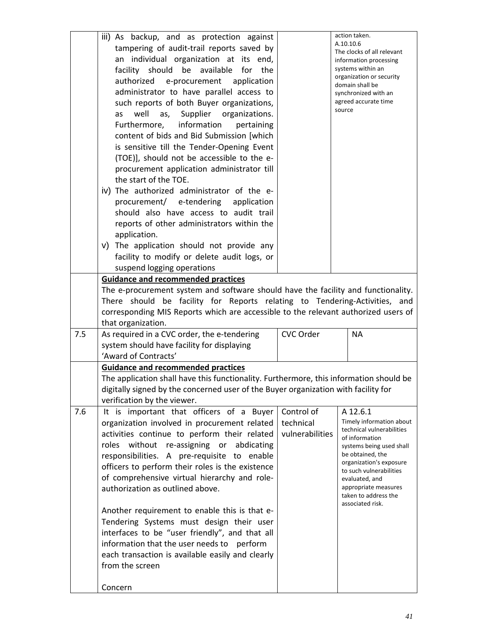|     | iii) As backup, and as protection against<br>tampering of audit-trail reports saved by<br>an individual organization at its end,<br>facility should be available<br>for the<br>authorized e-procurement application<br>administrator to have parallel access to<br>such reports of both Buyer organizations,<br>well<br>Supplier organizations.<br>as,<br>as<br>information<br>Furthermore,<br>pertaining<br>content of bids and Bid Submission [which<br>is sensitive till the Tender-Opening Event<br>(TOE)], should not be accessible to the e-<br>procurement application administrator till<br>the start of the TOE.<br>iv) The authorized administrator of the e-<br>procurement/ e-tendering<br>application<br>should also have access to audit trail<br>reports of other administrators within the<br>application.<br>v) The application should not provide any<br>facility to modify or delete audit logs, or<br>suspend logging operations |                                            | action taken.<br>A.10.10.6<br>The clocks of all relevant<br>information processing<br>systems within an<br>organization or security<br>domain shall be<br>synchronized with an<br>agreed accurate time<br>source                                                                |
|-----|------------------------------------------------------------------------------------------------------------------------------------------------------------------------------------------------------------------------------------------------------------------------------------------------------------------------------------------------------------------------------------------------------------------------------------------------------------------------------------------------------------------------------------------------------------------------------------------------------------------------------------------------------------------------------------------------------------------------------------------------------------------------------------------------------------------------------------------------------------------------------------------------------------------------------------------------------|--------------------------------------------|---------------------------------------------------------------------------------------------------------------------------------------------------------------------------------------------------------------------------------------------------------------------------------|
|     | <b>Guidance and recommended practices</b>                                                                                                                                                                                                                                                                                                                                                                                                                                                                                                                                                                                                                                                                                                                                                                                                                                                                                                            |                                            |                                                                                                                                                                                                                                                                                 |
|     | The e-procurement system and software should have the facility and functionality.<br>There should be facility for Reports relating to Tendering-Activities, and<br>corresponding MIS Reports which are accessible to the relevant authorized users of<br>that organization.                                                                                                                                                                                                                                                                                                                                                                                                                                                                                                                                                                                                                                                                          |                                            |                                                                                                                                                                                                                                                                                 |
| 7.5 | As required in a CVC order, the e-tendering                                                                                                                                                                                                                                                                                                                                                                                                                                                                                                                                                                                                                                                                                                                                                                                                                                                                                                          | CVC Order                                  | <b>NA</b>                                                                                                                                                                                                                                                                       |
|     | system should have facility for displaying                                                                                                                                                                                                                                                                                                                                                                                                                                                                                                                                                                                                                                                                                                                                                                                                                                                                                                           |                                            |                                                                                                                                                                                                                                                                                 |
|     | 'Award of Contracts'                                                                                                                                                                                                                                                                                                                                                                                                                                                                                                                                                                                                                                                                                                                                                                                                                                                                                                                                 |                                            |                                                                                                                                                                                                                                                                                 |
|     | <b>Guidance and recommended practices</b><br>The application shall have this functionality. Furthermore, this information should be<br>digitally signed by the concerned user of the Buyer organization with facility for<br>verification by the viewer.                                                                                                                                                                                                                                                                                                                                                                                                                                                                                                                                                                                                                                                                                             |                                            |                                                                                                                                                                                                                                                                                 |
| 7.6 | It is important that officers of a Buyer<br>organization involved in procurement related<br>activities continue to perform their related<br>roles without re-assigning or abdicating<br>responsibilities. A pre-requisite to enable<br>officers to perform their roles is the existence<br>of comprehensive virtual hierarchy and role-<br>authorization as outlined above.<br>Another requirement to enable this is that e-<br>Tendering Systems must design their user<br>interfaces to be "user friendly", and that all<br>information that the user needs to perform<br>each transaction is available easily and clearly<br>from the screen<br>Concern                                                                                                                                                                                                                                                                                           | Control of<br>technical<br>vulnerabilities | A 12.6.1<br>Timely information about<br>technical vulnerabilities<br>of information<br>systems being used shall<br>be obtained, the<br>organization's exposure<br>to such vulnerabilities<br>evaluated, and<br>appropriate measures<br>taken to address the<br>associated risk. |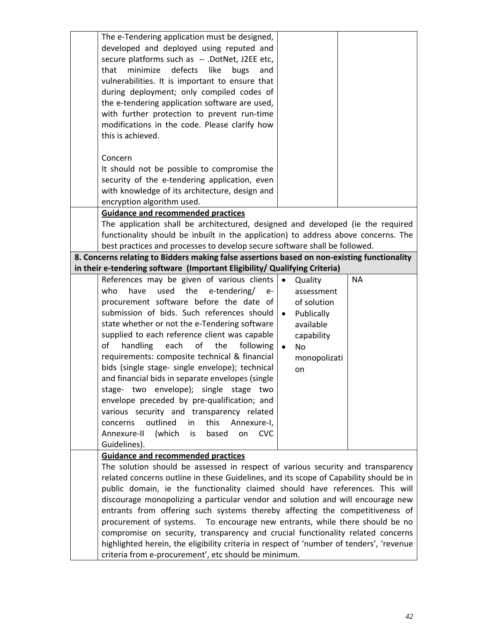| The e-Tendering application must be designed,<br>developed and deployed using reputed and<br>secure platforms such as -- .DotNet, J2EE etc,                               |                         |           |
|---------------------------------------------------------------------------------------------------------------------------------------------------------------------------|-------------------------|-----------|
| minimize<br>defects<br>like<br>that<br>bugs<br>and                                                                                                                        |                         |           |
| vulnerabilities. It is important to ensure that                                                                                                                           |                         |           |
| during deployment; only compiled codes of                                                                                                                                 |                         |           |
| the e-tendering application software are used,                                                                                                                            |                         |           |
| with further protection to prevent run-time                                                                                                                               |                         |           |
| modifications in the code. Please clarify how                                                                                                                             |                         |           |
| this is achieved.                                                                                                                                                         |                         |           |
| Concern                                                                                                                                                                   |                         |           |
| It should not be possible to compromise the                                                                                                                               |                         |           |
| security of the e-tendering application, even                                                                                                                             |                         |           |
| with knowledge of its architecture, design and                                                                                                                            |                         |           |
| encryption algorithm used.                                                                                                                                                |                         |           |
| <b>Guidance and recommended practices</b>                                                                                                                                 |                         |           |
| The application shall be architectured, designed and developed (ie the required                                                                                           |                         |           |
| functionality should be inbuilt in the application) to address above concerns. The                                                                                        |                         |           |
| best practices and processes to develop secure software shall be followed.<br>8. Concerns relating to Bidders making false assertions based on non-existing functionality |                         |           |
| in their e-tendering software (Important Eligibility/ Qualifying Criteria)                                                                                                |                         |           |
| References may be given of various clients                                                                                                                                | $\bullet$<br>Quality    | <b>NA</b> |
| who<br>have<br>used<br>the<br>e-tendering/<br>e-                                                                                                                          | assessment              |           |
| procurement software before the date of                                                                                                                                   | of solution             |           |
| submission of bids. Such references should                                                                                                                                | Publically<br>$\bullet$ |           |
| state whether or not the e-Tendering software                                                                                                                             | available               |           |
| supplied to each reference client was capable                                                                                                                             | capability              |           |
| of<br>of<br>handling<br>each<br>the<br>following                                                                                                                          | <b>No</b><br>$\bullet$  |           |
| requirements: composite technical & financial                                                                                                                             | monopolizati            |           |
| bids (single stage- single envelope); technical<br>and financial bids in separate envelopes (single                                                                       | on                      |           |
| stage- two envelope); single stage two                                                                                                                                    |                         |           |
| envelope preceded by pre-qualification; and                                                                                                                               |                         |           |
| various security and transparency related                                                                                                                                 |                         |           |
| outlined<br>this<br>concerns<br>in<br>Annexure-I,                                                                                                                         |                         |           |
| (which<br>Annexure-II<br>is<br>based<br>on<br><b>CVC</b>                                                                                                                  |                         |           |
| Guidelines).                                                                                                                                                              |                         |           |
| <b>Guidance and recommended practices</b>                                                                                                                                 |                         |           |
| The solution should be assessed in respect of various security and transparency                                                                                           |                         |           |
| related concerns outline in these Guidelines, and its scope of Capability should be in<br>public domain, ie the functionality claimed should have references. This will   |                         |           |
| discourage monopolizing a particular vendor and solution and will encourage new                                                                                           |                         |           |
| entrants from offering such systems thereby affecting the competitiveness of                                                                                              |                         |           |
| procurement of systems. To encourage new entrants, while there should be no                                                                                               |                         |           |
| compromise on security, transparency and crucial functionality related concerns                                                                                           |                         |           |
| highlighted herein, the eligibility criteria in respect of 'number of tenders', 'revenue                                                                                  |                         |           |
| criteria from e-procurement', etc should be minimum.                                                                                                                      |                         |           |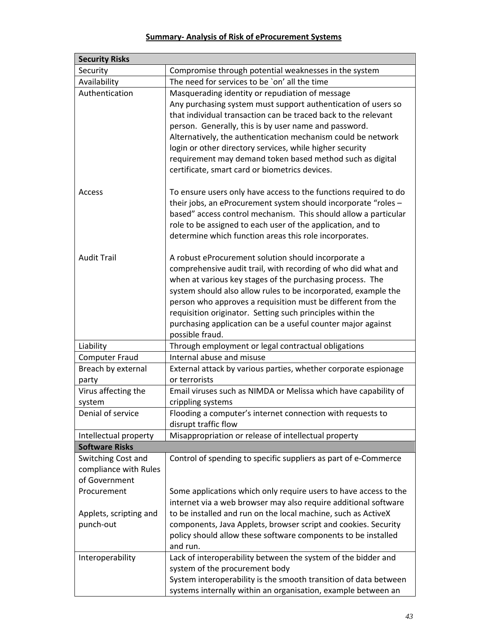### **Summary‐ Analysis of Risk of eProcurement Systems**

| <b>Security Risks</b>                                        |                                                                                                                                                                                                                                                                                                                                                                                                                                                                                        |
|--------------------------------------------------------------|----------------------------------------------------------------------------------------------------------------------------------------------------------------------------------------------------------------------------------------------------------------------------------------------------------------------------------------------------------------------------------------------------------------------------------------------------------------------------------------|
| Security                                                     | Compromise through potential weaknesses in the system                                                                                                                                                                                                                                                                                                                                                                                                                                  |
| Availability                                                 | The need for services to be 'on' all the time                                                                                                                                                                                                                                                                                                                                                                                                                                          |
| Authentication                                               | Masquerading identity or repudiation of message<br>Any purchasing system must support authentication of users so<br>that individual transaction can be traced back to the relevant<br>person. Generally, this is by user name and password.<br>Alternatively, the authentication mechanism could be network<br>login or other directory services, while higher security<br>requirement may demand token based method such as digital<br>certificate, smart card or biometrics devices. |
| Access                                                       | To ensure users only have access to the functions required to do<br>their jobs, an eProcurement system should incorporate "roles -<br>based" access control mechanism. This should allow a particular<br>role to be assigned to each user of the application, and to<br>determine which function areas this role incorporates.                                                                                                                                                         |
| <b>Audit Trail</b>                                           | A robust eProcurement solution should incorporate a<br>comprehensive audit trail, with recording of who did what and<br>when at various key stages of the purchasing process. The<br>system should also allow rules to be incorporated, example the<br>person who approves a requisition must be different from the<br>requisition originator. Setting such principles within the<br>purchasing application can be a useful counter major against<br>possible fraud.                   |
| Liability                                                    | Through employment or legal contractual obligations                                                                                                                                                                                                                                                                                                                                                                                                                                    |
| <b>Computer Fraud</b>                                        | Internal abuse and misuse                                                                                                                                                                                                                                                                                                                                                                                                                                                              |
| Breach by external                                           | External attack by various parties, whether corporate espionage                                                                                                                                                                                                                                                                                                                                                                                                                        |
| party                                                        | or terrorists                                                                                                                                                                                                                                                                                                                                                                                                                                                                          |
| Virus affecting the<br>system                                | Email viruses such as NIMDA or Melissa which have capability of<br>crippling systems                                                                                                                                                                                                                                                                                                                                                                                                   |
| Denial of service                                            | Flooding a computer's internet connection with requests to<br>disrupt traffic flow                                                                                                                                                                                                                                                                                                                                                                                                     |
| Intellectual property                                        | Misappropriation or release of intellectual property                                                                                                                                                                                                                                                                                                                                                                                                                                   |
| <b>Software Risks</b>                                        |                                                                                                                                                                                                                                                                                                                                                                                                                                                                                        |
| Switching Cost and<br>compliance with Rules<br>of Government | Control of spending to specific suppliers as part of e-Commerce                                                                                                                                                                                                                                                                                                                                                                                                                        |
| Procurement<br>Applets, scripting and<br>punch-out           | Some applications which only require users to have access to the<br>internet via a web browser may also require additional software<br>to be installed and run on the local machine, such as ActiveX<br>components, Java Applets, browser script and cookies. Security<br>policy should allow these software components to be installed<br>and run.                                                                                                                                    |
| Interoperability                                             | Lack of interoperability between the system of the bidder and<br>system of the procurement body<br>System interoperability is the smooth transition of data between<br>systems internally within an organisation, example between an                                                                                                                                                                                                                                                   |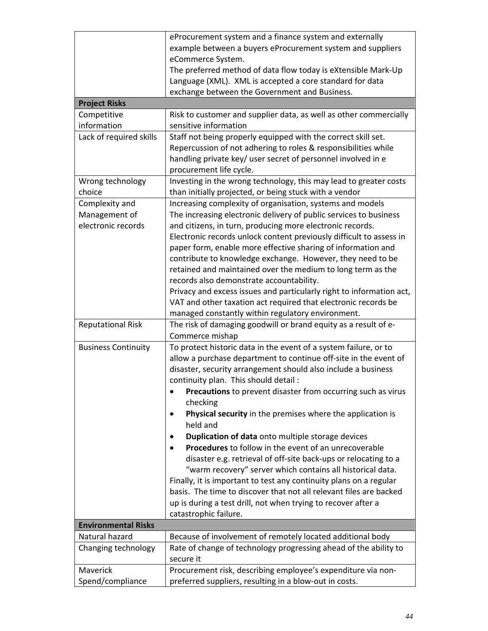|                            | eProcurement system and a finance system and externally                   |
|----------------------------|---------------------------------------------------------------------------|
|                            | example between a buyers eProcurement system and suppliers                |
|                            | eCommerce System.                                                         |
|                            | The preferred method of data flow today is eXtensible Mark-Up             |
|                            | Language (XML). XML is accepted a core standard for data                  |
|                            | exchange between the Government and Business.                             |
| <b>Project Risks</b>       |                                                                           |
| Competitive                | Risk to customer and supplier data, as well as other commercially         |
| information                | sensitive information                                                     |
| Lack of required skills    | Staff not being properly equipped with the correct skill set.             |
|                            | Repercussion of not adhering to roles & responsibilities while            |
|                            | handling private key/ user secret of personnel involved in e              |
|                            | procurement life cycle.                                                   |
| Wrong technology           | Investing in the wrong technology, this may lead to greater costs         |
| choice                     | than initially projected, or being stuck with a vendor                    |
| Complexity and             | Increasing complexity of organisation, systems and models                 |
| Management of              | The increasing electronic delivery of public services to business         |
| electronic records         | and citizens, in turn, producing more electronic records.                 |
|                            | Electronic records unlock content previously difficult to assess in       |
|                            | paper form, enable more effective sharing of information and              |
|                            | contribute to knowledge exchange. However, they need to be                |
|                            | retained and maintained over the medium to long term as the               |
|                            | records also demonstrate accountability.                                  |
|                            | Privacy and excess issues and particularly right to information act,      |
|                            | VAT and other taxation act required that electronic records be            |
|                            | managed constantly within regulatory environment.                         |
| <b>Reputational Risk</b>   | The risk of damaging goodwill or brand equity as a result of e-           |
|                            | Commerce mishap                                                           |
| <b>Business Continuity</b> | To protect historic data in the event of a system failure, or to          |
|                            | allow a purchase department to continue off-site in the event of          |
|                            | disaster, security arrangement should also include a business             |
|                            | continuity plan. This should detail :                                     |
|                            | Precautions to prevent disaster from occurring such as virus<br>$\bullet$ |
|                            | checking                                                                  |
|                            | Physical security in the premises where the application is                |
|                            | held and                                                                  |
|                            | Duplication of data onto multiple storage devices                         |
|                            | <b>Procedures</b> to follow in the event of an unrecoverable              |
|                            |                                                                           |
|                            | disaster e.g. retrieval of off-site back-ups or relocating to a           |
|                            | "warm recovery" server which contains all historical data.                |
|                            | Finally, it is important to test any continuity plans on a regular        |
|                            | basis. The time to discover that not all relevant files are backed        |
|                            | up is during a test drill, not when trying to recover after a             |
|                            | catastrophic failure.                                                     |
| <b>Environmental Risks</b> |                                                                           |
| Natural hazard             | Because of involvement of remotely located additional body                |
| Changing technology        | Rate of change of technology progressing ahead of the ability to          |
|                            | secure it                                                                 |
| Maverick                   | Procurement risk, describing employee's expenditure via non-              |
| Spend/compliance           | preferred suppliers, resulting in a blow-out in costs.                    |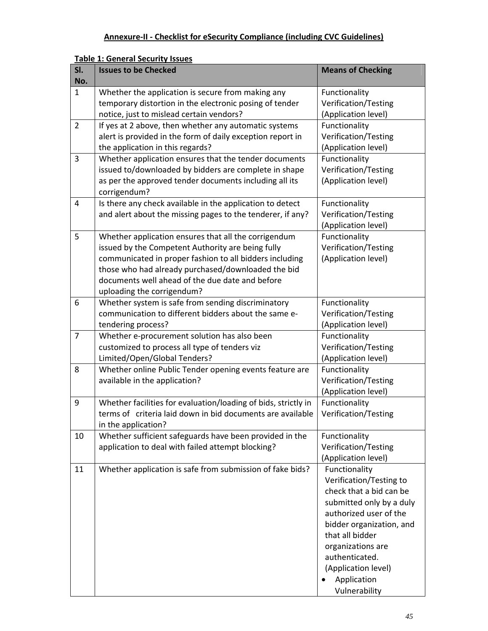| SI.<br>No.     | <b>Issues to be Checked</b>                                                                                                                                                                                                                                                                                 | <b>Means of Checking</b>                                                                                                                                                                                                                                               |
|----------------|-------------------------------------------------------------------------------------------------------------------------------------------------------------------------------------------------------------------------------------------------------------------------------------------------------------|------------------------------------------------------------------------------------------------------------------------------------------------------------------------------------------------------------------------------------------------------------------------|
| $\mathbf{1}$   | Whether the application is secure from making any<br>temporary distortion in the electronic posing of tender<br>notice, just to mislead certain vendors?                                                                                                                                                    | Functionality<br>Verification/Testing<br>(Application level)                                                                                                                                                                                                           |
| $\overline{2}$ | If yes at 2 above, then whether any automatic systems<br>alert is provided in the form of daily exception report in<br>the application in this regards?                                                                                                                                                     | Functionality<br>Verification/Testing<br>(Application level)                                                                                                                                                                                                           |
| 3              | Whether application ensures that the tender documents<br>issued to/downloaded by bidders are complete in shape<br>as per the approved tender documents including all its<br>corrigendum?                                                                                                                    | Functionality<br>Verification/Testing<br>(Application level)                                                                                                                                                                                                           |
| 4              | Is there any check available in the application to detect<br>and alert about the missing pages to the tenderer, if any?                                                                                                                                                                                     | Functionality<br>Verification/Testing<br>(Application level)                                                                                                                                                                                                           |
| 5              | Whether application ensures that all the corrigendum<br>issued by the Competent Authority are being fully<br>communicated in proper fashion to all bidders including<br>those who had already purchased/downloaded the bid<br>documents well ahead of the due date and before<br>uploading the corrigendum? | Functionality<br>Verification/Testing<br>(Application level)                                                                                                                                                                                                           |
| 6              | Whether system is safe from sending discriminatory<br>communication to different bidders about the same e-<br>tendering process?                                                                                                                                                                            | Functionality<br>Verification/Testing<br>(Application level)                                                                                                                                                                                                           |
| 7              | Whether e-procurement solution has also been<br>customized to process all type of tenders viz<br>Limited/Open/Global Tenders?                                                                                                                                                                               | Functionality<br>Verification/Testing<br>(Application level)                                                                                                                                                                                                           |
| 8              | Whether online Public Tender opening events feature are<br>available in the application?                                                                                                                                                                                                                    | Functionality<br>Verification/Testing<br>(Application level)                                                                                                                                                                                                           |
| 9              | Whether facilities for evaluation/loading of bids, strictly in<br>terms of criteria laid down in bid documents are available<br>in the application?                                                                                                                                                         | Functionality<br>Verification/Testing                                                                                                                                                                                                                                  |
| 10             | Whether sufficient safeguards have been provided in the<br>application to deal with failed attempt blocking?                                                                                                                                                                                                | Functionality<br>Verification/Testing<br>(Application level)                                                                                                                                                                                                           |
| 11             | Whether application is safe from submission of fake bids?                                                                                                                                                                                                                                                   | Functionality<br>Verification/Testing to<br>check that a bid can be<br>submitted only by a duly<br>authorized user of the<br>bidder organization, and<br>that all bidder<br>organizations are<br>authenticated.<br>(Application level)<br>Application<br>Vulnerability |

### **Table 1: General Security Issues**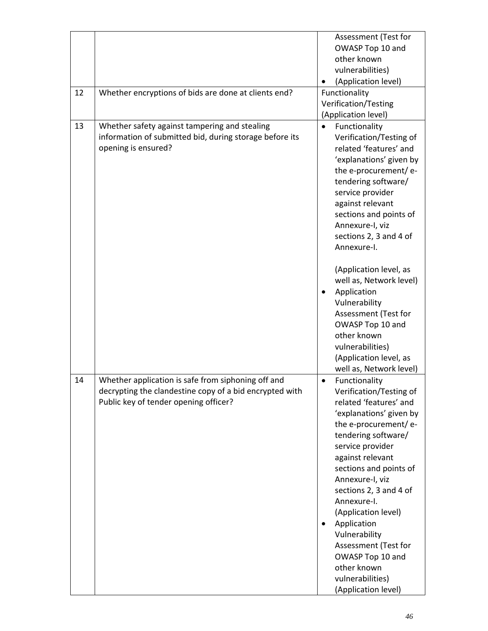|    |                                                                                                                                 | Assessment (Test for                                                                                                                                                                                                                                                                                                                                                                                                                |
|----|---------------------------------------------------------------------------------------------------------------------------------|-------------------------------------------------------------------------------------------------------------------------------------------------------------------------------------------------------------------------------------------------------------------------------------------------------------------------------------------------------------------------------------------------------------------------------------|
|    |                                                                                                                                 | OWASP Top 10 and                                                                                                                                                                                                                                                                                                                                                                                                                    |
|    |                                                                                                                                 | other known                                                                                                                                                                                                                                                                                                                                                                                                                         |
|    |                                                                                                                                 | vulnerabilities)                                                                                                                                                                                                                                                                                                                                                                                                                    |
|    |                                                                                                                                 | (Application level)<br>٠                                                                                                                                                                                                                                                                                                                                                                                                            |
| 12 | Whether encryptions of bids are done at clients end?                                                                            | Functionality                                                                                                                                                                                                                                                                                                                                                                                                                       |
|    |                                                                                                                                 | Verification/Testing                                                                                                                                                                                                                                                                                                                                                                                                                |
|    |                                                                                                                                 | (Application level)                                                                                                                                                                                                                                                                                                                                                                                                                 |
| 13 | Whether safety against tampering and stealing<br>information of submitted bid, during storage before its<br>opening is ensured? | Functionality<br>$\bullet$<br>Verification/Testing of<br>related 'features' and<br>'explanations' given by<br>the e-procurement/e-<br>tendering software/<br>service provider<br>against relevant<br>sections and points of<br>Annexure-I, viz<br>sections 2, 3 and 4 of<br>Annexure-I.                                                                                                                                             |
|    |                                                                                                                                 | (Application level, as<br>well as, Network level)<br>Application<br>٠<br>Vulnerability<br>Assessment (Test for<br>OWASP Top 10 and<br>other known<br>vulnerabilities)<br>(Application level, as<br>well as, Network level)                                                                                                                                                                                                          |
| 14 | Whether application is safe from siphoning off and                                                                              | Functionality<br>$\bullet$                                                                                                                                                                                                                                                                                                                                                                                                          |
|    | decrypting the clandestine copy of a bid encrypted with<br>Public key of tender opening officer?                                | Verification/Testing of<br>related 'features' and<br>'explanations' given by<br>the e-procurement/e-<br>tendering software/<br>service provider<br>against relevant<br>sections and points of<br>Annexure-I, viz<br>sections 2, 3 and 4 of<br>Annexure-I.<br>(Application level)<br>Application<br>$\bullet$<br>Vulnerability<br>Assessment (Test for<br>OWASP Top 10 and<br>other known<br>vulnerabilities)<br>(Application level) |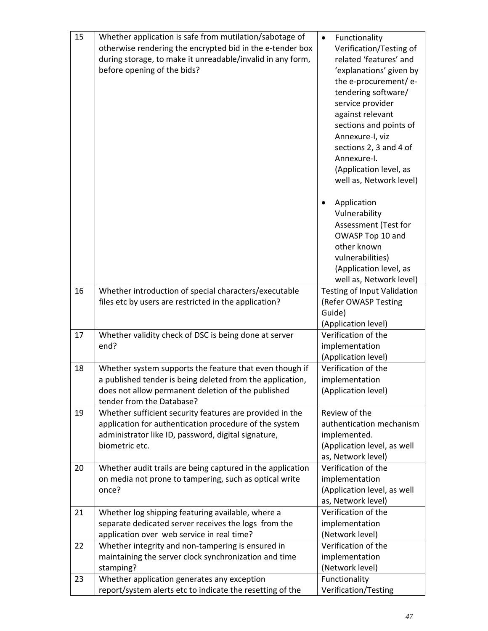| 15 | Whether application is safe from mutilation/sabotage of<br>otherwise rendering the encrypted bid in the e-tender box<br>during storage, to make it unreadable/invalid in any form,<br>before opening of the bids? | Functionality<br>$\bullet$<br>Verification/Testing of<br>related 'features' and<br>'explanations' given by<br>the e-procurement/e-<br>tendering software/<br>service provider<br>against relevant<br>sections and points of<br>Annexure-I, viz<br>sections 2, 3 and 4 of<br>Annexure-I. |
|----|-------------------------------------------------------------------------------------------------------------------------------------------------------------------------------------------------------------------|-----------------------------------------------------------------------------------------------------------------------------------------------------------------------------------------------------------------------------------------------------------------------------------------|
|    |                                                                                                                                                                                                                   | (Application level, as<br>well as, Network level)                                                                                                                                                                                                                                       |
|    |                                                                                                                                                                                                                   | Application<br>٠<br>Vulnerability<br>Assessment (Test for<br>OWASP Top 10 and<br>other known<br>vulnerabilities)<br>(Application level, as<br>well as, Network level)                                                                                                                   |
| 16 | Whether introduction of special characters/executable<br>files etc by users are restricted in the application?                                                                                                    | <b>Testing of Input Validation</b><br>(Refer OWASP Testing<br>Guide)<br>(Application level)                                                                                                                                                                                             |
| 17 | Whether validity check of DSC is being done at server<br>end?                                                                                                                                                     | Verification of the<br>implementation<br>(Application level)                                                                                                                                                                                                                            |
| 18 | Whether system supports the feature that even though if<br>a published tender is being deleted from the application,<br>does not allow permanent deletion of the published<br>tender from the Database?           | Verification of the<br>implementation<br>(Application level)                                                                                                                                                                                                                            |
| 19 | Whether sufficient security features are provided in the<br>application for authentication procedure of the system<br>administrator like ID, password, digital signature,<br>biometric etc.                       | Review of the<br>authentication mechanism<br>implemented.<br>(Application level, as well<br>as, Network level)                                                                                                                                                                          |
| 20 | Whether audit trails are being captured in the application<br>on media not prone to tampering, such as optical write<br>once?                                                                                     | Verification of the<br>implementation<br>(Application level, as well<br>as, Network level)                                                                                                                                                                                              |
| 21 | Whether log shipping featuring available, where a<br>separate dedicated server receives the logs from the<br>application over web service in real time?                                                           | Verification of the<br>implementation<br>(Network level)                                                                                                                                                                                                                                |
| 22 | Whether integrity and non-tampering is ensured in<br>maintaining the server clock synchronization and time<br>stamping?                                                                                           | Verification of the<br>implementation<br>(Network level)                                                                                                                                                                                                                                |
| 23 | Whether application generates any exception<br>report/system alerts etc to indicate the resetting of the                                                                                                          | Functionality<br>Verification/Testing                                                                                                                                                                                                                                                   |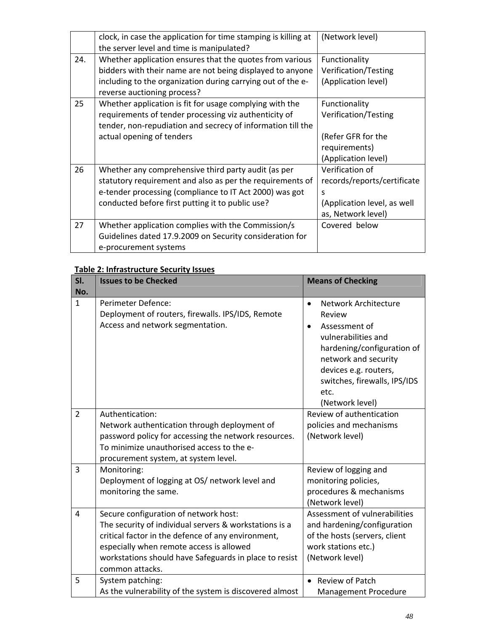|     | clock, in case the application for time stamping is killing at<br>the server level and time is manipulated?                                                                                                                     | (Network level)                                                                                          |
|-----|---------------------------------------------------------------------------------------------------------------------------------------------------------------------------------------------------------------------------------|----------------------------------------------------------------------------------------------------------|
| 24. | Whether application ensures that the quotes from various<br>bidders with their name are not being displayed to anyone<br>including to the organization during carrying out of the e-<br>reverse auctioning process?             | Functionality<br>Verification/Testing<br>(Application level)                                             |
| 25  | Whether application is fit for usage complying with the<br>requirements of tender processing viz authenticity of<br>tender, non-repudiation and secrecy of information till the<br>actual opening of tenders                    | Functionality<br>Verification/Testing<br>(Refer GFR for the<br>requirements)<br>(Application level)      |
| 26  | Whether any comprehensive third party audit (as per<br>statutory requirement and also as per the requirements of<br>e-tender processing (compliance to IT Act 2000) was got<br>conducted before first putting it to public use? | Verification of<br>records/reports/certificate<br>S<br>(Application level, as well<br>as, Network level) |
| 27  | Whether application complies with the Commission/s<br>Guidelines dated 17.9.2009 on Security consideration for<br>e-procurement systems                                                                                         | Covered below                                                                                            |

### **Table 2: Infrastructure Security Issues**

| SI.<br>No.     | <b>Issues to be Checked</b>                                                                                                                                                                                                                                                    | <b>Means of Checking</b>                                                                                                                                                                                                                   |
|----------------|--------------------------------------------------------------------------------------------------------------------------------------------------------------------------------------------------------------------------------------------------------------------------------|--------------------------------------------------------------------------------------------------------------------------------------------------------------------------------------------------------------------------------------------|
| $\mathbf{1}$   | Perimeter Defence:<br>Deployment of routers, firewalls. IPS/IDS, Remote<br>Access and network segmentation.                                                                                                                                                                    | Network Architecture<br>$\bullet$<br>Review<br>Assessment of<br>$\bullet$<br>vulnerabilities and<br>hardening/configuration of<br>network and security<br>devices e.g. routers,<br>switches, firewalls, IPS/IDS<br>etc.<br>(Network level) |
| $\overline{2}$ | Authentication:<br>Network authentication through deployment of<br>password policy for accessing the network resources.<br>To minimize unauthorised access to the e-<br>procurement system, at system level.                                                                   | Review of authentication<br>policies and mechanisms<br>(Network level)                                                                                                                                                                     |
| 3              | Monitoring:<br>Deployment of logging at OS/ network level and<br>monitoring the same.                                                                                                                                                                                          | Review of logging and<br>monitoring policies,<br>procedures & mechanisms<br>(Network level)                                                                                                                                                |
| 4              | Secure configuration of network host:<br>The security of individual servers & workstations is a<br>critical factor in the defence of any environment,<br>especially when remote access is allowed<br>workstations should have Safeguards in place to resist<br>common attacks. | Assessment of vulnerabilities<br>and hardening/configuration<br>of the hosts (servers, client<br>work stations etc.)<br>(Network level)                                                                                                    |
| 5              | System patching:<br>As the vulnerability of the system is discovered almost                                                                                                                                                                                                    | Review of Patch<br><b>Management Procedure</b>                                                                                                                                                                                             |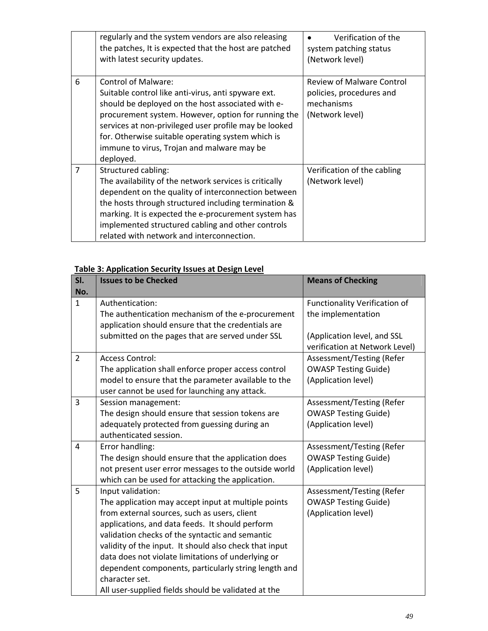|   | regularly and the system vendors are also releasing<br>the patches, It is expected that the host are patched<br>with latest security updates.                                                                                                                                                                                                                          | Verification of the<br>system patching status<br>(Network level)                              |
|---|------------------------------------------------------------------------------------------------------------------------------------------------------------------------------------------------------------------------------------------------------------------------------------------------------------------------------------------------------------------------|-----------------------------------------------------------------------------------------------|
| 6 | <b>Control of Malware:</b><br>Suitable control like anti-virus, anti spyware ext.<br>should be deployed on the host associated with e-<br>procurement system. However, option for running the<br>services at non-privileged user profile may be looked<br>for. Otherwise suitable operating system which is<br>immune to virus, Trojan and malware may be<br>deployed. | <b>Review of Malware Control</b><br>policies, procedures and<br>mechanisms<br>(Network level) |
| 7 | Structured cabling:<br>The availability of the network services is critically<br>dependent on the quality of interconnection between<br>the hosts through structured including termination &<br>marking. It is expected the e-procurement system has<br>implemented structured cabling and other controls<br>related with network and interconnection.                 | Verification of the cabling<br>(Network level)                                                |

# **Table 3: Application Security Issues at Design Level**

| SI.<br>No.     | <b>Issues to be Checked</b>                                                                                                                                                                                                                                                                                                                                                                                                                                                     | <b>Means of Checking</b>                                                        |
|----------------|---------------------------------------------------------------------------------------------------------------------------------------------------------------------------------------------------------------------------------------------------------------------------------------------------------------------------------------------------------------------------------------------------------------------------------------------------------------------------------|---------------------------------------------------------------------------------|
| $\mathbf{1}$   | Authentication:                                                                                                                                                                                                                                                                                                                                                                                                                                                                 | <b>Functionality Verification of</b>                                            |
|                | The authentication mechanism of the e-procurement<br>application should ensure that the credentials are                                                                                                                                                                                                                                                                                                                                                                         | the implementation                                                              |
|                | submitted on the pages that are served under SSL                                                                                                                                                                                                                                                                                                                                                                                                                                | (Application level, and SSL<br>verification at Network Level)                   |
| $\overline{2}$ | <b>Access Control:</b><br>The application shall enforce proper access control<br>model to ensure that the parameter available to the<br>user cannot be used for launching any attack.                                                                                                                                                                                                                                                                                           | Assessment/Testing (Refer<br><b>OWASP Testing Guide)</b><br>(Application level) |
| 3              | Session management:<br>The design should ensure that session tokens are<br>adequately protected from guessing during an<br>authenticated session.                                                                                                                                                                                                                                                                                                                               | Assessment/Testing (Refer<br><b>OWASP Testing Guide)</b><br>(Application level) |
| 4              | Error handling:<br>The design should ensure that the application does<br>not present user error messages to the outside world<br>which can be used for attacking the application.                                                                                                                                                                                                                                                                                               | Assessment/Testing (Refer<br><b>OWASP Testing Guide)</b><br>(Application level) |
| 5              | Input validation:<br>The application may accept input at multiple points<br>from external sources, such as users, client<br>applications, and data feeds. It should perform<br>validation checks of the syntactic and semantic<br>validity of the input. It should also check that input<br>data does not violate limitations of underlying or<br>dependent components, particularly string length and<br>character set.<br>All user-supplied fields should be validated at the | Assessment/Testing (Refer<br><b>OWASP Testing Guide)</b><br>(Application level) |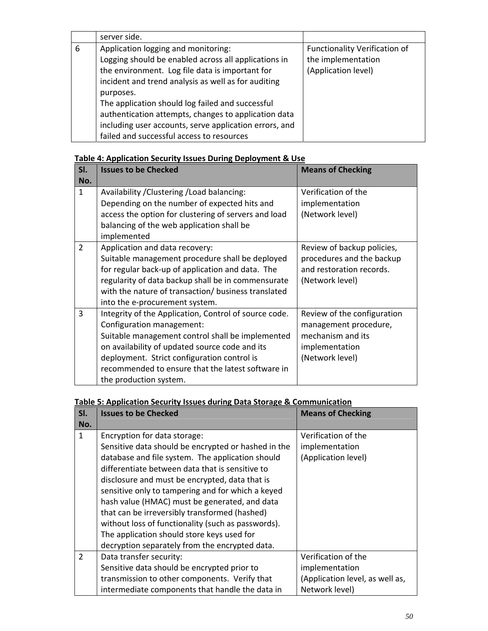|   | server side.                                                                                                                                                                                                       |                                                                                   |
|---|--------------------------------------------------------------------------------------------------------------------------------------------------------------------------------------------------------------------|-----------------------------------------------------------------------------------|
| 6 | Application logging and monitoring:<br>Logging should be enabled across all applications in<br>the environment. Log file data is important for<br>incident and trend analysis as well as for auditing<br>purposes. | <b>Functionality Verification of</b><br>the implementation<br>(Application level) |
|   | The application should log failed and successful<br>authentication attempts, changes to application data<br>including user accounts, serve application errors, and<br>failed and successful access to resources    |                                                                                   |

#### **Table 4: Application Security Issues During Deployment & Use**

| SI.<br>No.     | <b>Issues to be Checked</b>                                                                                                                                                                                                                                                                                            | <b>Means of Checking</b>                                                                                       |
|----------------|------------------------------------------------------------------------------------------------------------------------------------------------------------------------------------------------------------------------------------------------------------------------------------------------------------------------|----------------------------------------------------------------------------------------------------------------|
| $\mathbf{1}$   | Availability / Clustering / Load balancing:<br>Depending on the number of expected hits and<br>access the option for clustering of servers and load<br>balancing of the web application shall be<br>implemented                                                                                                        | Verification of the<br>implementation<br>(Network level)                                                       |
| $\overline{2}$ | Application and data recovery:<br>Suitable management procedure shall be deployed<br>for regular back-up of application and data. The<br>regularity of data backup shall be in commensurate<br>with the nature of transaction/ business translated<br>into the e-procurement system.                                   | Review of backup policies,<br>procedures and the backup<br>and restoration records.<br>(Network level)         |
| 3              | Integrity of the Application, Control of source code.<br>Configuration management:<br>Suitable management control shall be implemented<br>on availability of updated source code and its<br>deployment. Strict configuration control is<br>recommended to ensure that the latest software in<br>the production system. | Review of the configuration<br>management procedure,<br>mechanism and its<br>implementation<br>(Network level) |

#### **Table 5: Application Security Issues during Data Storage & Communication**

| SI.            | <b>Issues to be Checked</b>                         | <b>Means of Checking</b>        |
|----------------|-----------------------------------------------------|---------------------------------|
| No.            |                                                     |                                 |
| $\mathbf{1}$   | Encryption for data storage:                        | Verification of the             |
|                | Sensitive data should be encrypted or hashed in the | implementation                  |
|                | database and file system. The application should    | (Application level)             |
|                | differentiate between data that is sensitive to     |                                 |
|                | disclosure and must be encrypted, data that is      |                                 |
|                | sensitive only to tampering and for which a keyed   |                                 |
|                | hash value (HMAC) must be generated, and data       |                                 |
|                | that can be irreversibly transformed (hashed)       |                                 |
|                | without loss of functionality (such as passwords).  |                                 |
|                | The application should store keys used for          |                                 |
|                | decryption separately from the encrypted data.      |                                 |
| $\overline{2}$ | Data transfer security:                             | Verification of the             |
|                | Sensitive data should be encrypted prior to         | implementation                  |
|                | transmission to other components. Verify that       | (Application level, as well as, |
|                | intermediate components that handle the data in     | Network level)                  |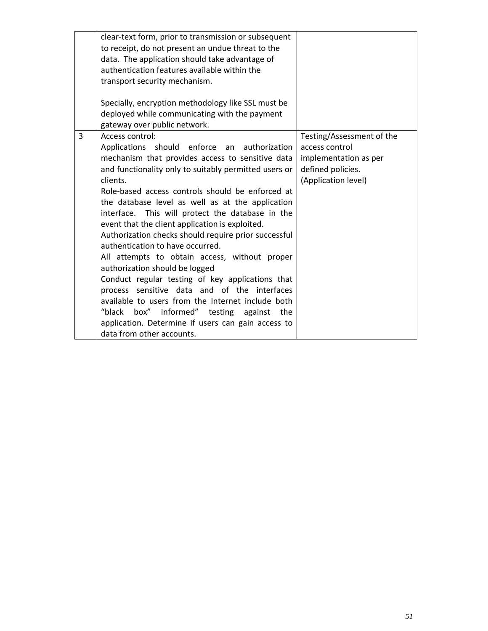|   | clear-text form, prior to transmission or subsequent<br>to receipt, do not present an undue threat to the<br>data. The application should take advantage of<br>authentication features available within the<br>transport security mechanism.<br>Specially, encryption methodology like SSL must be<br>deployed while communicating with the payment<br>gateway over public network.                                                                                                                                                                                                                                                                                                                                                                                                                                                                                                |                                                                                                                  |
|---|------------------------------------------------------------------------------------------------------------------------------------------------------------------------------------------------------------------------------------------------------------------------------------------------------------------------------------------------------------------------------------------------------------------------------------------------------------------------------------------------------------------------------------------------------------------------------------------------------------------------------------------------------------------------------------------------------------------------------------------------------------------------------------------------------------------------------------------------------------------------------------|------------------------------------------------------------------------------------------------------------------|
| 3 | Access control:<br>Applications should enforce an authorization<br>mechanism that provides access to sensitive data<br>and functionality only to suitably permitted users or<br>clients.<br>Role-based access controls should be enforced at<br>the database level as well as at the application<br>interface. This will protect the database in the<br>event that the client application is exploited.<br>Authorization checks should require prior successful<br>authentication to have occurred.<br>All attempts to obtain access, without proper<br>authorization should be logged<br>Conduct regular testing of key applications that<br>process sensitive data and of the interfaces<br>available to users from the Internet include both<br>"black box" informed" testing against<br>the<br>application. Determine if users can gain access to<br>data from other accounts. | Testing/Assessment of the<br>access control<br>implementation as per<br>defined policies.<br>(Application level) |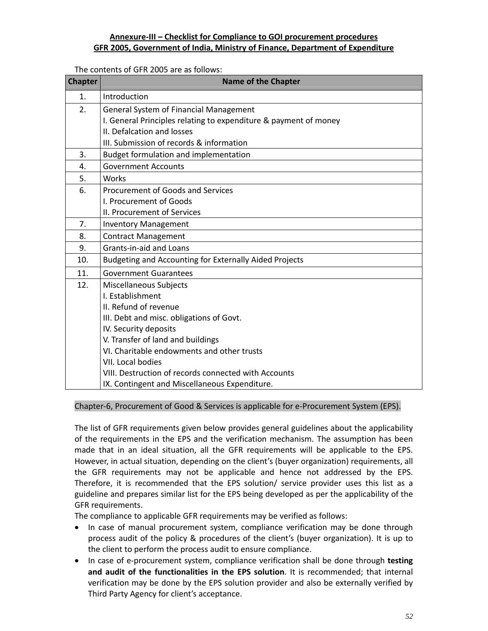#### **Annexure‐III – Checklist for Compliance to GOI procurement procedures GFR 2005, Government of India, Ministry of Finance, Department of Expenditure**

The contents of GFR 2005 are as follows:

| <b>Chapter</b> | <b>Name of the Chapter</b>                                       |
|----------------|------------------------------------------------------------------|
| 1.             | Introduction                                                     |
| 2.             | General System of Financial Management                           |
|                | I. General Principles relating to expenditure & payment of money |
|                | II. Defalcation and losses                                       |
|                | III. Submission of records & information                         |
| 3.             | Budget formulation and implementation                            |
| 4.             | <b>Government Accounts</b>                                       |
| 5.             | Works                                                            |
| 6.             | <b>Procurement of Goods and Services</b>                         |
|                | I. Procurement of Goods                                          |
|                | II. Procurement of Services                                      |
| 7.             | <b>Inventory Management</b>                                      |
| 8.             | <b>Contract Management</b>                                       |
| 9.             | Grants-in-aid and Loans                                          |
| 10.            | Budgeting and Accounting for Externally Aided Projects           |
| 11.            | <b>Government Guarantees</b>                                     |
| 12.            | Miscellaneous Subjects                                           |
|                | I. Establishment                                                 |
|                | II. Refund of revenue                                            |
|                | III. Debt and misc. obligations of Govt.                         |
|                | IV. Security deposits                                            |
|                | V. Transfer of land and buildings                                |
|                | VI. Charitable endowments and other trusts                       |
|                | VII. Local bodies                                                |
|                | VIII. Destruction of records connected with Accounts             |
|                | IX. Contingent and Miscellaneous Expenditure.                    |

#### Chapter‐6, Procurement of Good & Services is applicable for e‐Procurement System (EPS).

The list of GFR requirements given below provides general guidelines about the applicability of the requirements in the EPS and the verification mechanism. The assumption has been made that in an ideal situation, all the GFR requirements will be applicable to the EPS. However, in actual situation, depending on the client's (buyer organization) requirements, all the GFR requirements may not be applicable and hence not addressed by the EPS. Therefore, it is recommended that the EPS solution/ service provider uses this list as a guideline and prepares similar list for the EPS being developed as per the applicability of the GFR requirements.

The compliance to applicable GFR requirements may be verified as follows:

- In case of manual procurement system, compliance verification may be done through process audit of the policy & procedures of the client's (buyer organization). It is up to the client to perform the process audit to ensure compliance.
- In case of e-procurement system, compliance verification shall be done through **testing and audit of the functionalities in the EPS solution**. It is recommended; that internal verification may be done by the EPS solution provider and also be externally verified by Third Party Agency for client's acceptance.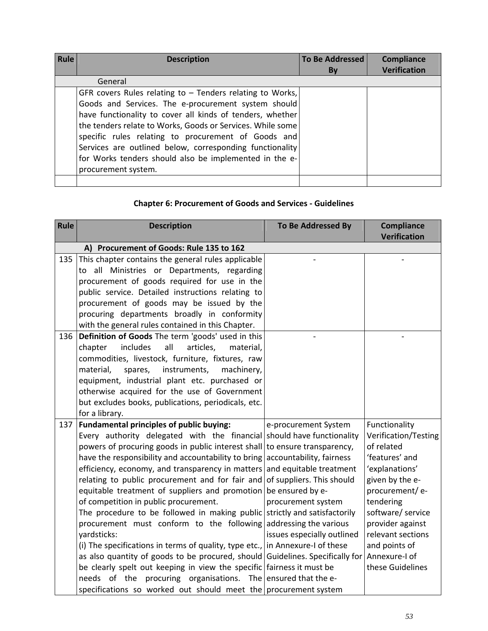| Rule | <b>Description</b>                                                                                                                                                                                                                                                                                   | <b>To Be Addressed</b> | Compliance          |
|------|------------------------------------------------------------------------------------------------------------------------------------------------------------------------------------------------------------------------------------------------------------------------------------------------------|------------------------|---------------------|
|      |                                                                                                                                                                                                                                                                                                      | By                     | <b>Verification</b> |
|      | General                                                                                                                                                                                                                                                                                              |                        |                     |
|      | GFR covers Rules relating to $-$ Tenders relating to Works,<br>Goods and Services. The e-procurement system should                                                                                                                                                                                   |                        |                     |
|      | have functionality to cover all kinds of tenders, whether<br>the tenders relate to Works, Goods or Services. While some<br>specific rules relating to procurement of Goods and<br>Services are outlined below, corresponding functionality<br>for Works tenders should also be implemented in the e- |                        |                     |
|      | procurement system.                                                                                                                                                                                                                                                                                  |                        |                     |

# **Chapter 6: Procurement of Goods and Services ‐ Guidelines**

| <b>Rule</b> | <b>Description</b>                                                                                                                                                                                                                                                                                                                                                                                                                                                                                                                                                                                                                                                                                                                                                                                                                                                                                                                                                                     | To Be Addressed By                                                                                                          | <b>Compliance</b><br><b>Verification</b>                                                                                                                                                                                                      |
|-------------|----------------------------------------------------------------------------------------------------------------------------------------------------------------------------------------------------------------------------------------------------------------------------------------------------------------------------------------------------------------------------------------------------------------------------------------------------------------------------------------------------------------------------------------------------------------------------------------------------------------------------------------------------------------------------------------------------------------------------------------------------------------------------------------------------------------------------------------------------------------------------------------------------------------------------------------------------------------------------------------|-----------------------------------------------------------------------------------------------------------------------------|-----------------------------------------------------------------------------------------------------------------------------------------------------------------------------------------------------------------------------------------------|
|             | A) Procurement of Goods: Rule 135 to 162                                                                                                                                                                                                                                                                                                                                                                                                                                                                                                                                                                                                                                                                                                                                                                                                                                                                                                                                               |                                                                                                                             |                                                                                                                                                                                                                                               |
| 135         | This chapter contains the general rules applicable<br>to all Ministries or Departments, regarding<br>procurement of goods required for use in the<br>public service. Detailed instructions relating to<br>procurement of goods may be issued by the<br>procuring departments broadly in conformity                                                                                                                                                                                                                                                                                                                                                                                                                                                                                                                                                                                                                                                                                     |                                                                                                                             |                                                                                                                                                                                                                                               |
|             | with the general rules contained in this Chapter.                                                                                                                                                                                                                                                                                                                                                                                                                                                                                                                                                                                                                                                                                                                                                                                                                                                                                                                                      |                                                                                                                             |                                                                                                                                                                                                                                               |
| 136         | Definition of Goods The term 'goods' used in this<br>all<br><i>includes</i><br>articles,<br>chapter<br>material,<br>commodities, livestock, furniture, fixtures, raw<br>material,<br>spares,<br>instruments,<br>machinery,<br>equipment, industrial plant etc. purchased or<br>otherwise acquired for the use of Government<br>but excludes books, publications, periodicals, etc.<br>for a library.                                                                                                                                                                                                                                                                                                                                                                                                                                                                                                                                                                                   |                                                                                                                             |                                                                                                                                                                                                                                               |
| 137         | Fundamental principles of public buying:                                                                                                                                                                                                                                                                                                                                                                                                                                                                                                                                                                                                                                                                                                                                                                                                                                                                                                                                               | e-procurement System                                                                                                        | Functionality                                                                                                                                                                                                                                 |
|             | Every authority delegated with the financial should have functionality<br>powers of procuring goods in public interest shall to ensure transparency,<br>have the responsibility and accountability to bring accountability, fairness<br>efficiency, economy, and transparency in matters and equitable treatment<br>relating to public procurement and for fair and<br>equitable treatment of suppliers and promotion<br>of competition in public procurement.<br>The procedure to be followed in making public strictly and satisfactorily<br>procurement must conform to the following<br>yardsticks:<br>(i) The specifications in terms of quality, type etc., in Annexure-I of these<br>as also quantity of goods to be procured, should Guidelines. Specifically for<br>be clearly spelt out keeping in view the specific fairness it must be<br>needs of the procuring organisations. The ensured that the e-<br>specifications so worked out should meet the procurement system | of suppliers. This should<br>be ensured by e-<br>procurement system<br>addressing the various<br>issues especially outlined | Verification/Testing<br>of related<br>'features' and<br>'explanations'<br>given by the e-<br>procurement/ e-<br>tendering<br>software/ service<br>provider against<br>relevant sections<br>and points of<br>Annexure-I of<br>these Guidelines |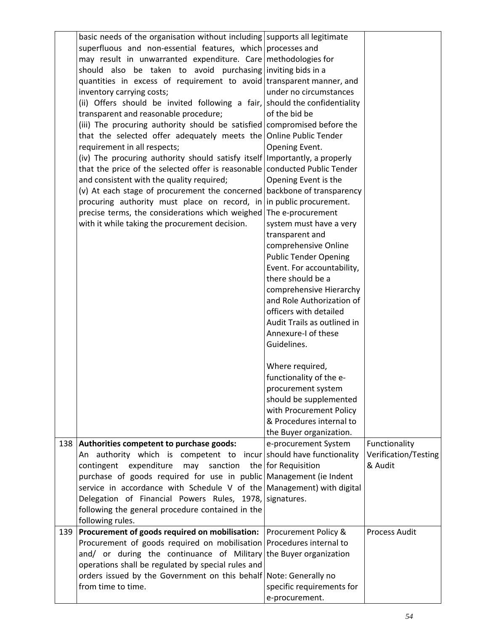|     | basic needs of the organisation without including supports all legitimate  |                              |                      |
|-----|----------------------------------------------------------------------------|------------------------------|----------------------|
|     | superfluous and non-essential features, which processes and                |                              |                      |
|     | may result in unwarranted expenditure. Care methodologies for              |                              |                      |
|     | should also be taken to avoid purchasing inviting bids in a                |                              |                      |
|     | quantities in excess of requirement to avoid transparent manner, and       |                              |                      |
|     | inventory carrying costs;                                                  | under no circumstances       |                      |
|     | (ii) Offers should be invited following a fair, should the confidentiality |                              |                      |
|     | transparent and reasonable procedure;                                      | of the bid be                |                      |
|     |                                                                            |                              |                      |
|     | (iii) The procuring authority should be satisfied compromised before the   |                              |                      |
|     | that the selected offer adequately meets the Online Public Tender          |                              |                      |
|     | requirement in all respects;                                               | Opening Event.               |                      |
|     | (iv) The procuring authority should satisfy itself Importantly, a properly |                              |                      |
|     | that the price of the selected offer is reasonable conducted Public Tender |                              |                      |
|     | and consistent with the quality required;                                  | Opening Event is the         |                      |
|     | (v) At each stage of procurement the concerned backbone of transparency    |                              |                      |
|     | procuring authority must place on record, in in public procurement.        |                              |                      |
|     | precise terms, the considerations which weighed                            | The e-procurement            |                      |
|     |                                                                            |                              |                      |
|     | with it while taking the procurement decision.                             | system must have a very      |                      |
|     |                                                                            | transparent and              |                      |
|     |                                                                            | comprehensive Online         |                      |
|     |                                                                            | <b>Public Tender Opening</b> |                      |
|     |                                                                            | Event. For accountability,   |                      |
|     |                                                                            | there should be a            |                      |
|     |                                                                            | comprehensive Hierarchy      |                      |
|     |                                                                            | and Role Authorization of    |                      |
|     |                                                                            | officers with detailed       |                      |
|     |                                                                            | Audit Trails as outlined in  |                      |
|     |                                                                            | Annexure-I of these          |                      |
|     |                                                                            | Guidelines.                  |                      |
|     |                                                                            |                              |                      |
|     |                                                                            |                              |                      |
|     |                                                                            | Where required,              |                      |
|     |                                                                            | functionality of the e-      |                      |
|     |                                                                            | procurement system           |                      |
|     |                                                                            | should be supplemented       |                      |
|     |                                                                            | with Procurement Policy      |                      |
|     |                                                                            | & Procedures internal to     |                      |
|     |                                                                            | the Buyer organization.      |                      |
|     | 138 Authorities competent to purchase goods:                               | e-procurement System         | Functionality        |
|     | An authority which is competent to incur should have functionality         |                              | Verification/Testing |
|     | sanction<br>contingent<br>expenditure<br>may                               | the for Requisition          | & Audit              |
|     | purchase of goods required for use in public Management (ie Indent         |                              |                      |
|     |                                                                            |                              |                      |
|     | service in accordance with Schedule V of the Management) with digital      |                              |                      |
|     | Delegation of Financial Powers Rules, 1978, signatures.                    |                              |                      |
|     | following the general procedure contained in the                           |                              |                      |
|     | following rules.                                                           |                              |                      |
| 139 | <b>Procurement of goods required on mobilisation:</b> Procurement Policy & |                              | <b>Process Audit</b> |
|     | Procurement of goods required on mobilisation Procedures internal to       |                              |                      |
|     | and/ or during the continuance of Military the Buyer organization          |                              |                      |
|     | operations shall be regulated by special rules and                         |                              |                      |
|     | orders issued by the Government on this behalf Note: Generally no          |                              |                      |
|     | from time to time.                                                         | specific requirements for    |                      |
|     |                                                                            | e-procurement.               |                      |
|     |                                                                            |                              |                      |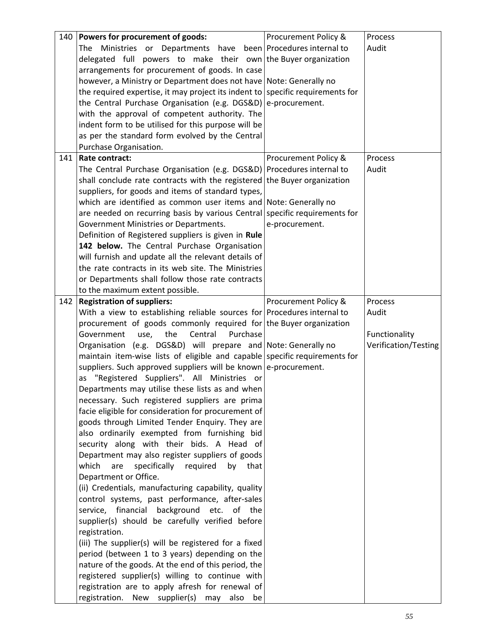| 140 | Powers for procurement of goods:                                                             | Procurement Policy & | Process              |
|-----|----------------------------------------------------------------------------------------------|----------------------|----------------------|
|     | The Ministries or Departments have been Procedures internal to                               |                      | Audit                |
|     | delegated full powers to make their own the Buyer organization                               |                      |                      |
|     | arrangements for procurement of goods. In case                                               |                      |                      |
|     | however, a Ministry or Department does not have Note: Generally no                           |                      |                      |
|     | the required expertise, it may project its indent to specific requirements for               |                      |                      |
|     | the Central Purchase Organisation (e.g. DGS&D) e-procurement.                                |                      |                      |
|     | with the approval of competent authority. The                                                |                      |                      |
|     | indent form to be utilised for this purpose will be                                          |                      |                      |
|     | as per the standard form evolved by the Central                                              |                      |                      |
|     |                                                                                              |                      |                      |
|     | Purchase Organisation.                                                                       |                      |                      |
| 141 | Rate contract:                                                                               | Procurement Policy & | Process              |
|     | The Central Purchase Organisation (e.g. DGS&D) Procedures internal to                        |                      | Audit                |
|     | shall conclude rate contracts with the registered the Buyer organization                     |                      |                      |
|     | suppliers, for goods and items of standard types,                                            |                      |                      |
|     | which are identified as common user items and Note: Generally no                             |                      |                      |
|     | are needed on recurring basis by various Central specific requirements for                   |                      |                      |
|     | Government Ministries or Departments.                                                        | e-procurement.       |                      |
|     | Definition of Registered suppliers is given in Rule                                          |                      |                      |
|     | 142 below. The Central Purchase Organisation                                                 |                      |                      |
|     | will furnish and update all the relevant details of                                          |                      |                      |
|     | the rate contracts in its web site. The Ministries                                           |                      |                      |
|     | or Departments shall follow those rate contracts                                             |                      |                      |
|     | to the maximum extent possible.                                                              |                      |                      |
| 142 | <b>Registration of suppliers:</b>                                                            | Procurement Policy & | Process              |
|     | With a view to establishing reliable sources for Procedures internal to                      |                      | Audit                |
|     | procurement of goods commonly required for the Buyer organization                            |                      |                      |
|     |                                                                                              |                      |                      |
|     |                                                                                              |                      |                      |
|     | the<br>Central<br>Purchase<br>Government<br>use,                                             |                      | Functionality        |
|     | Organisation (e.g. DGS&D) will prepare and Note: Generally no                                |                      | Verification/Testing |
|     | maintain item-wise lists of eligible and capable specific requirements for                   |                      |                      |
|     | suppliers. Such approved suppliers will be known e-procurement.                              |                      |                      |
|     | as "Registered Suppliers". All Ministries or                                                 |                      |                      |
|     | Departments may utilise these lists as and when                                              |                      |                      |
|     | necessary. Such registered suppliers are prima                                               |                      |                      |
|     | facie eligible for consideration for procurement of                                          |                      |                      |
|     | goods through Limited Tender Enquiry. They are                                               |                      |                      |
|     | also ordinarily exempted from furnishing bid                                                 |                      |                      |
|     | security along with their bids. A Head of                                                    |                      |                      |
|     | Department may also register suppliers of goods                                              |                      |                      |
|     | which<br>specifically<br>are<br>required<br>by<br>that                                       |                      |                      |
|     | Department or Office.                                                                        |                      |                      |
|     | (ii) Credentials, manufacturing capability, quality                                          |                      |                      |
|     | control systems, past performance, after-sales                                               |                      |                      |
|     | service, financial background etc.<br>of the                                                 |                      |                      |
|     |                                                                                              |                      |                      |
|     | supplier(s) should be carefully verified before                                              |                      |                      |
|     | registration.                                                                                |                      |                      |
|     | (iii) The supplier(s) will be registered for a fixed                                         |                      |                      |
|     | period (between 1 to 3 years) depending on the                                               |                      |                      |
|     | nature of the goods. At the end of this period, the                                          |                      |                      |
|     | registered supplier(s) willing to continue with                                              |                      |                      |
|     | registration are to apply afresh for renewal of<br>registration. New supplier(s) may also be |                      |                      |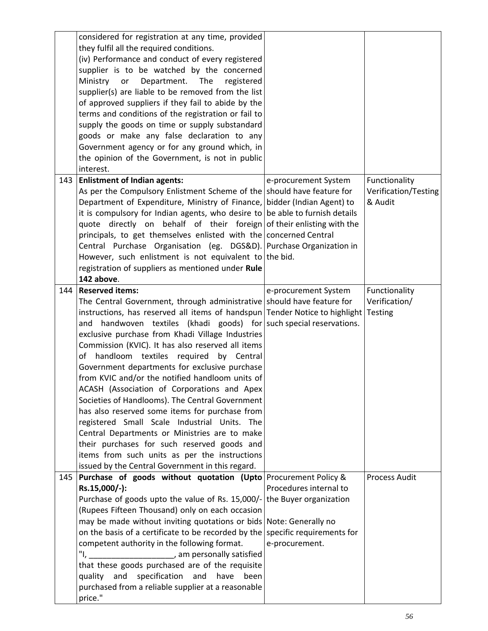|     | considered for registration at any time, provided                             |                        |                      |
|-----|-------------------------------------------------------------------------------|------------------------|----------------------|
|     | they fulfil all the required conditions.                                      |                        |                      |
|     | (iv) Performance and conduct of every registered                              |                        |                      |
|     | supplier is to be watched by the concerned                                    |                        |                      |
|     | Ministry<br>Department. The<br>or<br>registered                               |                        |                      |
|     | supplier(s) are liable to be removed from the list                            |                        |                      |
|     | of approved suppliers if they fail to abide by the                            |                        |                      |
|     | terms and conditions of the registration or fail to                           |                        |                      |
|     | supply the goods on time or supply substandard                                |                        |                      |
|     | goods or make any false declaration to any                                    |                        |                      |
|     | Government agency or for any ground which, in                                 |                        |                      |
|     | the opinion of the Government, is not in public                               |                        |                      |
|     | interest.                                                                     |                        |                      |
| 143 | <b>Enlistment of Indian agents:</b>                                           | e-procurement System   | Functionality        |
|     | As per the Compulsory Enlistment Scheme of the should have feature for        |                        | Verification/Testing |
|     | Department of Expenditure, Ministry of Finance, bidder (Indian Agent) to      |                        | & Audit              |
|     | it is compulsory for Indian agents, who desire to be able to furnish details  |                        |                      |
|     | quote directly on behalf of their foreign of their enlisting with the         |                        |                      |
|     | principals, to get themselves enlisted with the concerned Central             |                        |                      |
|     | Central Purchase Organisation (eg. DGS&D). Purchase Organization in           |                        |                      |
|     | However, such enlistment is not equivalent to the bid.                        |                        |                      |
|     |                                                                               |                        |                      |
|     | registration of suppliers as mentioned under Rule                             |                        |                      |
|     | 142 above.<br><b>Reserved items:</b>                                          |                        |                      |
| 144 |                                                                               | e-procurement System   | Functionality        |
|     | The Central Government, through administrative should have feature for        |                        | Verification/        |
|     | instructions, has reserved all items of handspun Tender Notice to highlight   |                        | Testing              |
|     | handwoven textiles (khadi goods) for such special reservations.<br>and        |                        |                      |
|     | exclusive purchase from Khadi Village Industries                              |                        |                      |
|     | Commission (KVIC). It has also reserved all items                             |                        |                      |
|     | handloom textiles<br>required<br>of<br>by Central                             |                        |                      |
|     | Government departments for exclusive purchase                                 |                        |                      |
|     | from KVIC and/or the notified handloom units of                               |                        |                      |
|     | ACASH (Association of Corporations and Apex                                   |                        |                      |
|     | Societies of Handlooms). The Central Government                               |                        |                      |
|     | has also reserved some items for purchase from                                |                        |                      |
|     | registered Small Scale Industrial Units. The                                  |                        |                      |
|     | Central Departments or Ministries are to make                                 |                        |                      |
|     | their purchases for such reserved goods and                                   |                        |                      |
|     | items from such units as per the instructions                                 |                        |                      |
|     | issued by the Central Government in this regard.                              |                        |                      |
| 145 | Purchase of goods without quotation (Upto Procurement Policy &                |                        | <b>Process Audit</b> |
|     | Rs.15,000/-):                                                                 | Procedures internal to |                      |
|     | Purchase of goods upto the value of Rs. 15,000/- the Buyer organization       |                        |                      |
|     | (Rupees Fifteen Thousand) only on each occasion                               |                        |                      |
|     | may be made without inviting quotations or bids Note: Generally no            |                        |                      |
|     | on the basis of a certificate to be recorded by the specific requirements for |                        |                      |
|     | competent authority in the following format.                                  | e-procurement.         |                      |
|     | "I, ______________________, am personally satisfied                           |                        |                      |
|     | that these goods purchased are of the requisite                               |                        |                      |
|     | and<br>specification<br>and<br>have<br>been<br>quality                        |                        |                      |
|     |                                                                               |                        |                      |
|     | purchased from a reliable supplier at a reasonable                            |                        |                      |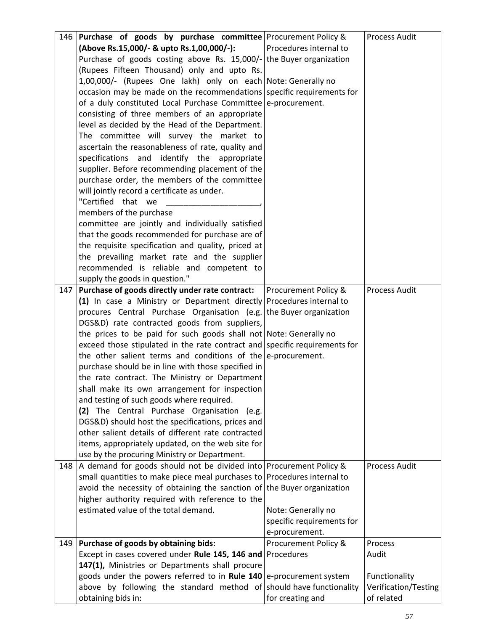| 146 | <b>Purchase of goods by purchase committee</b> Procurement Policy &        |                           | <b>Process Audit</b> |
|-----|----------------------------------------------------------------------------|---------------------------|----------------------|
|     | (Above Rs.15,000/- & upto Rs.1,00,000/-):                                  | Procedures internal to    |                      |
|     | Purchase of goods costing above Rs. 15,000/- the Buyer organization        |                           |                      |
|     | (Rupees Fifteen Thousand) only and upto Rs.                                |                           |                      |
|     | 1,00,000/- (Rupees One lakh) only on each Note: Generally no               |                           |                      |
|     | occasion may be made on the recommendations specific requirements for      |                           |                      |
|     | of a duly constituted Local Purchase Committee e-procurement.              |                           |                      |
|     | consisting of three members of an appropriate                              |                           |                      |
|     | level as decided by the Head of the Department.                            |                           |                      |
|     | The committee will survey the market to                                    |                           |                      |
|     | ascertain the reasonableness of rate, quality and                          |                           |                      |
|     | specifications and identify the appropriate                                |                           |                      |
|     | supplier. Before recommending placement of the                             |                           |                      |
|     | purchase order, the members of the committee                               |                           |                      |
|     | will jointly record a certificate as under.                                |                           |                      |
|     | "Certified that we                                                         |                           |                      |
|     | members of the purchase                                                    |                           |                      |
|     | committee are jointly and individually satisfied                           |                           |                      |
|     | that the goods recommended for purchase are of                             |                           |                      |
|     | the requisite specification and quality, priced at                         |                           |                      |
|     | the prevailing market rate and the supplier                                |                           |                      |
|     | recommended is reliable and competent to                                   |                           |                      |
|     |                                                                            |                           |                      |
| 147 | supply the goods in question."                                             |                           | <b>Process Audit</b> |
|     | Purchase of goods directly under rate contract:                            | Procurement Policy &      |                      |
|     | $(1)$ In case a Ministry or Department directly Procedures internal to     |                           |                      |
|     | procures Central Purchase Organisation (e.g. the Buyer organization        |                           |                      |
|     | DGS&D) rate contracted goods from suppliers,                               |                           |                      |
|     | the prices to be paid for such goods shall not Note: Generally no          |                           |                      |
|     | exceed those stipulated in the rate contract and specific requirements for |                           |                      |
|     | the other salient terms and conditions of the $ e$ -procurement.           |                           |                      |
|     | purchase should be in line with those specified in                         |                           |                      |
|     | the rate contract. The Ministry or Department                              |                           |                      |
|     | shall make its own arrangement for inspection                              |                           |                      |
|     | and testing of such goods where required.                                  |                           |                      |
|     | (2) The Central Purchase Organisation (e.g.                                |                           |                      |
|     | DGS&D) should host the specifications, prices and                          |                           |                      |
|     | other salient details of different rate contracted                         |                           |                      |
|     | items, appropriately updated, on the web site for                          |                           |                      |
|     | use by the procuring Ministry or Department.                               |                           |                      |
| 148 | A demand for goods should not be divided into Procurement Policy &         |                           | <b>Process Audit</b> |
|     | small quantities to make piece meal purchases to                           | Procedures internal to    |                      |
|     | avoid the necessity of obtaining the sanction of the Buyer organization    |                           |                      |
|     | higher authority required with reference to the                            |                           |                      |
|     | estimated value of the total demand.                                       | Note: Generally no        |                      |
|     |                                                                            | specific requirements for |                      |
|     |                                                                            | e-procurement.            |                      |
| 149 | Purchase of goods by obtaining bids:                                       | Procurement Policy &      | Process              |
|     | Except in cases covered under Rule 145, 146 and Procedures                 |                           | Audit                |
|     | 147(1), Ministries or Departments shall procure                            |                           |                      |
|     | goods under the powers referred to in Rule 140 e-procurement system        |                           | Functionality        |
|     | above by following the standard method of should have functionality        |                           | Verification/Testing |
|     | obtaining bids in:                                                         | for creating and          | of related           |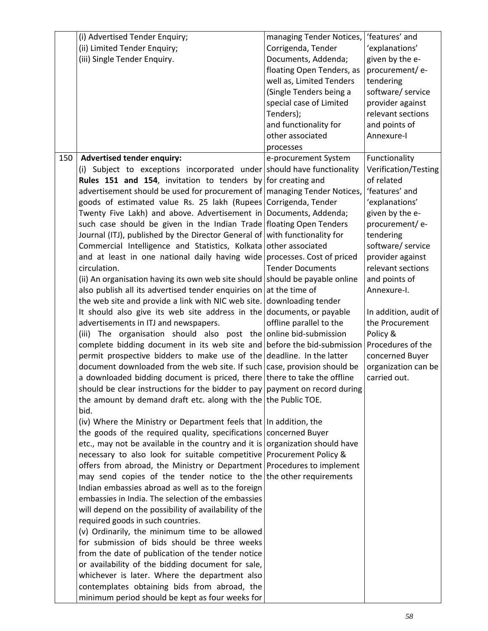|     | (i) Advertised Tender Enquiry;                                                                                                                   | managing Tender Notices,  | 'features' and                |
|-----|--------------------------------------------------------------------------------------------------------------------------------------------------|---------------------------|-------------------------------|
|     | (ii) Limited Tender Enquiry;                                                                                                                     | Corrigenda, Tender        | 'explanations'                |
|     | (iii) Single Tender Enquiry.                                                                                                                     | Documents, Addenda;       | given by the e-               |
|     |                                                                                                                                                  | floating Open Tenders, as | procurement/e-                |
|     |                                                                                                                                                  | well as, Limited Tenders  | tendering                     |
|     |                                                                                                                                                  | (Single Tenders being a   | software/ service             |
|     |                                                                                                                                                  | special case of Limited   | provider against              |
|     |                                                                                                                                                  | Tenders);                 | relevant sections             |
|     |                                                                                                                                                  | and functionality for     | and points of                 |
|     |                                                                                                                                                  | other associated          | Annexure-I                    |
|     |                                                                                                                                                  | processes                 |                               |
| 150 | <b>Advertised tender enquiry:</b>                                                                                                                | e-procurement System      | Functionality                 |
|     | (i) Subject to exceptions incorporated under should have functionality                                                                           |                           | Verification/Testing          |
|     | <b>Rules 151 and 154, invitation to tenders by for creating and</b>                                                                              |                           | of related                    |
|     | advertisement should be used for procurement of managing Tender Notices,                                                                         |                           | 'features' and                |
|     | goods of estimated value Rs. 25 lakh (Rupees Corrigenda, Tender                                                                                  |                           | 'explanations'                |
|     | Twenty Five Lakh) and above. Advertisement in Documents, Addenda;                                                                                |                           | given by the e-               |
|     | such case should be given in the Indian Trade floating Open Tenders                                                                              |                           | procurement/e-                |
|     | Journal (ITJ), published by the Director General of with functionality for                                                                       |                           | tendering                     |
|     | Commercial Intelligence and Statistics, Kolkata other associated                                                                                 |                           | software/ service             |
|     | and at least in one national daily having wide processes. Cost of priced                                                                         |                           | provider against              |
|     | circulation.                                                                                                                                     | <b>Tender Documents</b>   | relevant sections             |
|     | (ii) An organisation having its own web site should should be payable online                                                                     |                           | and points of                 |
|     | also publish all its advertised tender enquiries on                                                                                              | at the time of            | Annexure-I.                   |
|     | the web site and provide a link with NIC web site.                                                                                               | downloading tender        |                               |
|     | It should also give its web site address in the documents, or payable                                                                            |                           | In addition, audit of         |
|     | advertisements in ITJ and newspapers.                                                                                                            | offline parallel to the   | the Procurement               |
|     | (iii) The organisation should also post the online bid-submission                                                                                |                           | Policy &<br>Procedures of the |
|     | complete bidding document in its web site and before the bid-submission<br>permit prospective bidders to make use of the deadline. In the latter |                           | concerned Buyer               |
|     | document downloaded from the web site. If such case, provision should be                                                                         |                           | organization can be           |
|     | a downloaded bidding document is priced, there there to take the offline                                                                         |                           | carried out.                  |
|     | should be clear instructions for the bidder to pay payment on record during                                                                      |                           |                               |
|     | the amount by demand draft etc. along with the the Public TOE.                                                                                   |                           |                               |
|     | bid.                                                                                                                                             |                           |                               |
|     | (iv) Where the Ministry or Department feels that In addition, the                                                                                |                           |                               |
|     | the goods of the required quality, specifications concerned Buyer                                                                                |                           |                               |
|     | etc., may not be available in the country and it is organization should have                                                                     |                           |                               |
|     | necessary to also look for suitable competitive Procurement Policy &                                                                             |                           |                               |
|     | offers from abroad, the Ministry or Department Procedures to implement                                                                           |                           |                               |
|     | may send copies of the tender notice to the the other requirements                                                                               |                           |                               |
|     | Indian embassies abroad as well as to the foreign                                                                                                |                           |                               |
|     | embassies in India. The selection of the embassies                                                                                               |                           |                               |
|     | will depend on the possibility of availability of the                                                                                            |                           |                               |
|     | required goods in such countries.                                                                                                                |                           |                               |
|     | (v) Ordinarily, the minimum time to be allowed                                                                                                   |                           |                               |
|     | for submission of bids should be three weeks                                                                                                     |                           |                               |
|     | from the date of publication of the tender notice                                                                                                |                           |                               |
|     | or availability of the bidding document for sale,                                                                                                |                           |                               |
|     | whichever is later. Where the department also                                                                                                    |                           |                               |
|     | contemplates obtaining bids from abroad, the                                                                                                     |                           |                               |
|     | minimum period should be kept as four weeks for                                                                                                  |                           |                               |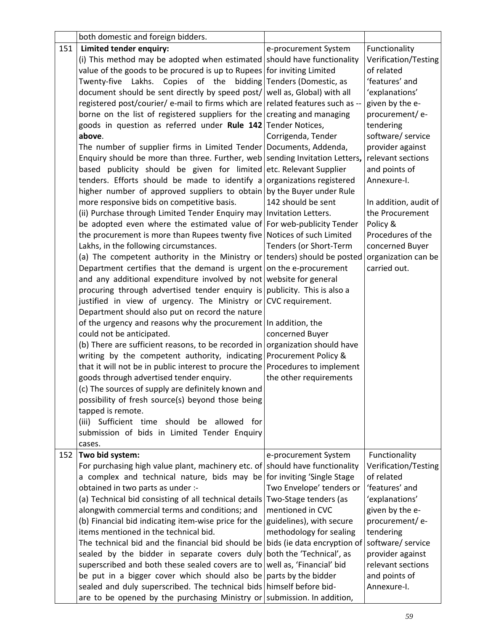|     | both domestic and foreign bidders.                                             |                             |                       |
|-----|--------------------------------------------------------------------------------|-----------------------------|-----------------------|
| 151 | Limited tender enquiry:                                                        | e-procurement System        | Functionality         |
|     | (i) This method may be adopted when estimated should have functionality        |                             | Verification/Testing  |
|     | value of the goods to be procured is up to Rupees for inviting Limited         |                             | of related            |
|     | Twenty-five Lakhs. Copies of the bidding Tenders (Domestic, as                 |                             | 'features' and        |
|     | document should be sent directly by speed post/ well as, Global) with all      |                             | 'explanations'        |
|     | registered post/courier/ e-mail to firms which are related features such as -- |                             | given by the e-       |
|     | borne on the list of registered suppliers for the creating and managing        |                             | procurement/e-        |
|     | goods in question as referred under Rule 142 Tender Notices,                   |                             | tendering             |
|     | above.                                                                         | Corrigenda, Tender          | software/ service     |
|     | The number of supplier firms in Limited Tender   Documents, Addenda,           |                             | provider against      |
|     | Enquiry should be more than three. Further, web sending Invitation Letters,    |                             | relevant sections     |
|     | based publicity should be given for limited etc. Relevant Supplier             |                             | and points of         |
|     | tenders. Efforts should be made to identify a organizations registered         |                             | Annexure-I.           |
|     | higher number of approved suppliers to obtain by the Buyer under Rule          |                             |                       |
|     | more responsive bids on competitive basis.                                     | 142 should be sent          | In addition, audit of |
|     | (ii) Purchase through Limited Tender Enquiry may   Invitation Letters.         |                             | the Procurement       |
|     | be adopted even where the estimated value of For web-publicity Tender          |                             | Policy &              |
|     | the procurement is more than Rupees twenty five Notices of such Limited        |                             | Procedures of the     |
|     | Lakhs, in the following circumstances.                                         | Tenders (or Short-Term      | concerned Buyer       |
|     | (a) The competent authority in the Ministry or tenders) should be posted       |                             | organization can be   |
|     | Department certifies that the demand is urgent on the e-procurement            |                             | carried out.          |
|     | and any additional expenditure involved by not website for general             |                             |                       |
|     | procuring through advertised tender enquiry is publicity. This is also a       |                             |                       |
|     | justified in view of urgency. The Ministry or CVC requirement.                 |                             |                       |
|     | Department should also put on record the nature                                |                             |                       |
|     | of the urgency and reasons why the procurement In addition, the                |                             |                       |
|     | could not be anticipated.                                                      | concerned Buyer             |                       |
|     | (b) There are sufficient reasons, to be recorded in organization should have   |                             |                       |
|     | writing by the competent authority, indicating Procurement Policy &            |                             |                       |
|     | that it will not be in public interest to procure the Procedures to implement  |                             |                       |
|     | goods through advertised tender enquiry.                                       | the other requirements      |                       |
|     | (c) The sources of supply are definitely known and                             |                             |                       |
|     | possibility of fresh source(s) beyond those being                              |                             |                       |
|     | tapped is remote.                                                              |                             |                       |
|     | (iii) Sufficient time should be allowed for                                    |                             |                       |
|     | submission of bids in Limited Tender Enquiry                                   |                             |                       |
|     | cases.                                                                         |                             |                       |
| 152 | Two bid system:                                                                | e-procurement System        | Functionality         |
|     | For purchasing high value plant, machinery etc. of should have functionality   |                             | Verification/Testing  |
|     | a complex and technical nature, bids may be for inviting 'Single Stage         |                             | of related            |
|     | obtained in two parts as under :-                                              | Two Envelope' tenders or    | 'features' and        |
|     | (a) Technical bid consisting of all technical details                          | Two-Stage tenders (as       | 'explanations'        |
|     | alongwith commercial terms and conditions; and                                 | mentioned in CVC            | given by the e-       |
|     | (b) Financial bid indicating item-wise price for the                           | guidelines), with secure    | procurement/e-        |
|     | items mentioned in the technical bid.                                          | methodology for sealing     | tendering             |
|     | The technical bid and the financial bid should be                              | bids (ie data encryption of | software/ service     |
|     | sealed by the bidder in separate covers duly                                   | both the 'Technical', as    | provider against      |
|     | superscribed and both these sealed covers are to well as, 'Financial' bid      |                             | relevant sections     |
|     | be put in a bigger cover which should also be parts by the bidder              |                             | and points of         |
|     | sealed and duly superscribed. The technical bids himself before bid-           |                             | Annexure-I.           |
|     | are to be opened by the purchasing Ministry or submission. In addition,        |                             |                       |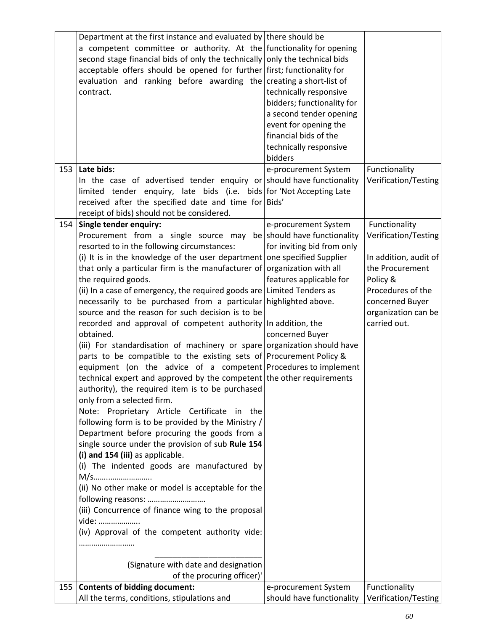|     | Department at the first instance and evaluated by there should be<br>a competent committee or authority. At the functionality for opening<br>second stage financial bids of only the technically only the technical bids<br>acceptable offers should be opened for further first; functionality for<br>evaluation and ranking before awarding the creating a short-list of<br>contract.                                                                                                                                                                                                                                                                                                                                                                                                                                                                                                                                                                                                                                                                                                                                                                                                                                                                                                                                                                                                                                                                                                                                            | technically responsive<br>bidders; functionality for<br>a second tender opening<br>event for opening the<br>financial bids of the<br>technically responsive |                                                                                                                                                                              |
|-----|------------------------------------------------------------------------------------------------------------------------------------------------------------------------------------------------------------------------------------------------------------------------------------------------------------------------------------------------------------------------------------------------------------------------------------------------------------------------------------------------------------------------------------------------------------------------------------------------------------------------------------------------------------------------------------------------------------------------------------------------------------------------------------------------------------------------------------------------------------------------------------------------------------------------------------------------------------------------------------------------------------------------------------------------------------------------------------------------------------------------------------------------------------------------------------------------------------------------------------------------------------------------------------------------------------------------------------------------------------------------------------------------------------------------------------------------------------------------------------------------------------------------------------|-------------------------------------------------------------------------------------------------------------------------------------------------------------|------------------------------------------------------------------------------------------------------------------------------------------------------------------------------|
|     |                                                                                                                                                                                                                                                                                                                                                                                                                                                                                                                                                                                                                                                                                                                                                                                                                                                                                                                                                                                                                                                                                                                                                                                                                                                                                                                                                                                                                                                                                                                                    | bidders                                                                                                                                                     |                                                                                                                                                                              |
| 153 | Late bids:<br>In the case of advertised tender enquiry or should have functionality<br>limited tender enquiry, late bids (i.e. bids for Not Accepting Late<br>received after the specified date and time for Bids'<br>receipt of bids) should not be considered.                                                                                                                                                                                                                                                                                                                                                                                                                                                                                                                                                                                                                                                                                                                                                                                                                                                                                                                                                                                                                                                                                                                                                                                                                                                                   | e-procurement System                                                                                                                                        | Functionality<br>Verification/Testing                                                                                                                                        |
| 154 | Single tender enquiry:<br>Procurement from a single source may<br>resorted to in the following circumstances:<br>(i) It is in the knowledge of the user department one specified Supplier<br>that only a particular firm is the manufacturer of organization with all<br>the required goods.<br>(ii) In a case of emergency, the required goods are Limited Tenders as<br>necessarily to be purchased from a particular highlighted above.<br>source and the reason for such decision is to be<br>recorded and approval of competent authority In addition, the<br>obtained.<br>(iii) For standardisation of machinery or spare organization should have<br>parts to be compatible to the existing sets of Procurement Policy &<br>equipment (on the advice of a competent Procedures to implement<br>technical expert and approved by the competent the other requirements<br>authority), the required item is to be purchased<br>only from a selected firm.<br>Note: Proprietary Article Certificate in the<br>following form is to be provided by the Ministry /<br>Department before procuring the goods from a<br>single source under the provision of sub Rule 154<br>(i) and 154 (iii) as applicable.<br>(i) The indented goods are manufactured by<br>M/s<br>(ii) No other make or model is acceptable for the<br>following reasons:<br>(iii) Concurrence of finance wing to the proposal<br>vide:<br>(iv) Approval of the competent authority vide:<br>(Signature with date and designation<br>of the procuring officer)' | e-procurement System<br>be should have functionality<br>for inviting bid from only<br>features applicable for<br>concerned Buyer                            | Functionality<br>Verification/Testing<br>In addition, audit of<br>the Procurement<br>Policy &<br>Procedures of the<br>concerned Buyer<br>organization can be<br>carried out. |
| 155 | <b>Contents of bidding document:</b>                                                                                                                                                                                                                                                                                                                                                                                                                                                                                                                                                                                                                                                                                                                                                                                                                                                                                                                                                                                                                                                                                                                                                                                                                                                                                                                                                                                                                                                                                               | e-procurement System                                                                                                                                        | Functionality                                                                                                                                                                |
|     | All the terms, conditions, stipulations and                                                                                                                                                                                                                                                                                                                                                                                                                                                                                                                                                                                                                                                                                                                                                                                                                                                                                                                                                                                                                                                                                                                                                                                                                                                                                                                                                                                                                                                                                        | should have functionality                                                                                                                                   | Verification/Testing                                                                                                                                                         |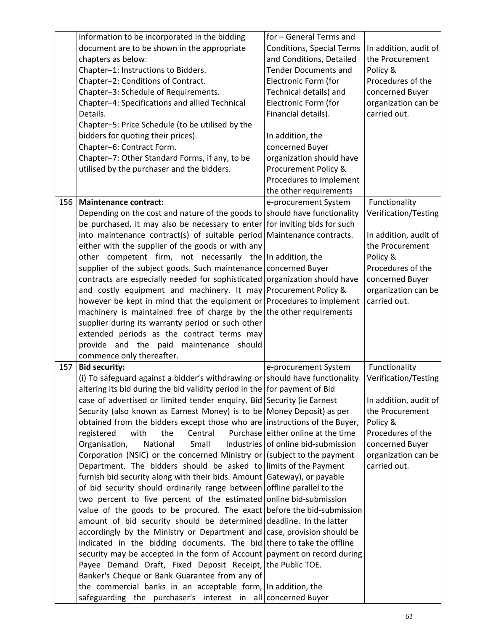|     | information to be incorporated in the bidding<br>document are to be shown in the appropriate<br>chapters as below:<br>Chapter-1: Instructions to Bidders.<br>Chapter-2: Conditions of Contract.<br>Chapter-3: Schedule of Requirements.<br>Chapter-4: Specifications and allied Technical<br>Details.<br>Chapter-5: Price Schedule (to be utilised by the<br>bidders for quoting their prices).<br>Chapter-6: Contract Form.<br>Chapter-7: Other Standard Forms, if any, to be<br>utilised by the purchaser and the bidders.                                                                                                                                                                                                                                                                                                                                                                                                                                                                                                                                                                                                                                                                                                                                                                                                                                                                                                                                                                               | for - General Terms and<br><b>Conditions, Special Terms</b><br>and Conditions, Detailed<br><b>Tender Documents and</b><br>Electronic Form (for<br>Technical details) and<br>Electronic Form (for<br>Financial details).<br>In addition, the<br>concerned Buyer<br>organization should have<br>Procurement Policy & | In addition, audit of<br>the Procurement<br>Policy &<br>Procedures of the<br>concerned Buyer<br>organization can be<br>carried out.                                          |
|-----|------------------------------------------------------------------------------------------------------------------------------------------------------------------------------------------------------------------------------------------------------------------------------------------------------------------------------------------------------------------------------------------------------------------------------------------------------------------------------------------------------------------------------------------------------------------------------------------------------------------------------------------------------------------------------------------------------------------------------------------------------------------------------------------------------------------------------------------------------------------------------------------------------------------------------------------------------------------------------------------------------------------------------------------------------------------------------------------------------------------------------------------------------------------------------------------------------------------------------------------------------------------------------------------------------------------------------------------------------------------------------------------------------------------------------------------------------------------------------------------------------------|--------------------------------------------------------------------------------------------------------------------------------------------------------------------------------------------------------------------------------------------------------------------------------------------------------------------|------------------------------------------------------------------------------------------------------------------------------------------------------------------------------|
|     |                                                                                                                                                                                                                                                                                                                                                                                                                                                                                                                                                                                                                                                                                                                                                                                                                                                                                                                                                                                                                                                                                                                                                                                                                                                                                                                                                                                                                                                                                                            | Procedures to implement<br>the other requirements                                                                                                                                                                                                                                                                  |                                                                                                                                                                              |
| 156 | <b>Maintenance contract:</b><br>Depending on the cost and nature of the goods to should have functionality<br>be purchased, it may also be necessary to enter for inviting bids for such<br>into maintenance contract(s) of suitable period Maintenance contracts.<br>either with the supplier of the goods or with any<br>other competent firm, not necessarily the In addition, the<br>supplier of the subject goods. Such maintenance concerned Buyer<br>contracts are especially needed for sophisticated organization should have<br>and costly equipment and machinery. It may Procurement Policy &<br>however be kept in mind that the equipment or Procedures to implement<br>machinery is maintained free of charge by the the other requirements<br>supplier during its warranty period or such other<br>extended periods as the contract terms may<br>provide and the paid maintenance<br>should<br>commence only thereafter.                                                                                                                                                                                                                                                                                                                                                                                                                                                                                                                                                                   | e-procurement System                                                                                                                                                                                                                                                                                               | Functionality<br>Verification/Testing<br>In addition, audit of<br>the Procurement<br>Policy &<br>Procedures of the<br>concerned Buyer<br>organization can be<br>carried out. |
| 157 | <b>Bid security:</b><br>(i) To safeguard against a bidder's withdrawing or should have functionality<br>altering its bid during the bid validity period in the for payment of Bid<br>case of advertised or limited tender enquiry, Bid Security (ie Earnest<br>Security (also known as Earnest Money) is to be Money Deposit) as per<br>obtained from the bidders except those who are instructions of the Buyer,<br>the<br>Central<br>registered<br>with<br>Organisation,<br>National<br>Small<br>Corporation (NSIC) or the concerned Ministry or (subject to the payment<br>Department. The bidders should be asked to limits of the Payment<br>furnish bid security along with their bids. Amount Gateway), or payable<br>of bid security should ordinarily range between offline parallel to the<br>two percent to five percent of the estimated online bid-submission<br>value of the goods to be procured. The exact before the bid-submission<br>amount of bid security should be determined deadline. In the latter<br>accordingly by the Ministry or Department and case, provision should be<br>indicated in the bidding documents. The bid there to take the offline<br>security may be accepted in the form of Account payment on record during<br>Payee Demand Draft, Fixed Deposit Receipt, the Public TOE.<br>Banker's Cheque or Bank Guarantee from any of<br>the commercial banks in an acceptable form, In addition, the<br>safeguarding the purchaser's interest in all concerned Buyer | e-procurement System<br>Purchase either online at the time<br>Industries of online bid-submission                                                                                                                                                                                                                  | Functionality<br>Verification/Testing<br>In addition, audit of<br>the Procurement<br>Policy &<br>Procedures of the<br>concerned Buyer<br>organization can be<br>carried out. |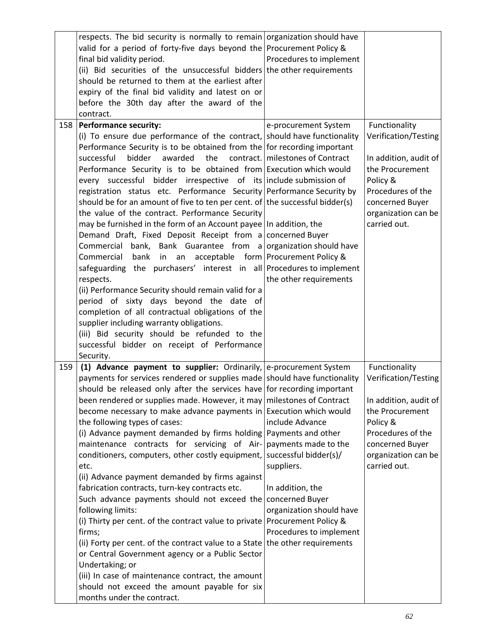|     | respects. The bid security is normally to remain organization should have<br>valid for a period of forty-five days beyond the Procurement Policy &<br>final bid validity period.<br>(ii) Bid securities of the unsuccessful bidders the other requirements<br>should be returned to them at the earliest after<br>expiry of the final bid validity and latest on or<br>before the 30th day after the award of the<br>contract.                                                                                                                                                                                                                                                                                                                                                                                                                                                                                                                                                                                                                                                                                                                                                                                                                             | Procedures to implement                                                                                                                                   |                                                                                                                                                                              |
|-----|------------------------------------------------------------------------------------------------------------------------------------------------------------------------------------------------------------------------------------------------------------------------------------------------------------------------------------------------------------------------------------------------------------------------------------------------------------------------------------------------------------------------------------------------------------------------------------------------------------------------------------------------------------------------------------------------------------------------------------------------------------------------------------------------------------------------------------------------------------------------------------------------------------------------------------------------------------------------------------------------------------------------------------------------------------------------------------------------------------------------------------------------------------------------------------------------------------------------------------------------------------|-----------------------------------------------------------------------------------------------------------------------------------------------------------|------------------------------------------------------------------------------------------------------------------------------------------------------------------------------|
| 158 | <b>Performance security:</b><br>(i) To ensure due performance of the contract, should have functionality<br>Performance Security is to be obtained from the for recording important<br>successful<br>bidder awarded<br>the<br>Performance Security is to be obtained from Execution which would<br>every successful bidder irrespective of its include submission of<br>registration status etc. Performance Security Performance Security by<br>should be for an amount of five to ten per cent. of the successful bidder(s)<br>the value of the contract. Performance Security<br>may be furnished in the form of an Account payee In addition, the<br>Demand Draft, Fixed Deposit Receipt from a concerned Buyer<br>Commercial bank, Bank Guarantee from a organization should have<br>Commercial<br>bank in an acceptable form Procurement Policy &<br>safeguarding the purchasers' interest in all Procedures to implement<br>respects.<br>(ii) Performance Security should remain valid for a<br>period of sixty days beyond the date of<br>completion of all contractual obligations of the<br>supplier including warranty obligations.<br>(iii) Bid security should be refunded to the<br>successful bidder on receipt of Performance<br>Security. | e-procurement System<br>contract.   milestones of Contract<br>the other requirements                                                                      | Functionality<br>Verification/Testing<br>In addition, audit of<br>the Procurement<br>Policy &<br>Procedures of the<br>concerned Buyer<br>organization can be<br>carried out. |
| 159 | (1) Advance payment to supplier: Ordinarily, e-procurement System<br>payments for services rendered or supplies made should have functionality<br>should be released only after the services have for recording important<br>been rendered or supplies made. However, it may milestones of Contract<br>become necessary to make advance payments in Execution which would<br>the following types of cases:<br>(i) Advance payment demanded by firms holding Payments and other<br>maintenance contracts for servicing of Air-<br>conditioners, computers, other costly equipment,<br>etc.<br>(ii) Advance payment demanded by firms against<br>fabrication contracts, turn-key contracts etc.<br>Such advance payments should not exceed the concerned Buyer<br>following limits:<br>(i) Thirty per cent. of the contract value to private Procurement Policy &<br>firms;<br>(ii) Forty per cent. of the contract value to a State the other requirements<br>or Central Government agency or a Public Sector<br>Undertaking; or<br>(iii) In case of maintenance contract, the amount<br>should not exceed the amount payable for six<br>months under the contract.                                                                                         | include Advance<br>payments made to the<br>successful bidder(s)/<br>suppliers.<br>In addition, the<br>organization should have<br>Procedures to implement | Functionality<br>Verification/Testing<br>In addition, audit of<br>the Procurement<br>Policy &<br>Procedures of the<br>concerned Buyer<br>organization can be<br>carried out. |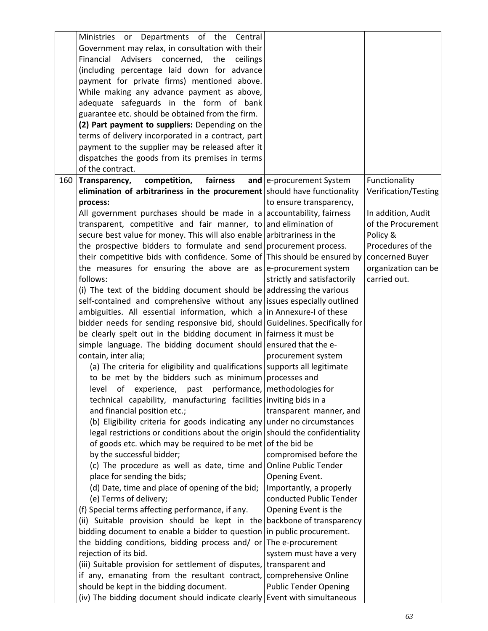| Ministries or Departments of the Central                                                          |  |
|---------------------------------------------------------------------------------------------------|--|
| Government may relax, in consultation with their                                                  |  |
| Advisers concerned, the<br>Financial<br>ceilings                                                  |  |
| (including percentage laid down for advance                                                       |  |
| payment for private firms) mentioned above.                                                       |  |
| While making any advance payment as above,                                                        |  |
| adequate safeguards in the form of bank                                                           |  |
| guarantee etc. should be obtained from the firm.                                                  |  |
| (2) Part payment to suppliers: Depending on the                                                   |  |
| terms of delivery incorporated in a contract, part                                                |  |
| payment to the supplier may be released after it                                                  |  |
| dispatches the goods from its premises in terms                                                   |  |
| of the contract.                                                                                  |  |
| competition,<br>fairness<br>and e-procurement System<br>Functionality<br>160<br>Transparency,     |  |
| elimination of arbitrariness in the procurement should have functionality<br>Verification/Testing |  |
| to ensure transparency,<br>process:                                                               |  |
| All government purchases should be made in a accountability, fairness<br>In addition, Audit       |  |
| transparent, competitive and fair manner, to and elimination of<br>of the Procurement             |  |
| secure best value for money. This will also enable arbitrariness in the<br>Policy &               |  |
| the prospective bidders to formulate and send procurement process.<br>Procedures of the           |  |
| their competitive bids with confidence. Some of This should be ensured by<br>concerned Buyer      |  |
| the measures for ensuring the above are as e-procurement system<br>organization can be            |  |
| follows:<br>strictly and satisfactorily<br>carried out.                                           |  |
| (i) The text of the bidding document should be addressing the various                             |  |
| self-contained and comprehensive without any issues especially outlined                           |  |
| ambiguities. All essential information, which $a$ in Annexure-I of these                          |  |
| bidder needs for sending responsive bid, should Guidelines. Specifically for                      |  |
| be clearly spelt out in the bidding document in fairness it must be                               |  |
| simple language. The bidding document should ensured that the e-                                  |  |
| contain, inter alia;<br>procurement system                                                        |  |
| (a) The criteria for eligibility and qualifications supports all legitimate                       |  |
| to be met by the bidders such as minimum processes and                                            |  |
| level of experience, past performance, methodologies for                                          |  |
| technical capability, manufacturing facilities inviting bids in a                                 |  |
| and financial position etc.;<br>transparent manner, and                                           |  |
| (b) Eligibility criteria for goods indicating any under no circumstances                          |  |
| legal restrictions or conditions about the origin should the confidentiality                      |  |
| of goods etc. which may be required to be met of the bid be                                       |  |
| by the successful bidder;<br>compromised before the                                               |  |
| (c) The procedure as well as date, time and<br><b>Online Public Tender</b>                        |  |
| place for sending the bids;<br>Opening Event.                                                     |  |
| (d) Date, time and place of opening of the bid;<br>Importantly, a properly                        |  |
| (e) Terms of delivery;<br>conducted Public Tender                                                 |  |
| (f) Special terms affecting performance, if any.<br>Opening Event is the                          |  |
| (ii) Suitable provision should be kept in the backbone of transparency                            |  |
| bidding document to enable a bidder to question in public procurement.                            |  |
| the bidding conditions, bidding process and/ or $ $ The e-procurement<br>rejection of its bid.    |  |
| system must have a very<br>(iii) Suitable provision for settlement of disputes, transparent and   |  |
| if any, emanating from the resultant contract, comprehensive Online                               |  |
| should be kept in the bidding document.<br><b>Public Tender Opening</b>                           |  |
| (iv) The bidding document should indicate clearly Event with simultaneous                         |  |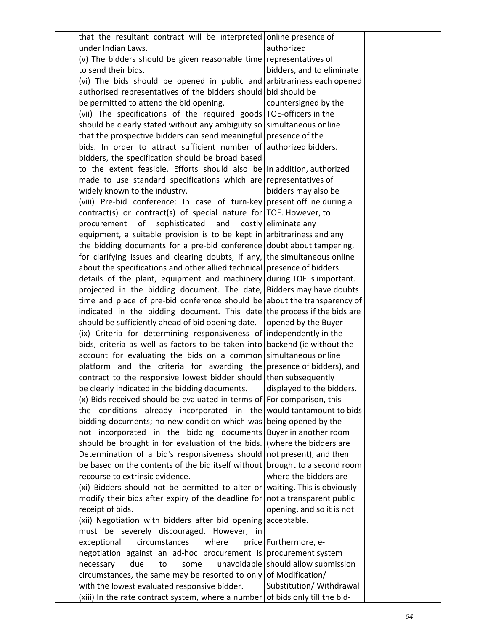| that the resultant contract will be interpreted online presence of            |                                     |  |
|-------------------------------------------------------------------------------|-------------------------------------|--|
| under Indian Laws.                                                            | authorized                          |  |
| (v) The bidders should be given reasonable time representatives of            |                                     |  |
| to send their bids.                                                           | bidders, and to eliminate           |  |
| (vi) The bids should be opened in public and arbitrariness each opened        |                                     |  |
| authorised representatives of the bidders should bid should be                |                                     |  |
| be permitted to attend the bid opening.                                       | countersigned by the                |  |
| (vii) The specifications of the required goods TOE-officers in the            |                                     |  |
| should be clearly stated without any ambiguity so simultaneous online         |                                     |  |
| that the prospective bidders can send meaningful presence of the              |                                     |  |
| bids. In order to attract sufficient number of authorized bidders.            |                                     |  |
| bidders, the specification should be broad based                              |                                     |  |
| to the extent feasible. Efforts should also be   In addition, authorized      |                                     |  |
| made to use standard specifications which are representatives of              |                                     |  |
| widely known to the industry.                                                 | bidders may also be                 |  |
| (viii) Pre-bid conference: In case of turn-key present offline during a       |                                     |  |
| contract(s) or contract(s) of special nature for TOE. However, to             |                                     |  |
| procurement of<br>sophisticated and costly eliminate any                      |                                     |  |
| equipment, a suitable provision is to be kept in arbitrariness and any        |                                     |  |
| the bidding documents for a pre-bid conference doubt about tampering,         |                                     |  |
| for clarifying issues and clearing doubts, if any, the simultaneous online    |                                     |  |
| about the specifications and other allied technical presence of bidders       |                                     |  |
| details of the plant, equipment and machinery during TOE is important.        |                                     |  |
| projected in the bidding document. The date, Bidders may have doubts          |                                     |  |
| time and place of pre-bid conference should be about the transparency of      |                                     |  |
| indicated in the bidding document. This date the process if the bids are      |                                     |  |
| should be sufficiently ahead of bid opening date.   opened by the Buyer       |                                     |  |
| (ix) Criteria for determining responsiveness of independently in the          |                                     |  |
| bids, criteria as well as factors to be taken into backend (ie without the    |                                     |  |
| account for evaluating the bids on a common simultaneous online               |                                     |  |
| platform and the criteria for awarding the presence of bidders), and          |                                     |  |
| contract to the responsive lowest bidder should then subsequently             |                                     |  |
| be clearly indicated in the bidding documents.                                | displayed to the bidders.           |  |
| $(x)$ Bids received should be evaluated in terms of For comparison, this      |                                     |  |
| the conditions already incorporated in the would tantamount to bids           |                                     |  |
| bidding documents; no new condition which was being opened by the             |                                     |  |
| not incorporated in the bidding documents Buyer in another room               |                                     |  |
| should be brought in for evaluation of the bids. (where the bidders are       |                                     |  |
| Determination of a bid's responsiveness should not present), and then         |                                     |  |
| be based on the contents of the bid itself without brought to a second room   |                                     |  |
| recourse to extrinsic evidence.                                               | where the bidders are               |  |
| (xi) Bidders should not be permitted to alter or waiting. This is obviously   |                                     |  |
| modify their bids after expiry of the deadline for not a transparent public   |                                     |  |
| receipt of bids.                                                              | opening, and so it is not           |  |
| (xii) Negotiation with bidders after bid opening acceptable.                  |                                     |  |
| must be severely discouraged. However, in                                     |                                     |  |
| exceptional<br>circumstances<br>where                                         | price   Furthermore, e-             |  |
| negotiation against an ad-hoc procurement is procurement system               |                                     |  |
| due<br>necessary<br>to<br>some                                                | unavoidable should allow submission |  |
| circumstances, the same may be resorted to only of Modification/              |                                     |  |
| with the lowest evaluated responsive bidder.                                  | Substitution/ Withdrawal            |  |
| (xiii) In the rate contract system, where a number of bids only till the bid- |                                     |  |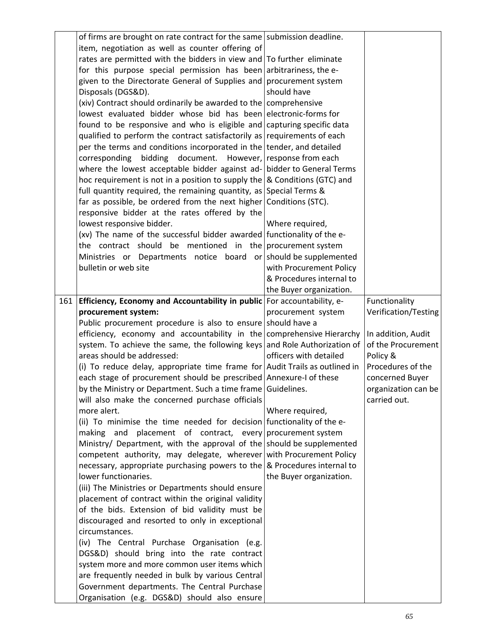|     | of firms are brought on rate contract for the same submission deadline.<br>item, negotiation as well as counter offering of<br>rates are permitted with the bidders in view and $\overline{I}$ To further eliminate<br>for this purpose special permission has been arbitrariness, the e- |                          |                                          |
|-----|-------------------------------------------------------------------------------------------------------------------------------------------------------------------------------------------------------------------------------------------------------------------------------------------|--------------------------|------------------------------------------|
|     | given to the Directorate General of Supplies and procurement system                                                                                                                                                                                                                       |                          |                                          |
|     | Disposals (DGS&D).                                                                                                                                                                                                                                                                        | should have              |                                          |
|     | (xiv) Contract should ordinarily be awarded to the comprehensive<br>lowest evaluated bidder whose bid has been electronic-forms for                                                                                                                                                       |                          |                                          |
|     | found to be responsive and who is eligible and capturing specific data                                                                                                                                                                                                                    |                          |                                          |
|     | qualified to perform the contract satisfactorily as requirements of each                                                                                                                                                                                                                  |                          |                                          |
|     | per the terms and conditions incorporated in the tender, and detailed                                                                                                                                                                                                                     |                          |                                          |
|     | corresponding bidding document. However, response from each                                                                                                                                                                                                                               |                          |                                          |
|     | where the lowest acceptable bidder against ad- bidder to General Terms                                                                                                                                                                                                                    |                          |                                          |
|     | hoc requirement is not in a position to supply the $\&$ Conditions (GTC) and                                                                                                                                                                                                              |                          |                                          |
|     | full quantity required, the remaining quantity, as Special Terms &                                                                                                                                                                                                                        |                          |                                          |
|     | far as possible, be ordered from the next higher Conditions (STC).                                                                                                                                                                                                                        |                          |                                          |
|     | responsive bidder at the rates offered by the                                                                                                                                                                                                                                             |                          |                                          |
|     | lowest responsive bidder.<br>(xv) The name of the successful bidder awarded functionality of the e-                                                                                                                                                                                       | Where required,          |                                          |
|     | the contract should be mentioned in the procurement system                                                                                                                                                                                                                                |                          |                                          |
|     | Ministries or Departments notice board or should be supplemented                                                                                                                                                                                                                          |                          |                                          |
|     | bulletin or web site                                                                                                                                                                                                                                                                      | with Procurement Policy  |                                          |
|     |                                                                                                                                                                                                                                                                                           | & Procedures internal to |                                          |
|     |                                                                                                                                                                                                                                                                                           | the Buyer organization.  |                                          |
| 161 | Efficiency, Economy and Accountability in public For accountability, e-                                                                                                                                                                                                                   |                          | Functionality                            |
|     | procurement system:                                                                                                                                                                                                                                                                       | procurement system       | Verification/Testing                     |
|     | Public procurement procedure is also to ensure should have a                                                                                                                                                                                                                              |                          |                                          |
|     | efficiency, economy and accountability in the comprehensive Hierarchy<br>system. To achieve the same, the following keys and Role Authorization of                                                                                                                                        |                          | In addition, Audit<br>of the Procurement |
|     | areas should be addressed:                                                                                                                                                                                                                                                                | officers with detailed   | Policy &                                 |
|     | (i) To reduce delay, appropriate time frame for Audit Trails as outlined in                                                                                                                                                                                                               |                          | Procedures of the                        |
|     | each stage of procurement should be prescribed Annexure-I of these                                                                                                                                                                                                                        |                          | concerned Buyer                          |
|     | by the Ministry or Department. Such a time frame Guidelines.                                                                                                                                                                                                                              |                          | organization can be                      |
|     | will also make the concerned purchase officials                                                                                                                                                                                                                                           |                          | carried out.                             |
|     | more alert.                                                                                                                                                                                                                                                                               | Where required,          |                                          |
|     | (ii) To minimise the time needed for decision functionality of the e-                                                                                                                                                                                                                     |                          |                                          |
|     | making and placement of contract, every procurement system                                                                                                                                                                                                                                |                          |                                          |
|     | Ministry/ Department, with the approval of the should be supplemented<br>competent authority, may delegate, wherever with Procurement Policy                                                                                                                                              |                          |                                          |
|     | necessary, appropriate purchasing powers to the $\&$ Procedures internal to                                                                                                                                                                                                               |                          |                                          |
|     | lower functionaries.                                                                                                                                                                                                                                                                      | the Buyer organization.  |                                          |
|     | (iii) The Ministries or Departments should ensure                                                                                                                                                                                                                                         |                          |                                          |
|     | placement of contract within the original validity                                                                                                                                                                                                                                        |                          |                                          |
|     | of the bids. Extension of bid validity must be                                                                                                                                                                                                                                            |                          |                                          |
|     | discouraged and resorted to only in exceptional                                                                                                                                                                                                                                           |                          |                                          |
|     | circumstances.                                                                                                                                                                                                                                                                            |                          |                                          |
|     | (iv) The Central Purchase Organisation (e.g.                                                                                                                                                                                                                                              |                          |                                          |
|     | DGS&D) should bring into the rate contract<br>system more and more common user items which                                                                                                                                                                                                |                          |                                          |
|     | are frequently needed in bulk by various Central                                                                                                                                                                                                                                          |                          |                                          |
|     | Government departments. The Central Purchase                                                                                                                                                                                                                                              |                          |                                          |
|     | Organisation (e.g. DGS&D) should also ensure                                                                                                                                                                                                                                              |                          |                                          |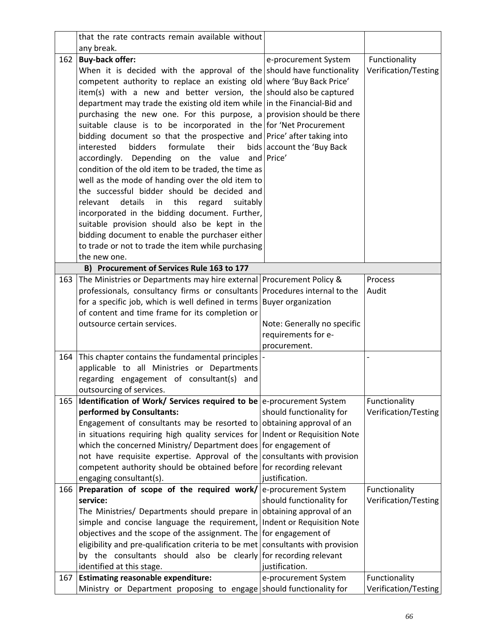|     | that the rate contracts remain available without                                                         |                             |                                       |
|-----|----------------------------------------------------------------------------------------------------------|-----------------------------|---------------------------------------|
|     | any break.                                                                                               |                             |                                       |
| 162 | <b>Buy-back offer:</b>                                                                                   | e-procurement System        | Functionality                         |
|     | When it is decided with the approval of the should have functionality                                    |                             | Verification/Testing                  |
|     | competent authority to replace an existing old where 'Buy Back Price'                                    |                             |                                       |
|     | item(s) with a new and better version, the should also be captured                                       |                             |                                       |
|     | department may trade the existing old item while in the Financial-Bid and                                |                             |                                       |
|     | purchasing the new one. For this purpose, a provision should be there                                    |                             |                                       |
|     | suitable clause is to be incorporated in the for Net Procurement                                         |                             |                                       |
|     | bidding document so that the prospective and Price' after taking into                                    |                             |                                       |
|     | interested<br><b>bidders</b><br>formulate<br>their                                                       | bids account the 'Buy Back  |                                       |
|     | accordingly. Depending on the value                                                                      | and Price'                  |                                       |
|     | condition of the old item to be traded, the time as                                                      |                             |                                       |
|     | well as the mode of handing over the old item to                                                         |                             |                                       |
|     | the successful bidder should be decided and                                                              |                             |                                       |
|     | details<br>this<br>relevant<br>in<br>regard<br>suitably                                                  |                             |                                       |
|     | incorporated in the bidding document. Further,                                                           |                             |                                       |
|     | suitable provision should also be kept in the                                                            |                             |                                       |
|     | bidding document to enable the purchaser either                                                          |                             |                                       |
|     | to trade or not to trade the item while purchasing                                                       |                             |                                       |
|     | the new one.                                                                                             |                             |                                       |
|     | B) Procurement of Services Rule 163 to 177                                                               |                             |                                       |
| 163 | The Ministries or Departments may hire external Procurement Policy &                                     |                             | Process                               |
|     | professionals, consultancy firms or consultants Procedures internal to the                               |                             | Audit                                 |
|     | for a specific job, which is well defined in terms Buyer organization                                    |                             |                                       |
|     | of content and time frame for its completion or                                                          |                             |                                       |
|     | outsource certain services.                                                                              | Note: Generally no specific |                                       |
|     |                                                                                                          | requirements for e-         |                                       |
|     |                                                                                                          | procurement.                |                                       |
| 164 | This chapter contains the fundamental principles  -                                                      |                             |                                       |
|     | applicable to all Ministries or Departments                                                              |                             |                                       |
|     | regarding engagement of consultant(s) and                                                                |                             |                                       |
|     | outsourcing of services.                                                                                 |                             |                                       |
| 165 | <b>Identification of Work/ Services required to be</b> e-procurement System<br>performed by Consultants: | should functionality for    | Functionality<br>Verification/Testing |
|     | Engagement of consultants may be resorted to obtaining approval of an                                    |                             |                                       |
|     | in situations requiring high quality services for Indent or Requisition Note                             |                             |                                       |
|     | which the concerned Ministry/ Department does for engagement of                                          |                             |                                       |
|     | not have requisite expertise. Approval of the consultants with provision                                 |                             |                                       |
|     | competent authority should be obtained before for recording relevant                                     |                             |                                       |
|     | engaging consultant(s).                                                                                  | justification.              |                                       |
| 166 | Preparation of scope of the required work/ $ e$ -procurement System                                      |                             | Functionality                         |
|     | service:                                                                                                 | should functionality for    | Verification/Testing                  |
|     | The Ministries/ Departments should prepare in obtaining approval of an                                   |                             |                                       |
|     | simple and concise language the requirement, Indent or Requisition Note                                  |                             |                                       |
|     | objectives and the scope of the assignment. The for engagement of                                        |                             |                                       |
|     | eligibility and pre-qualification criteria to be met consultants with provision                          |                             |                                       |
|     | by the consultants should also be clearly for recording relevant                                         |                             |                                       |
|     | identified at this stage.                                                                                | justification.              |                                       |
| 167 | <b>Estimating reasonable expenditure:</b>                                                                | e-procurement System        | Functionality                         |
|     | Ministry or Department proposing to engage should functionality for                                      |                             | Verification/Testing                  |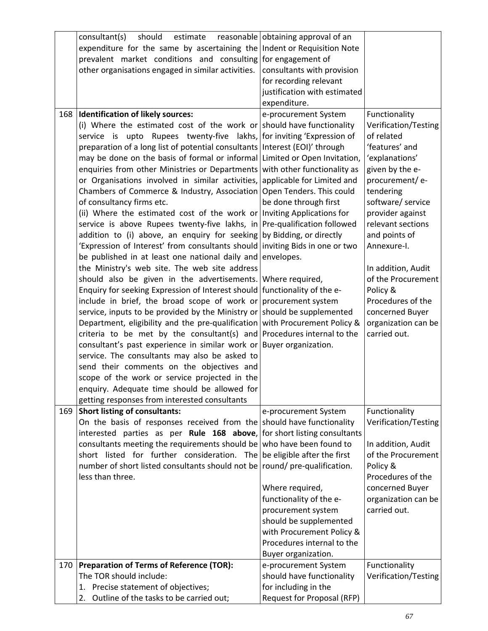|     | consultant(s)<br>should<br>estimate                                           | reasonable obtaining approval of an |                      |
|-----|-------------------------------------------------------------------------------|-------------------------------------|----------------------|
|     | expenditure for the same by ascertaining the Indent or Requisition Note       |                                     |                      |
|     | prevalent market conditions and consulting for engagement of                  |                                     |                      |
|     | other organisations engaged in similar activities.                            | consultants with provision          |                      |
|     |                                                                               | for recording relevant              |                      |
|     |                                                                               | justification with estimated        |                      |
|     |                                                                               | expenditure.                        |                      |
| 168 | Identification of likely sources:                                             | e-procurement System                | Functionality        |
|     | (i) Where the estimated cost of the work or should have functionality         |                                     | Verification/Testing |
|     | service is upto Rupees twenty-five lakhs, for inviting 'Expression of         |                                     | of related           |
|     | preparation of a long list of potential consultants   Interest (EOI)' through |                                     | 'features' and       |
|     | may be done on the basis of formal or informal Limited or Open Invitation,    |                                     | 'explanations'       |
|     | enquiries from other Ministries or Departments with other functionality as    |                                     | given by the e-      |
|     | or Organisations involved in similar activities, applicable for Limited and   |                                     | procurement/e-       |
|     | Chambers of Commerce & Industry, Association Open Tenders. This could         |                                     | tendering            |
|     | of consultancy firms etc.                                                     | be done through first               | software/ service    |
|     | (ii) Where the estimated cost of the work or Inviting Applications for        |                                     | provider against     |
|     | service is above Rupees twenty-five lakhs, in Pre-qualification followed      |                                     | relevant sections    |
|     | addition to (i) above, an enquiry for seeking by Bidding, or directly         |                                     | and points of        |
|     | 'Expression of Interest' from consultants should inviting Bids in one or two  |                                     | Annexure-I.          |
|     | be published in at least one national daily and envelopes.                    |                                     |                      |
|     | the Ministry's web site. The web site address                                 |                                     | In addition, Audit   |
|     | should also be given in the advertisements. Where required,                   |                                     | of the Procurement   |
|     | Enquiry for seeking Expression of Interest should functionality of the e-     |                                     | Policy &             |
|     | include in brief, the broad scope of work or procurement system               |                                     | Procedures of the    |
|     | service, inputs to be provided by the Ministry or should be supplemented      |                                     | concerned Buyer      |
|     | Department, eligibility and the pre-qualification with Procurement Policy &   |                                     | organization can be  |
|     | criteria to be met by the consultant(s) and Procedures internal to the        |                                     | carried out.         |
|     | consultant's past experience in similar work or Buyer organization.           |                                     |                      |
|     | service. The consultants may also be asked to                                 |                                     |                      |
|     | send their comments on the objectives and                                     |                                     |                      |
|     | scope of the work or service projected in the                                 |                                     |                      |
|     | enquiry. Adequate time should be allowed for                                  |                                     |                      |
|     | getting responses from interested consultants                                 |                                     |                      |
| 169 | <b>Short listing of consultants:</b>                                          | e-procurement System                | Functionality        |
|     | On the basis of responses received from the should have functionality         |                                     | Verification/Testing |
|     | interested parties as per Rule 168 above, for short listing consultants       |                                     |                      |
|     | consultants meeting the requirements should be who have been found to         |                                     | In addition, Audit   |
|     | short listed for further consideration. The be eligible after the first       |                                     | of the Procurement   |
|     | number of short listed consultants should not be round/ pre-qualification.    |                                     | Policy &             |
|     | less than three.                                                              |                                     | Procedures of the    |
|     |                                                                               | Where required,                     | concerned Buyer      |
|     |                                                                               | functionality of the e-             | organization can be  |
|     |                                                                               | procurement system                  | carried out.         |
|     |                                                                               | should be supplemented              |                      |
|     |                                                                               | with Procurement Policy &           |                      |
|     |                                                                               | Procedures internal to the          |                      |
|     |                                                                               | Buyer organization.                 |                      |
| 170 | <b>Preparation of Terms of Reference (TOR):</b>                               | e-procurement System                | Functionality        |
|     | The TOR should include:                                                       | should have functionality           | Verification/Testing |
|     | 1. Precise statement of objectives;                                           | for including in the                |                      |
|     | 2. Outline of the tasks to be carried out;                                    | Request for Proposal (RFP)          |                      |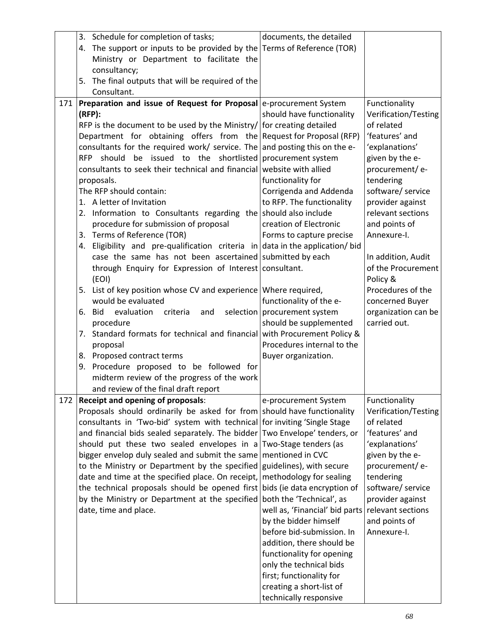|     | 3. Schedule for completion of tasks;                                          | documents, the detailed        |                      |
|-----|-------------------------------------------------------------------------------|--------------------------------|----------------------|
|     | 4. The support or inputs to be provided by the Terms of Reference (TOR)       |                                |                      |
|     | Ministry or Department to facilitate the                                      |                                |                      |
|     | consultancy;                                                                  |                                |                      |
|     | 5. The final outputs that will be required of the                             |                                |                      |
|     | Consultant.                                                                   |                                |                      |
| 171 | Preparation and issue of Request for Proposal e-procurement System            |                                | Functionality        |
|     | (RFP):                                                                        | should have functionality      | Verification/Testing |
|     | RFP is the document to be used by the Ministry/ for creating detailed         |                                | of related           |
|     | Department for obtaining offers from the Request for Proposal (RFP)           |                                | 'features' and       |
|     | consultants for the required work/ service. The and posting this on the e-    |                                | 'explanations'       |
|     | RFP should be issued to the shortlisted procurement system                    |                                | given by the e-      |
|     | consultants to seek their technical and financial website with allied         |                                | procurement/e-       |
|     | proposals.                                                                    | functionality for              | tendering            |
|     | The RFP should contain:                                                       | Corrigenda and Addenda         | software/ service    |
|     | 1. A letter of Invitation                                                     | to RFP. The functionality      | provider against     |
|     | 2. Information to Consultants regarding the should also include               |                                | relevant sections    |
|     | procedure for submission of proposal                                          | creation of Electronic         | and points of        |
|     | 3. Terms of Reference (TOR)                                                   | Forms to capture precise       | Annexure-I.          |
|     | 4. Eligibility and pre-qualification criteria in data in the application/ bid |                                |                      |
|     | case the same has not been ascertained submitted by each                      |                                | In addition, Audit   |
|     |                                                                               |                                | of the Procurement   |
|     | through Enquiry for Expression of Interest consultant.                        |                                |                      |
|     | (EOI)                                                                         |                                | Policy &             |
|     | 5. List of key position whose CV and experience Where required,               |                                | Procedures of the    |
|     | would be evaluated                                                            | functionality of the e-        | concerned Buyer      |
|     | 6. Bid<br>evaluation<br>criteria<br>and                                       | selection   procurement system | organization can be  |
|     | procedure                                                                     | should be supplemented         | carried out.         |
|     | 7. Standard formats for technical and financial with Procurement Policy &     |                                |                      |
|     | proposal                                                                      | Procedures internal to the     |                      |
|     | 8. Proposed contract terms                                                    | Buyer organization.            |                      |
|     | 9. Procedure proposed to be followed for                                      |                                |                      |
|     | midterm review of the progress of the work                                    |                                |                      |
|     | and review of the final draft report                                          |                                |                      |
| 172 | Receipt and opening of proposals:                                             | e-procurement System           | Functionality        |
|     | Proposals should ordinarily be asked for from should have functionality       |                                | Verification/Testing |
|     | consultants in 'Two-bid' system with technical for inviting 'Single Stage     |                                | of related           |
|     | and financial bids sealed separately. The bidder Two Envelope' tenders, or    |                                | 'features' and       |
|     | should put these two sealed envelopes in a                                    | Two-Stage tenders (as          | 'explanations'       |
|     | bigger envelop duly sealed and submit the same mentioned in CVC               |                                | given by the e-      |
|     | to the Ministry or Department by the specified                                | guidelines), with secure       | procurement/e-       |
|     | date and time at the specified place. On receipt,                             | methodology for sealing        | tendering            |
|     | the technical proposals should be opened first bids (ie data encryption of    |                                | software/ service    |
|     | by the Ministry or Department at the specified                                | both the 'Technical', as       | provider against     |
|     | date, time and place.                                                         | well as, 'Financial' bid parts | relevant sections    |
|     |                                                                               | by the bidder himself          | and points of        |
|     |                                                                               | before bid-submission. In      | Annexure-I.          |
|     |                                                                               | addition, there should be      |                      |
|     |                                                                               | functionality for opening      |                      |
|     |                                                                               | only the technical bids        |                      |
|     |                                                                               | first; functionality for       |                      |
|     |                                                                               | creating a short-list of       |                      |
|     |                                                                               | technically responsive         |                      |
|     |                                                                               |                                |                      |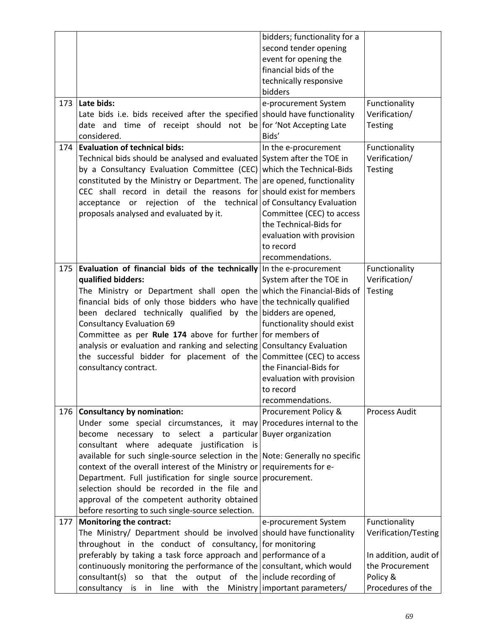|     |                                                                               | bidders; functionality for a     |                       |
|-----|-------------------------------------------------------------------------------|----------------------------------|-----------------------|
|     |                                                                               | second tender opening            |                       |
|     |                                                                               | event for opening the            |                       |
|     |                                                                               | financial bids of the            |                       |
|     |                                                                               |                                  |                       |
|     |                                                                               | technically responsive           |                       |
|     |                                                                               | bidders                          |                       |
| 173 | Late bids:                                                                    | e-procurement System             | Functionality         |
|     | Late bids i.e. bids received after the specified should have functionality    |                                  | Verification/         |
|     | date and time of receipt should not be for Not Accepting Late                 |                                  | <b>Testing</b>        |
|     | considered.                                                                   | Bids'                            |                       |
| 174 | <b>Evaluation of technical bids:</b>                                          | In the e-procurement             | Functionality         |
|     | Technical bids should be analysed and evaluated System after the TOE in       |                                  | Verification/         |
|     | by a Consultancy Evaluation Committee (CEC)                                   | which the Technical-Bids         | <b>Testing</b>        |
|     | constituted by the Ministry or Department. The are opened, functionality      |                                  |                       |
|     | CEC shall record in detail the reasons for should exist for members           |                                  |                       |
|     | acceptance or rejection of the technical of Consultancy Evaluation            |                                  |                       |
|     | proposals analysed and evaluated by it.                                       | Committee (CEC) to access        |                       |
|     |                                                                               | the Technical-Bids for           |                       |
|     |                                                                               |                                  |                       |
|     |                                                                               | evaluation with provision        |                       |
|     |                                                                               | to record                        |                       |
|     |                                                                               | recommendations.                 |                       |
| 175 | Evaluation of financial bids of the technically In the e-procurement          |                                  | Functionality         |
|     | qualified bidders:                                                            | System after the TOE in          | Verification/         |
|     | The Ministry or Department shall open the which the Financial-Bids of         |                                  | <b>Testing</b>        |
|     | financial bids of only those bidders who have the technically qualified       |                                  |                       |
|     | been declared technically qualified by the bidders are opened,                |                                  |                       |
|     | <b>Consultancy Evaluation 69</b>                                              | functionality should exist       |                       |
|     | Committee as per Rule 174 above for further for members of                    |                                  |                       |
|     | analysis or evaluation and ranking and selecting Consultancy Evaluation       |                                  |                       |
|     | the successful bidder for placement of the Committee (CEC) to access          |                                  |                       |
|     | consultancy contract.                                                         | the Financial-Bids for           |                       |
|     |                                                                               | evaluation with provision        |                       |
|     |                                                                               |                                  |                       |
|     |                                                                               | to record                        |                       |
|     |                                                                               | recommendations.                 |                       |
| 176 | <b>Consultancy by nomination:</b>                                             | Procurement Policy &             | Process Audit         |
|     | Under some special circumstances, it may Procedures internal to the           |                                  |                       |
|     | necessary to select a particular Buyer organization<br>become                 |                                  |                       |
|     | consultant where adequate justification is                                    |                                  |                       |
|     | available for such single-source selection in the Note: Generally no specific |                                  |                       |
|     | context of the overall interest of the Ministry or requirements for e-        |                                  |                       |
|     | Department. Full justification for single source procurement.                 |                                  |                       |
|     | selection should be recorded in the file and                                  |                                  |                       |
|     | approval of the competent authority obtained                                  |                                  |                       |
|     | before resorting to such single-source selection.                             |                                  |                       |
| 177 | <b>Monitoring the contract:</b>                                               | e-procurement System             | Functionality         |
|     | The Ministry/ Department should be involved should have functionality         |                                  | Verification/Testing  |
|     | throughout in the conduct of consultancy,                                     | for monitoring                   |                       |
|     | preferably by taking a task force approach and performance of a               |                                  | In addition, audit of |
|     | continuously monitoring the performance of the consultant, which would        |                                  | the Procurement       |
|     |                                                                               |                                  |                       |
|     | so that the output of the include recording of<br>consultant(s)               |                                  | Policy &              |
|     | consultancy is in line with the                                               | Ministry   important parameters/ | Procedures of the     |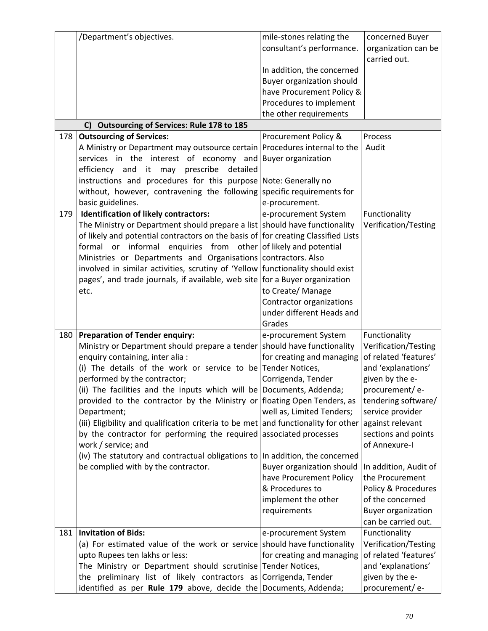| /Department's objectives.<br>mile-stones relating the<br>consultant's performance.                                                                                | concerned Buyer<br>organization can be<br>carried out. |
|-------------------------------------------------------------------------------------------------------------------------------------------------------------------|--------------------------------------------------------|
| In addition, the concerned<br>Buyer organization should<br>have Procurement Policy &<br>Procedures to implement                                                   |                                                        |
| the other requirements<br>C) Outsourcing of Services: Rule 178 to 185                                                                                             |                                                        |
| 178<br><b>Outsourcing of Services:</b><br>Procurement Policy &                                                                                                    | Process                                                |
| A Ministry or Department may outsource certain Procedures internal to the<br>Audit                                                                                |                                                        |
| services in the interest of economy and Buyer organization                                                                                                        |                                                        |
| efficiency and it may prescribe<br>detailed                                                                                                                       |                                                        |
| instructions and procedures for this purpose Note: Generally no                                                                                                   |                                                        |
| without, however, contravening the following specific requirements for                                                                                            |                                                        |
| basic guidelines.<br>e-procurement.                                                                                                                               |                                                        |
| <b>Identification of likely contractors:</b><br>179<br>e-procurement System                                                                                       | Functionality                                          |
| The Ministry or Department should prepare a list   should have functionality<br>of likely and potential contractors on the basis of for creating Classified Lists | Verification/Testing                                   |
| formal or informal enquiries from other of likely and potential                                                                                                   |                                                        |
| Ministries or Departments and Organisations contractors. Also                                                                                                     |                                                        |
| involved in similar activities, scrutiny of 'Yellow functionality should exist<br>pages', and trade journals, if available, web site for a Buyer organization     |                                                        |
| to Create/ Manage<br>etc.                                                                                                                                         |                                                        |
| Contractor organizations                                                                                                                                          |                                                        |
| under different Heads and                                                                                                                                         |                                                        |
| Grades                                                                                                                                                            |                                                        |
| <b>Preparation of Tender enquiry:</b><br>180<br>e-procurement System                                                                                              | Functionality                                          |
| Ministry or Department should prepare a tender should have functionality                                                                                          | Verification/Testing                                   |
| enquiry containing, inter alia :<br>for creating and managing                                                                                                     | of related 'features'                                  |
| (i) The details of the work or service to be Tender Notices,                                                                                                      | and 'explanations'                                     |
| performed by the contractor;<br>Corrigenda, Tender                                                                                                                | given by the e-                                        |
| (ii) The facilities and the inputs which will be Documents, Addenda;                                                                                              | procurement/e-                                         |
| provided to the contractor by the Ministry or floating Open Tenders, as<br>Department;                                                                            | tendering software/                                    |
| well as, Limited Tenders;<br>(iii) Eligibility and qualification criteria to be met and functionality for other                                                   | service provider<br>against relevant                   |
| by the contractor for performing the required associated processes                                                                                                | sections and points                                    |
| work / service; and                                                                                                                                               | of Annexure-I                                          |
| (iv) The statutory and contractual obligations to In addition, the concerned                                                                                      |                                                        |
| be complied with by the contractor.<br>Buyer organization should                                                                                                  | In addition, Audit of                                  |
| have Procurement Policy                                                                                                                                           | the Procurement                                        |
| & Procedures to                                                                                                                                                   | Policy & Procedures                                    |
| implement the other                                                                                                                                               | of the concerned                                       |
| requirements                                                                                                                                                      | <b>Buyer organization</b>                              |
|                                                                                                                                                                   | can be carried out.                                    |
| 181<br><b>Invitation of Bids:</b><br>e-procurement System                                                                                                         | Functionality                                          |
| (a) For estimated value of the work or service should have functionality                                                                                          | Verification/Testing<br>of related 'features'          |
| upto Rupees ten lakhs or less:<br>for creating and managing<br>The Ministry or Department should scrutinise Tender Notices,                                       |                                                        |
|                                                                                                                                                                   |                                                        |
| the preliminary list of likely contractors as Corrigenda, Tender                                                                                                  | and 'explanations'<br>given by the e-                  |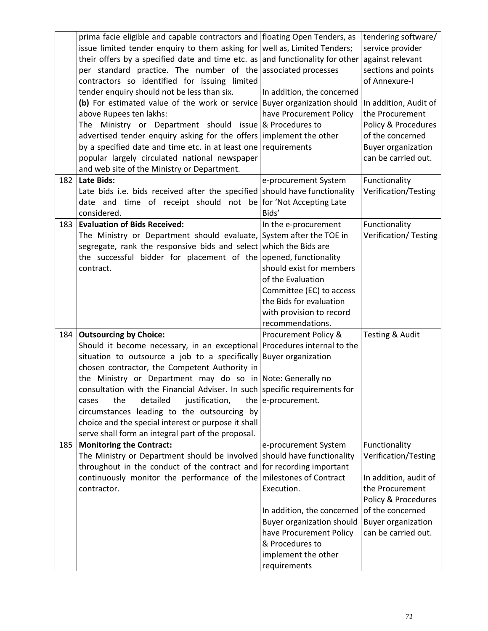|     | prima facie eligible and capable contractors and floating Open Tenders, as<br>issue limited tender enquiry to them asking for well as, Limited Tenders;<br>their offers by a specified date and time etc. as and functionality for other<br>per standard practice. The number of the associated processes<br>contractors so identified for issuing limited<br>tender enquiry should not be less than six.<br>(b) For estimated value of the work or service Buyer organization should<br>above Rupees ten lakhs:<br>The Ministry or Department should issue $\&$ Procedures to<br>advertised tender enquiry asking for the offers implement the other<br>by a specified date and time etc. in at least one requirements<br>popular largely circulated national newspaper<br>and web site of the Ministry or Department. | In addition, the concerned<br>have Procurement Policy                                                                                                | tendering software/<br>service provider<br>against relevant<br>sections and points<br>of Annexure-I<br>In addition, Audit of<br>the Procurement<br>Policy & Procedures<br>of the concerned<br><b>Buyer organization</b><br>can be carried out. |
|-----|-------------------------------------------------------------------------------------------------------------------------------------------------------------------------------------------------------------------------------------------------------------------------------------------------------------------------------------------------------------------------------------------------------------------------------------------------------------------------------------------------------------------------------------------------------------------------------------------------------------------------------------------------------------------------------------------------------------------------------------------------------------------------------------------------------------------------|------------------------------------------------------------------------------------------------------------------------------------------------------|------------------------------------------------------------------------------------------------------------------------------------------------------------------------------------------------------------------------------------------------|
| 182 | Late Bids:                                                                                                                                                                                                                                                                                                                                                                                                                                                                                                                                                                                                                                                                                                                                                                                                              | e-procurement System                                                                                                                                 | Functionality                                                                                                                                                                                                                                  |
|     | Late bids i.e. bids received after the specified should have functionality<br>date and time of receipt should not be for 'Not Accepting Late<br>considered.                                                                                                                                                                                                                                                                                                                                                                                                                                                                                                                                                                                                                                                             | Bids'                                                                                                                                                | Verification/Testing                                                                                                                                                                                                                           |
| 183 | <b>Evaluation of Bids Received:</b>                                                                                                                                                                                                                                                                                                                                                                                                                                                                                                                                                                                                                                                                                                                                                                                     | In the e-procurement                                                                                                                                 | Functionality                                                                                                                                                                                                                                  |
|     | The Ministry or Department should evaluate, System after the TOE in<br>segregate, rank the responsive bids and select which the Bids are<br>the successful bidder for placement of the opened, functionality<br>contract.                                                                                                                                                                                                                                                                                                                                                                                                                                                                                                                                                                                               | should exist for members<br>of the Evaluation<br>Committee (EC) to access<br>the Bids for evaluation<br>with provision to record<br>recommendations. | Verification/ Testing                                                                                                                                                                                                                          |
| 184 | <b>Outsourcing by Choice:</b>                                                                                                                                                                                                                                                                                                                                                                                                                                                                                                                                                                                                                                                                                                                                                                                           | Procurement Policy &                                                                                                                                 | Testing & Audit                                                                                                                                                                                                                                |
|     | Should it become necessary, in an exceptional Procedures internal to the<br>situation to outsource a job to a specifically Buyer organization                                                                                                                                                                                                                                                                                                                                                                                                                                                                                                                                                                                                                                                                           |                                                                                                                                                      |                                                                                                                                                                                                                                                |
|     | chosen contractor, the Competent Authority in                                                                                                                                                                                                                                                                                                                                                                                                                                                                                                                                                                                                                                                                                                                                                                           |                                                                                                                                                      |                                                                                                                                                                                                                                                |
|     | the Ministry or Department may do so in Note: Generally no                                                                                                                                                                                                                                                                                                                                                                                                                                                                                                                                                                                                                                                                                                                                                              |                                                                                                                                                      |                                                                                                                                                                                                                                                |
|     | consultation with the Financial Adviser. In such specific requirements for                                                                                                                                                                                                                                                                                                                                                                                                                                                                                                                                                                                                                                                                                                                                              |                                                                                                                                                      |                                                                                                                                                                                                                                                |
|     | detailed<br>justification,<br>the<br>cases                                                                                                                                                                                                                                                                                                                                                                                                                                                                                                                                                                                                                                                                                                                                                                              | the e-procurement.                                                                                                                                   |                                                                                                                                                                                                                                                |
|     | circumstances leading to the outsourcing by<br>choice and the special interest or purpose it shall                                                                                                                                                                                                                                                                                                                                                                                                                                                                                                                                                                                                                                                                                                                      |                                                                                                                                                      |                                                                                                                                                                                                                                                |
|     | serve shall form an integral part of the proposal.                                                                                                                                                                                                                                                                                                                                                                                                                                                                                                                                                                                                                                                                                                                                                                      |                                                                                                                                                      |                                                                                                                                                                                                                                                |
| 185 | <b>Monitoring the Contract:</b>                                                                                                                                                                                                                                                                                                                                                                                                                                                                                                                                                                                                                                                                                                                                                                                         | e-procurement System                                                                                                                                 | Functionality                                                                                                                                                                                                                                  |
|     | The Ministry or Department should be involved should have functionality                                                                                                                                                                                                                                                                                                                                                                                                                                                                                                                                                                                                                                                                                                                                                 |                                                                                                                                                      | Verification/Testing                                                                                                                                                                                                                           |
|     | throughout in the conduct of the contract and for recording important<br>continuously monitor the performance of the milestones of Contract                                                                                                                                                                                                                                                                                                                                                                                                                                                                                                                                                                                                                                                                             |                                                                                                                                                      | In addition, audit of                                                                                                                                                                                                                          |
|     | contractor.                                                                                                                                                                                                                                                                                                                                                                                                                                                                                                                                                                                                                                                                                                                                                                                                             | Execution.                                                                                                                                           | the Procurement                                                                                                                                                                                                                                |
|     |                                                                                                                                                                                                                                                                                                                                                                                                                                                                                                                                                                                                                                                                                                                                                                                                                         |                                                                                                                                                      | Policy & Procedures                                                                                                                                                                                                                            |
|     |                                                                                                                                                                                                                                                                                                                                                                                                                                                                                                                                                                                                                                                                                                                                                                                                                         | In addition, the concerned                                                                                                                           | of the concerned                                                                                                                                                                                                                               |
|     |                                                                                                                                                                                                                                                                                                                                                                                                                                                                                                                                                                                                                                                                                                                                                                                                                         | Buyer organization should<br>have Procurement Policy                                                                                                 | <b>Buyer organization</b><br>can be carried out.                                                                                                                                                                                               |
|     |                                                                                                                                                                                                                                                                                                                                                                                                                                                                                                                                                                                                                                                                                                                                                                                                                         | & Procedures to                                                                                                                                      |                                                                                                                                                                                                                                                |
|     |                                                                                                                                                                                                                                                                                                                                                                                                                                                                                                                                                                                                                                                                                                                                                                                                                         | implement the other                                                                                                                                  |                                                                                                                                                                                                                                                |
|     |                                                                                                                                                                                                                                                                                                                                                                                                                                                                                                                                                                                                                                                                                                                                                                                                                         | requirements                                                                                                                                         |                                                                                                                                                                                                                                                |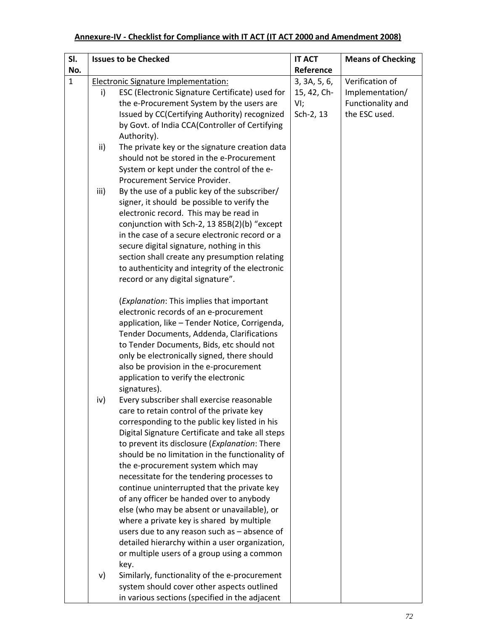## **Annexure‐IV ‐ Checklist for Compliance with IT ACT (IT ACT 2000 and Amendment 2008)**

| SI.          |      | <b>Issues to be Checked</b>                                                                      | <b>IT ACT</b> | <b>Means of Checking</b> |
|--------------|------|--------------------------------------------------------------------------------------------------|---------------|--------------------------|
| No.          |      |                                                                                                  | Reference     |                          |
| $\mathbf{1}$ |      | <b>Electronic Signature Implementation:</b>                                                      | 3, 3A, 5, 6,  | Verification of          |
|              | i)   | ESC (Electronic Signature Certificate) used for                                                  | 15, 42, Ch-   | Implementation/          |
|              |      | the e-Procurement System by the users are                                                        | $VI$ ;        | Functionality and        |
|              |      | Issued by CC(Certifying Authority) recognized                                                    | Sch-2, 13     | the ESC used.            |
|              |      | by Govt. of India CCA(Controller of Certifying                                                   |               |                          |
|              |      | Authority).                                                                                      |               |                          |
|              | ii)  | The private key or the signature creation data                                                   |               |                          |
|              |      | should not be stored in the e-Procurement                                                        |               |                          |
|              |      | System or kept under the control of the e-                                                       |               |                          |
|              |      | Procurement Service Provider.                                                                    |               |                          |
|              | iii) | By the use of a public key of the subscriber/                                                    |               |                          |
|              |      | signer, it should be possible to verify the                                                      |               |                          |
|              |      | electronic record. This may be read in                                                           |               |                          |
|              |      | conjunction with Sch-2, 13 85B(2)(b) "except                                                     |               |                          |
|              |      | in the case of a secure electronic record or a                                                   |               |                          |
|              |      | secure digital signature, nothing in this                                                        |               |                          |
|              |      | section shall create any presumption relating                                                    |               |                          |
|              |      | to authenticity and integrity of the electronic                                                  |               |                          |
|              |      | record or any digital signature".                                                                |               |                          |
|              |      | (Explanation: This implies that important                                                        |               |                          |
|              |      | electronic records of an e-procurement                                                           |               |                          |
|              |      | application, like - Tender Notice, Corrigenda,                                                   |               |                          |
|              |      | Tender Documents, Addenda, Clarifications                                                        |               |                          |
|              |      | to Tender Documents, Bids, etc should not                                                        |               |                          |
|              |      | only be electronically signed, there should                                                      |               |                          |
|              |      | also be provision in the e-procurement                                                           |               |                          |
|              |      | application to verify the electronic                                                             |               |                          |
|              |      | signatures).                                                                                     |               |                          |
|              | iv)  | Every subscriber shall exercise reasonable                                                       |               |                          |
|              |      | care to retain control of the private key                                                        |               |                          |
|              |      | corresponding to the public key listed in his                                                    |               |                          |
|              |      | Digital Signature Certificate and take all steps                                                 |               |                          |
|              |      | to prevent its disclosure (Explanation: There<br>should be no limitation in the functionality of |               |                          |
|              |      | the e-procurement system which may                                                               |               |                          |
|              |      | necessitate for the tendering processes to                                                       |               |                          |
|              |      | continue uninterrupted that the private key                                                      |               |                          |
|              |      | of any officer be handed over to anybody                                                         |               |                          |
|              |      | else (who may be absent or unavailable), or                                                      |               |                          |
|              |      | where a private key is shared by multiple                                                        |               |                          |
|              |      | users due to any reason such as - absence of                                                     |               |                          |
|              |      | detailed hierarchy within a user organization,                                                   |               |                          |
|              |      | or multiple users of a group using a common                                                      |               |                          |
|              |      | key.                                                                                             |               |                          |
|              | v)   | Similarly, functionality of the e-procurement                                                    |               |                          |
|              |      | system should cover other aspects outlined                                                       |               |                          |
|              |      | in various sections (specified in the adjacent                                                   |               |                          |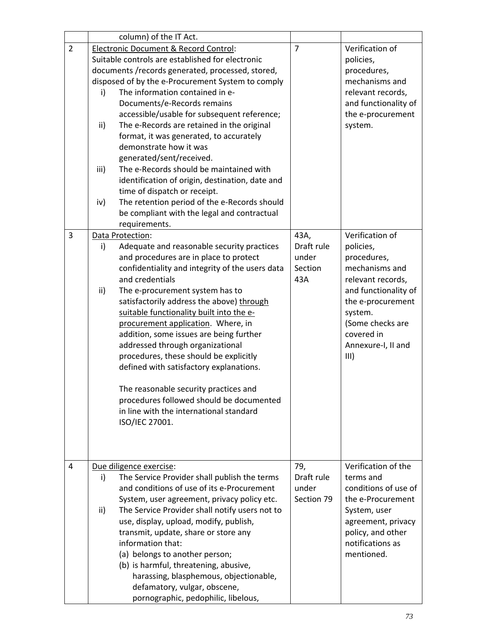|                | column) of the IT Act.                                                                                                                                                                                                                                                                                                                                                                                                                                                                                                                                                                                                                                                                                                                       |                                               |                                                                                                                                                                                                            |
|----------------|----------------------------------------------------------------------------------------------------------------------------------------------------------------------------------------------------------------------------------------------------------------------------------------------------------------------------------------------------------------------------------------------------------------------------------------------------------------------------------------------------------------------------------------------------------------------------------------------------------------------------------------------------------------------------------------------------------------------------------------------|-----------------------------------------------|------------------------------------------------------------------------------------------------------------------------------------------------------------------------------------------------------------|
| $\overline{2}$ | Electronic Document & Record Control:<br>Suitable controls are established for electronic<br>documents /records generated, processed, stored,<br>disposed of by the e-Procurement System to comply<br>The information contained in e-<br>i)<br>Documents/e-Records remains<br>accessible/usable for subsequent reference;<br>ii)<br>The e-Records are retained in the original<br>format, it was generated, to accurately<br>demonstrate how it was<br>generated/sent/received.<br>The e-Records should be maintained with<br>iii)<br>identification of origin, destination, date and<br>time of dispatch or receipt.<br>The retention period of the e-Records should<br>iv)<br>be compliant with the legal and contractual<br>requirements. | $\overline{7}$                                | Verification of<br>policies,<br>procedures,<br>mechanisms and<br>relevant records,<br>and functionality of<br>the e-procurement<br>system.                                                                 |
| 3              | Data Protection:<br>i)<br>Adequate and reasonable security practices<br>and procedures are in place to protect<br>confidentiality and integrity of the users data<br>and credentials<br>ii)<br>The e-procurement system has to<br>satisfactorily address the above) through<br>suitable functionality built into the e-<br>procurement application. Where, in<br>addition, some issues are being further<br>addressed through organizational<br>procedures, these should be explicitly<br>defined with satisfactory explanations.<br>The reasonable security practices and<br>procedures followed should be documented<br>in line with the international standard<br>ISO/IEC 27001.                                                          | 43A,<br>Draft rule<br>under<br>Section<br>43A | Verification of<br>policies,<br>procedures,<br>mechanisms and<br>relevant records,<br>and functionality of<br>the e-procurement<br>system.<br>(Some checks are<br>covered in<br>Annexure-I, II and<br>III) |
| 4              | Due diligence exercise:<br>The Service Provider shall publish the terms<br>i)<br>and conditions of use of its e-Procurement<br>System, user agreement, privacy policy etc.<br>The Service Provider shall notify users not to<br>ii)<br>use, display, upload, modify, publish,<br>transmit, update, share or store any<br>information that:<br>(a) belongs to another person;<br>(b) is harmful, threatening, abusive,<br>harassing, blasphemous, objectionable,<br>defamatory, vulgar, obscene,<br>pornographic, pedophilic, libelous,                                                                                                                                                                                                       | 79,<br>Draft rule<br>under<br>Section 79      | Verification of the<br>terms and<br>conditions of use of<br>the e-Procurement<br>System, user<br>agreement, privacy<br>policy, and other<br>notifications as<br>mentioned.                                 |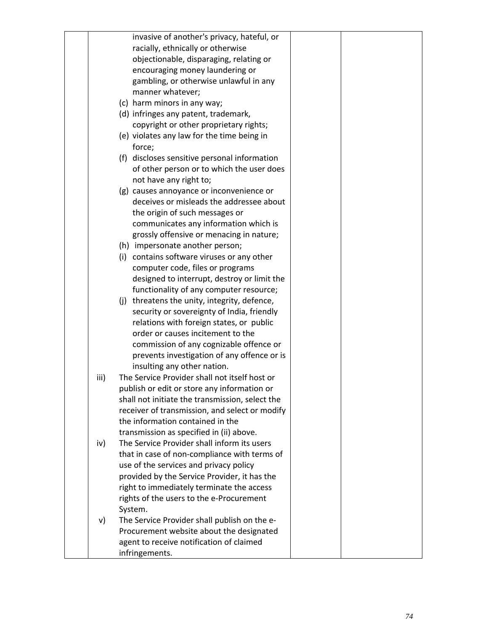|      | invasive of another's privacy, hateful, or      |  |
|------|-------------------------------------------------|--|
|      | racially, ethnically or otherwise               |  |
|      | objectionable, disparaging, relating or         |  |
|      | encouraging money laundering or                 |  |
|      | gambling, or otherwise unlawful in any          |  |
|      | manner whatever;                                |  |
|      | (c) harm minors in any way;                     |  |
|      | (d) infringes any patent, trademark,            |  |
|      | copyright or other proprietary rights;          |  |
|      | (e) violates any law for the time being in      |  |
|      | force;                                          |  |
|      | (f) discloses sensitive personal information    |  |
|      | of other person or to which the user does       |  |
|      | not have any right to;                          |  |
|      | (g) causes annoyance or inconvenience or        |  |
|      | deceives or misleads the addressee about        |  |
|      | the origin of such messages or                  |  |
|      | communicates any information which is           |  |
|      | grossly offensive or menacing in nature;        |  |
|      | (h) impersonate another person;                 |  |
|      | (i) contains software viruses or any other      |  |
|      | computer code, files or programs                |  |
|      | designed to interrupt, destroy or limit the     |  |
|      | functionality of any computer resource;         |  |
|      | (j) threatens the unity, integrity, defence,    |  |
|      | security or sovereignty of India, friendly      |  |
|      | relations with foreign states, or public        |  |
|      | order or causes incitement to the               |  |
|      | commission of any cognizable offence or         |  |
|      | prevents investigation of any offence or is     |  |
|      | insulting any other nation.                     |  |
| iii) | The Service Provider shall not itself host or   |  |
|      | publish or edit or store any information or     |  |
|      | shall not initiate the transmission, select the |  |
|      | receiver of transmission, and select or modify  |  |
|      | the information contained in the                |  |
|      | transmission as specified in (ii) above.        |  |
| iv)  | The Service Provider shall inform its users     |  |
|      | that in case of non-compliance with terms of    |  |
|      | use of the services and privacy policy          |  |
|      | provided by the Service Provider, it has the    |  |
|      | right to immediately terminate the access       |  |
|      | rights of the users to the e-Procurement        |  |
|      | System.                                         |  |
| v)   | The Service Provider shall publish on the e-    |  |
|      | Procurement website about the designated        |  |
|      | agent to receive notification of claimed        |  |
|      | infringements.                                  |  |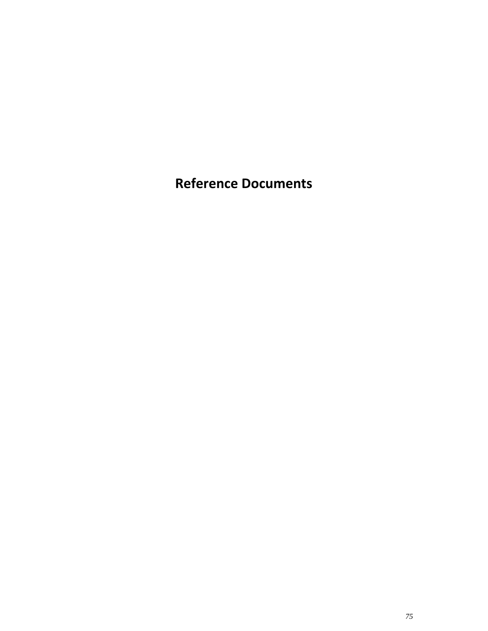**Reference Documents**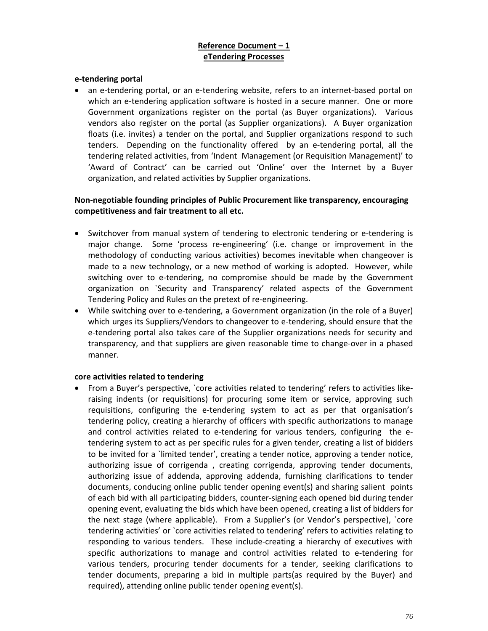## **Reference Document – 1 eTendering Processes**

#### **e‐tendering portal**

an e-tendering portal, or an e-tendering website, refers to an internet-based portal on which an e-tendering application software is hosted in a secure manner. One or more Government organizations register on the portal (as Buyer organizations). Various vendors also register on the portal (as Supplier organizations). A Buyer organization floats (i.e. invites) a tender on the portal, and Supplier organizations respond to such tenders. Depending on the functionality offered by an e-tendering portal, all the tendering related activities, from 'Indent Management (or Requisition Management)' to 'Award of Contract' can be carried out 'Online' over the Internet by a Buyer organization, and related activities by Supplier organizations.

#### **Non‐negotiable founding principles of Public Procurement like transparency, encouraging competitiveness and fair treatment to all etc.**

- Switchover from manual system of tendering to electronic tendering or e‐tendering is major change. Some 'process re-engineering' (i.e. change or improvement in the methodology of conducting various activities) becomes inevitable when changeover is made to a new technology, or a new method of working is adopted. However, while switching over to e-tendering, no compromise should be made by the Government organization on `Security and Transparency' related aspects of the Government Tendering Policy and Rules on the pretext of re‐engineering.
- While switching over to e-tendering, a Government organization (in the role of a Buyer) which urges its Suppliers/Vendors to changeover to e‐tendering, should ensure that the e-tendering portal also takes care of the Supplier organizations needs for security and transparency, and that suppliers are given reasonable time to change‐over in a phased manner.

#### **core activities related to tendering**

● From a Buyer's perspective, `core activities related to tendering' refers to activities likeraising indents (or requisitions) for procuring some item or service, approving such requisitions, configuring the e-tendering system to act as per that organisation's tendering policy, creating a hierarchy of officers with specific authorizations to manage and control activities related to e-tendering for various tenders, configuring the etendering system to act as per specific rules for a given tender, creating a list of bidders to be invited for a `limited tender', creating a tender notice, approving a tender notice, authorizing issue of corrigenda , creating corrigenda, approving tender documents, authorizing issue of addenda, approving addenda, furnishing clarifications to tender documents, conducing online public tender opening event(s) and sharing salient points of each bid with all participating bidders, counter‐signing each opened bid during tender opening event, evaluating the bids which have been opened, creating a list of bidders for the next stage (where applicable). From a Supplier's (or Vendor's perspective), `core tendering activities' or `core activities related to tendering' refers to activities relating to responding to various tenders. These include-creating a hierarchy of executives with specific authorizations to manage and control activities related to e‐tendering for various tenders, procuring tender documents for a tender, seeking clarifications to tender documents, preparing a bid in multiple parts(as required by the Buyer) and required), attending online public tender opening event(s).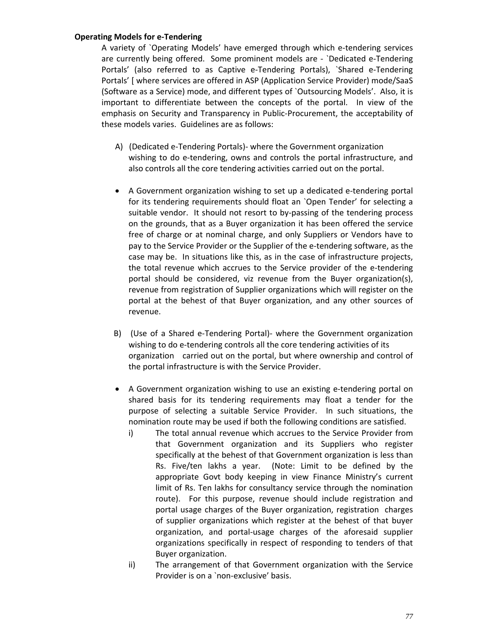#### **Operating Models for e‐Tendering**

A variety of `Operating Models' have emerged through which e‐tendering services are currently being offered. Some prominent models are ‐ `Dedicated e‐Tendering Portals' (also referred to as Captive e‐Tendering Portals), `Shared e‐Tendering Portals' [ where services are offered in ASP (Application Service Provider) mode/SaaS (Software as a Service) mode, and different types of `Outsourcing Models'. Also, it is important to differentiate between the concepts of the portal. In view of the emphasis on Security and Transparency in Public‐Procurement, the acceptability of these models varies. Guidelines are as follows:

- A) (Dedicated e‐Tendering Portals)‐ where the Government organization wishing to do e-tendering, owns and controls the portal infrastructure, and also controls all the core tendering activities carried out on the portal.
- A Government organization wishing to set up a dedicated e-tendering portal for its tendering requirements should float an `Open Tender' for selecting a suitable vendor. It should not resort to by-passing of the tendering process on the grounds, that as a Buyer organization it has been offered the service free of charge or at nominal charge, and only Suppliers or Vendors have to pay to the Service Provider or the Supplier of the e-tendering software, as the case may be. In situations like this, as in the case of infrastructure projects, the total revenue which accrues to the Service provider of the e‐tendering portal should be considered, viz revenue from the Buyer organization(s), revenue from registration of Supplier organizations which will register on the portal at the behest of that Buyer organization, and any other sources of revenue.
- B) (Use of a Shared e‐Tendering Portal)‐ where the Government organization wishing to do e-tendering controls all the core tendering activities of its organization carried out on the portal, but where ownership and control of the portal infrastructure is with the Service Provider.
- A Government organization wishing to use an existing e-tendering portal on shared basis for its tendering requirements may float a tender for the purpose of selecting a suitable Service Provider. In such situations, the nomination route may be used if both the following conditions are satisfied.
	- i) The total annual revenue which accrues to the Service Provider from that Government organization and its Suppliers who register specifically at the behest of that Government organization is less than Rs. Five/ten lakhs a year. (Note: Limit to be defined by the appropriate Govt body keeping in view Finance Ministry's current limit of Rs. Ten lakhs for consultancy service through the nomination route). For this purpose, revenue should include registration and portal usage charges of the Buyer organization, registration charges of supplier organizations which register at the behest of that buyer organization, and portal‐usage charges of the aforesaid supplier organizations specifically in respect of responding to tenders of that Buyer organization.
	- ii) The arrangement of that Government organization with the Service Provider is on a `non‐exclusive' basis.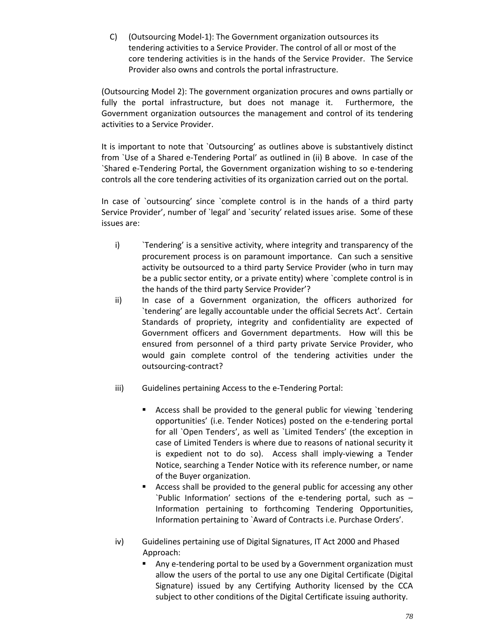C) (Outsourcing Model‐1): The Government organization outsources its tendering activities to a Service Provider. The control of all or most of the core tendering activities is in the hands of the Service Provider. The Service Provider also owns and controls the portal infrastructure.

(Outsourcing Model 2): The government organization procures and owns partially or fully the portal infrastructure, but does not manage it. Furthermore, the Government organization outsources the management and control of its tendering activities to a Service Provider.

It is important to note that `Outsourcing' as outlines above is substantively distinct from `Use of a Shared e‐Tendering Portal' as outlined in (ii) B above. In case of the `Shared e‐Tendering Portal, the Government organization wishing to so e‐tendering controls all the core tendering activities of its organization carried out on the portal.

In case of `outsourcing' since `complete control is in the hands of a third party Service Provider', number of `legal' and `security' related issues arise. Some of these issues are:

- i) ``Tendering' is a sensitive activity, where integrity and transparency of the procurement process is on paramount importance. Can such a sensitive activity be outsourced to a third party Service Provider (who in turn may be a public sector entity, or a private entity) where `complete control is in the hands of the third party Service Provider'?
- ii) In case of a Government organization, the officers authorized for `tendering' are legally accountable under the official Secrets Act'. Certain Standards of propriety, integrity and confidentiality are expected of Government officers and Government departments. How will this be ensured from personnel of a third party private Service Provider, who would gain complete control of the tendering activities under the outsourcing‐contract?
- iii) Guidelines pertaining Access to the e-Tendering Portal:
	- Access shall be provided to the general public for viewing `tendering opportunities' (i.e. Tender Notices) posted on the e‐tendering portal for all `Open Tenders', as well as `Limited Tenders' (the exception in case of Limited Tenders is where due to reasons of national security it is expedient not to do so). Access shall imply-viewing a Tender Notice, searching a Tender Notice with its reference number, or name of the Buyer organization.
	- Access shall be provided to the general public for accessing any other `Public Information' sections of the e‐tendering portal, such as – Information pertaining to forthcoming Tendering Opportunities, Information pertaining to `Award of Contracts i.e. Purchase Orders'.
- iv) Guidelines pertaining use of Digital Signatures, IT Act 2000 and Phased Approach:
	- Any e-tendering portal to be used by a Government organization must allow the users of the portal to use any one Digital Certificate (Digital Signature) issued by any Certifying Authority licensed by the CCA subject to other conditions of the Digital Certificate issuing authority.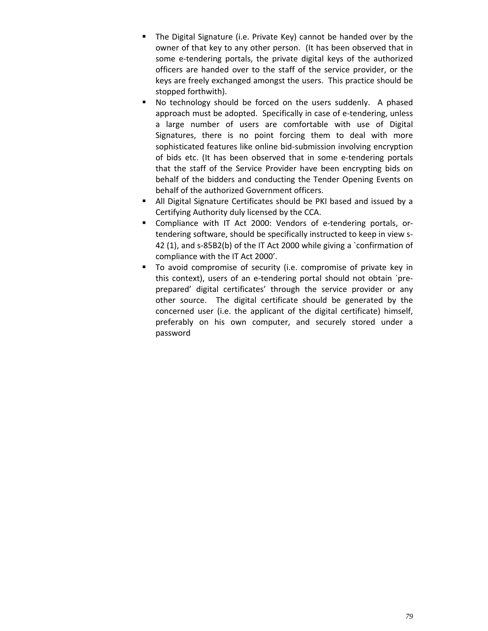- **The Digital Signature (i.e. Private Key) cannot be handed over by the** owner of that key to any other person. (It has been observed that in some e-tendering portals, the private digital keys of the authorized officers are handed over to the staff of the service provider, or the keys are freely exchanged amongst the users. This practice should be stopped forthwith).
- No technology should be forced on the users suddenly. A phased approach must be adopted. Specifically in case of e-tendering, unless a large number of users are comfortable with use of Digital Signatures, there is no point forcing them to deal with more sophisticated features like online bid‐submission involving encryption of bids etc. (It has been observed that in some e‐tendering portals that the staff of the Service Provider have been encrypting bids on behalf of the bidders and conducting the Tender Opening Events on behalf of the authorized Government officers.
- All Digital Signature Certificates should be PKI based and issued by a Certifying Authority duly licensed by the CCA.
- Compliance with IT Act 2000: Vendors of e-tendering portals, ortendering software, should be specifically instructed to keep in view s‐ 42 (1), and s-85B2(b) of the IT Act 2000 while giving a `confirmation of compliance with the IT Act 2000'.
- To avoid compromise of security (i.e. compromise of private key in this context), users of an e-tendering portal should not obtain `preprepared' digital certificates' through the service provider or any other source. The digital certificate should be generated by the concerned user (i.e. the applicant of the digital certificate) himself, preferably on his own computer, and securely stored under a password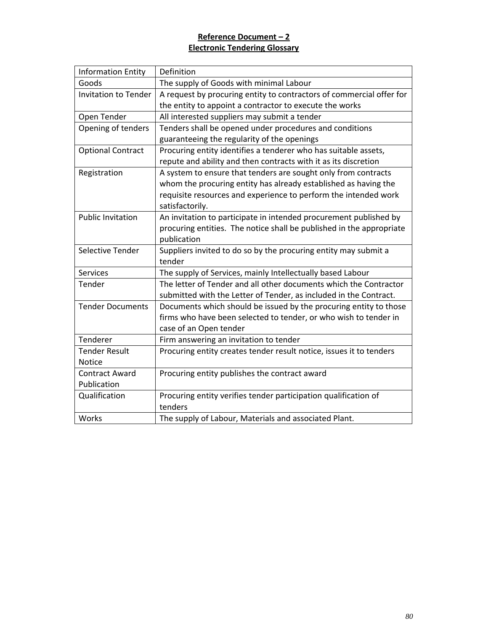# **Reference Document – 2 Electronic Tendering Glossary**

| <b>Information Entity</b>   | Definition                                                           |
|-----------------------------|----------------------------------------------------------------------|
| Goods                       | The supply of Goods with minimal Labour                              |
| <b>Invitation to Tender</b> | A request by procuring entity to contractors of commercial offer for |
|                             | the entity to appoint a contractor to execute the works              |
| Open Tender                 | All interested suppliers may submit a tender                         |
| Opening of tenders          | Tenders shall be opened under procedures and conditions              |
|                             | guaranteeing the regularity of the openings                          |
| <b>Optional Contract</b>    | Procuring entity identifies a tenderer who has suitable assets,      |
|                             | repute and ability and then contracts with it as its discretion      |
| Registration                | A system to ensure that tenders are sought only from contracts       |
|                             | whom the procuring entity has already established as having the      |
|                             | requisite resources and experience to perform the intended work      |
|                             | satisfactorily.                                                      |
| <b>Public Invitation</b>    | An invitation to participate in intended procurement published by    |
|                             | procuring entities. The notice shall be published in the appropriate |
|                             | publication                                                          |
| Selective Tender            | Suppliers invited to do so by the procuring entity may submit a      |
|                             | tender                                                               |
| <b>Services</b>             | The supply of Services, mainly Intellectually based Labour           |
| Tender                      | The letter of Tender and all other documents which the Contractor    |
|                             | submitted with the Letter of Tender, as included in the Contract.    |
| <b>Tender Documents</b>     | Documents which should be issued by the procuring entity to those    |
|                             | firms who have been selected to tender, or who wish to tender in     |
|                             | case of an Open tender                                               |
| Tenderer                    | Firm answering an invitation to tender                               |
| <b>Tender Result</b>        | Procuring entity creates tender result notice, issues it to tenders  |
| <b>Notice</b>               |                                                                      |
| <b>Contract Award</b>       | Procuring entity publishes the contract award                        |
| Publication                 |                                                                      |
| Qualification               | Procuring entity verifies tender participation qualification of      |
|                             | tenders                                                              |
| Works                       | The supply of Labour, Materials and associated Plant.                |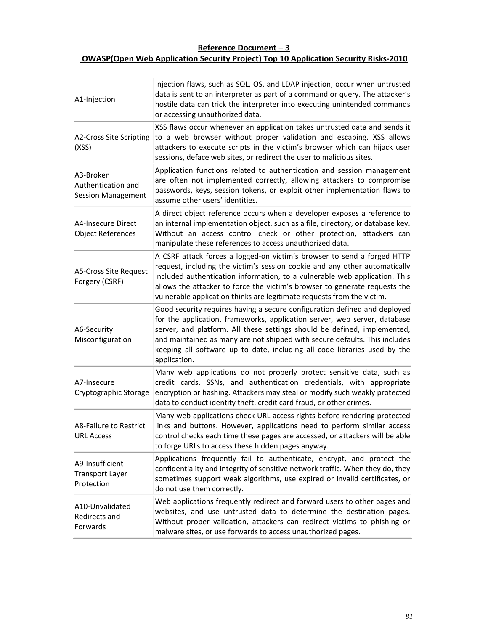# **Reference Document – 3 OWASP(Open Web Application Security Project) Top 10 Application Security Risks‐2010**

| A1-Injection                                          | Injection flaws, such as SQL, OS, and LDAP injection, occur when untrusted<br>data is sent to an interpreter as part of a command or query. The attacker's<br>hostile data can trick the interpreter into executing unintended commands<br>or accessing unauthorized data.                                                                                                                                    |
|-------------------------------------------------------|---------------------------------------------------------------------------------------------------------------------------------------------------------------------------------------------------------------------------------------------------------------------------------------------------------------------------------------------------------------------------------------------------------------|
| A2-Cross Site Scripting<br>(XSS)                      | XSS flaws occur whenever an application takes untrusted data and sends it<br>to a web browser without proper validation and escaping. XSS allows<br>attackers to execute scripts in the victim's browser which can hijack user<br>sessions, deface web sites, or redirect the user to malicious sites.                                                                                                        |
| A3-Broken<br>Authentication and<br>Session Management | Application functions related to authentication and session management<br>are often not implemented correctly, allowing attackers to compromise<br>passwords, keys, session tokens, or exploit other implementation flaws to<br>assume other users' identities.                                                                                                                                               |
| A4-Insecure Direct<br>Object References               | A direct object reference occurs when a developer exposes a reference to<br>an internal implementation object, such as a file, directory, or database key.<br>Without an access control check or other protection, attackers can<br>manipulate these references to access unauthorized data.                                                                                                                  |
| A5-Cross Site Request<br>Forgery (CSRF)               | A CSRF attack forces a logged-on victim's browser to send a forged HTTP<br>request, including the victim's session cookie and any other automatically<br>included authentication information, to a vulnerable web application. This<br>allows the attacker to force the victim's browser to generate requests the<br>vulnerable application thinks are legitimate requests from the victim.                   |
| A6-Security<br>Misconfiguration                       | Good security requires having a secure configuration defined and deployed<br>for the application, frameworks, application server, web server, database<br>server, and platform. All these settings should be defined, implemented,<br>and maintained as many are not shipped with secure defaults. This includes<br>keeping all software up to date, including all code libraries used by the<br>application. |
| A7-Insecure<br>Cryptographic Storage                  | Many web applications do not properly protect sensitive data, such as<br>credit cards, SSNs, and authentication credentials, with appropriate<br>encryption or hashing. Attackers may steal or modify such weakly protected<br>data to conduct identity theft, credit card fraud, or other crimes.                                                                                                            |
| A8-Failure to Restrict<br><b>URL Access</b>           | Many web applications check URL access rights before rendering protected<br>links and buttons. However, applications need to perform similar access<br>control checks each time these pages are accessed, or attackers will be able<br>to forge URLs to access these hidden pages anyway.                                                                                                                     |
| A9-Insufficient<br>Transport Layer<br>Protection      | Applications frequently fail to authenticate, encrypt, and protect the<br>confidentiality and integrity of sensitive network traffic. When they do, they<br>sometimes support weak algorithms, use expired or invalid certificates, or<br>do not use them correctly.                                                                                                                                          |
| A10-Unvalidated<br><b>Redirects and</b><br>Forwards   | Web applications frequently redirect and forward users to other pages and<br>websites, and use untrusted data to determine the destination pages.<br>Without proper validation, attackers can redirect victims to phishing or<br>malware sites, or use forwards to access unauthorized pages.                                                                                                                 |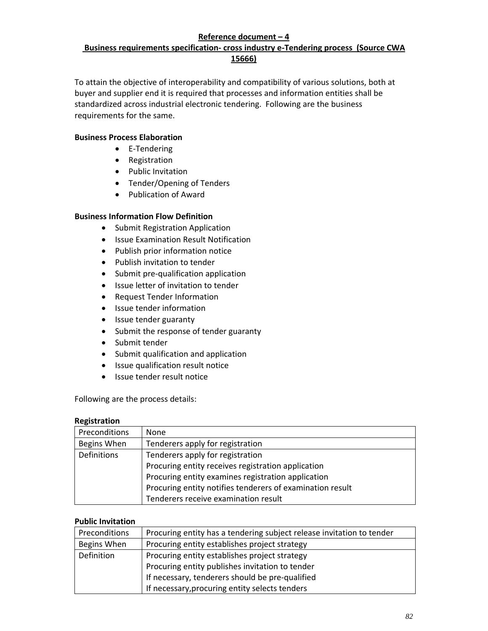## **Reference document – 4**

# **Business requirements specification‐ cross industry e‐Tendering process (Source CWA 15666)**

To attain the objective of interoperability and compatibility of various solutions, both at buyer and supplier end it is required that processes and information entities shall be standardized across industrial electronic tendering. Following are the business requirements for the same.

#### **Business Process Elaboration**

- E-Tendering
- Registration
- Public Invitation
- Tender/Opening of Tenders
- Publication of Award

#### **Business Information Flow Definition**

- Submit Registration Application
- Issue Examination Result Notification
- Publish prior information notice
- Publish invitation to tender
- Submit pre-qualification application
- Issue letter of invitation to tender
- Request Tender Information
- Issue tender information
- Issue tender guaranty
- Submit the response of tender guaranty
- Submit tender
- Submit qualification and application
- Issue qualification result notice
- Issue tender result notice

Following are the process details:

#### **Registration**

| Preconditions | None                                                      |
|---------------|-----------------------------------------------------------|
| Begins When   | Tenderers apply for registration                          |
| Definitions   | Tenderers apply for registration                          |
|               | Procuring entity receives registration application        |
|               | Procuring entity examines registration application        |
|               | Procuring entity notifies tenderers of examination result |
|               | Tenderers receive examination result                      |

#### **Public Invitation**

| Preconditions | Procuring entity has a tendering subject release invitation to tender |
|---------------|-----------------------------------------------------------------------|
| Begins When   | Procuring entity establishes project strategy                         |
| Definition    | Procuring entity establishes project strategy                         |
|               | Procuring entity publishes invitation to tender                       |
|               | If necessary, tenderers should be pre-qualified                       |
|               | If necessary, procuring entity selects tenders                        |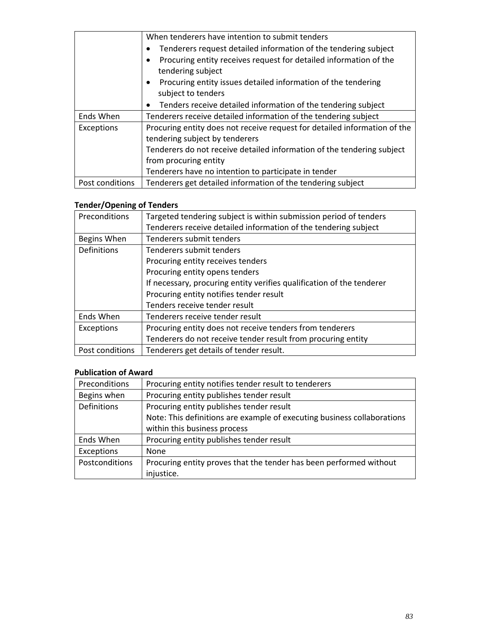|                 | When tenderers have intention to submit tenders                            |
|-----------------|----------------------------------------------------------------------------|
|                 | Tenderers request detailed information of the tendering subject            |
|                 | Procuring entity receives request for detailed information of the          |
|                 | tendering subject                                                          |
|                 | Procuring entity issues detailed information of the tendering<br>٠         |
|                 | subject to tenders                                                         |
|                 | Tenders receive detailed information of the tendering subject<br>$\bullet$ |
| Ends When       | Tenderers receive detailed information of the tendering subject            |
| Exceptions      | Procuring entity does not receive request for detailed information of the  |
|                 | tendering subject by tenderers                                             |
|                 | Tenderers do not receive detailed information of the tendering subject     |
|                 | from procuring entity                                                      |
|                 | Tenderers have no intention to participate in tender                       |
| Post conditions | Tenderers get detailed information of the tendering subject                |

# **Tender/Opening of Tenders**

| Preconditions   | Targeted tendering subject is within submission period of tenders<br>Tenderers receive detailed information of the tendering subject |
|-----------------|--------------------------------------------------------------------------------------------------------------------------------------|
| Begins When     | Tenderers submit tenders                                                                                                             |
| Definitions     | Tenderers submit tenders                                                                                                             |
|                 | Procuring entity receives tenders                                                                                                    |
|                 | Procuring entity opens tenders                                                                                                       |
|                 | If necessary, procuring entity verifies qualification of the tenderer                                                                |
|                 | Procuring entity notifies tender result                                                                                              |
|                 | Tenders receive tender result                                                                                                        |
| Ends When       | Tenderers receive tender result                                                                                                      |
| Exceptions      | Procuring entity does not receive tenders from tenderers                                                                             |
|                 | Tenderers do not receive tender result from procuring entity                                                                         |
| Post conditions | Tenderers get details of tender result.                                                                                              |

#### **Publication of Award**

| Preconditions  | Procuring entity notifies tender result to tenderers                    |
|----------------|-------------------------------------------------------------------------|
| Begins when    | Procuring entity publishes tender result                                |
| Definitions    | Procuring entity publishes tender result                                |
|                | Note: This definitions are example of executing business collaborations |
|                | within this business process                                            |
| Ends When      | Procuring entity publishes tender result                                |
| Exceptions     | None                                                                    |
| Postconditions | Procuring entity proves that the tender has been performed without      |
|                | injustice.                                                              |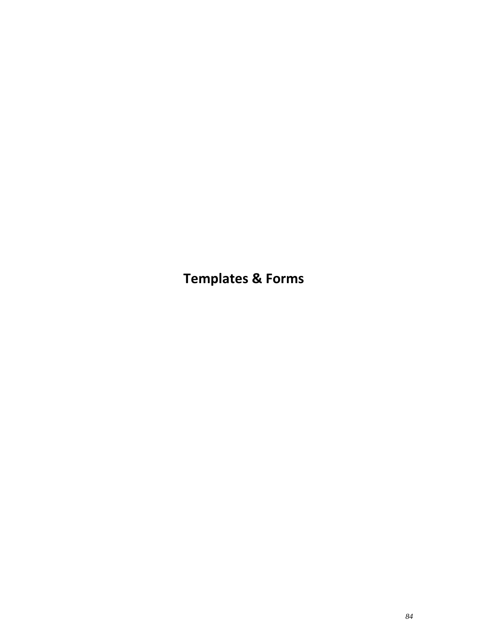**Templates & Forms**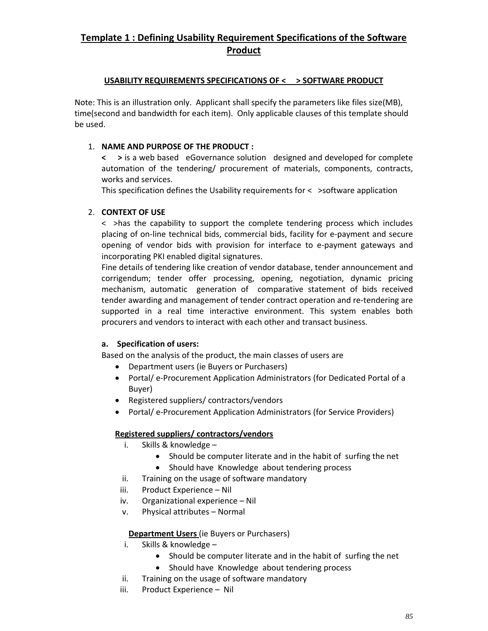# **Template 1 : Defining Usability Requirement Specifications of the Software Product**

#### **USABILITY REQUIREMENTS SPECIFICATIONS OF < > SOFTWARE PRODUCT**

Note: This is an illustration only. Applicant shall specify the parameters like files size(MB), time(second and bandwidth for each item). Only applicable clauses of this template should be used.

## 1. **NAME AND PURPOSE OF THE PRODUCT :**

**< >** is a web based eGovernance solution designed and developed for complete automation of the tendering/ procurement of materials, components, contracts, works and services.

This specification defines the Usability requirements for  $\lt$   $\gt$  software application

#### 2. **CONTEXT OF USE**

< >has the capability to support the complete tendering process which includes placing of on‐line technical bids, commercial bids, facility for e‐payment and secure opening of vendor bids with provision for interface to e‐payment gateways and incorporating PKI enabled digital signatures.

Fine details of tendering like creation of vendor database, tender announcement and corrigendum; tender offer processing, opening, negotiation, dynamic pricing mechanism, automatic generation of comparative statement of bids received tender awarding and management of tender contract operation and re‐tendering are supported in a real time interactive environment. This system enables both procurers and vendors to interact with each other and transact business.

## **a. Specification of users:**

Based on the analysis of the product, the main classes of users are

- Department users (ie Buyers or Purchasers)
- Portal/ e-Procurement Application Administrators (for Dedicated Portal of a Buyer)
- Registered suppliers/ contractors/vendors
- Portal/ e-Procurement Application Administrators (for Service Providers)

## **Registered suppliers/ contractors/vendors**

- i. Skills & knowledge
	- Should be computer literate and in the habit of surfing the net
	- Should have Knowledge about tendering process
- ii. Training on the usage of software mandatory
- iii. Product Experience Nil
- iv. Organizational experience Nil
- v. Physical attributes Normal

#### **Department Users** (ie Buyers or Purchasers)

- i. Skills & knowledge
	- Should be computer literate and in the habit of surfing the net
	- Should have Knowledge about tendering process
- ii. Training on the usage of software mandatory
- iii. Product Experience Nil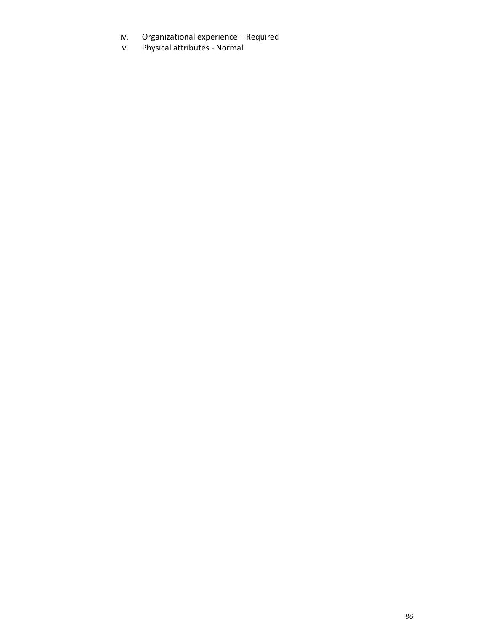- iv. Organizational experience Required
- v. Physical attributes ‐ Normal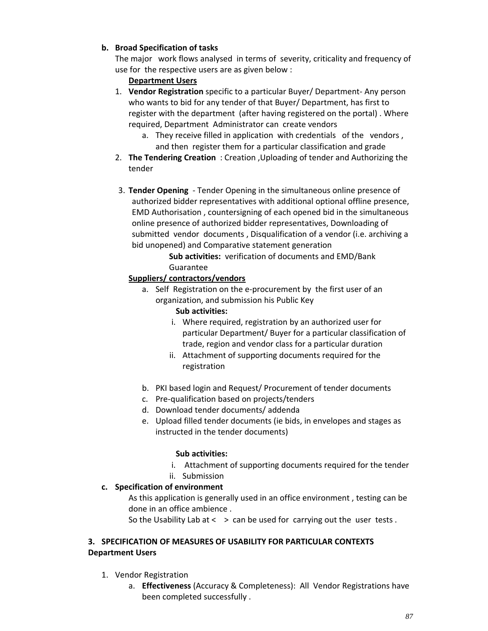# **b. Broad Specification of tasks**

The major work flows analysed in terms of severity, criticality and frequency of use for the respective users are as given below :

# **Department Users**

- 1. **Vendor Registration** specific to a particular Buyer/ Department‐ Any person who wants to bid for any tender of that Buyer/ Department, has first to register with the department (after having registered on the portal) . Where required, Department Administrator can create vendors
	- a. They receive filled in application with credentials of the vendors , and then register them for a particular classification and grade
- 2. **The Tendering Creation** : Creation ,Uploading of tender and Authorizing the tender
- 3. **Tender Opening** ‐ Tender Opening in the simultaneous online presence of authorized bidder representatives with additional optional offline presence, EMD Authorisation , countersigning of each opened bid in the simultaneous online presence of authorized bidder representatives, Downloading of submitted vendor documents , Disqualification of a vendor (i.e. archiving a bid unopened) and Comparative statement generation

**Sub activities:** verification of documents and EMD/Bank Guarantee

# **Suppliers/ contractors/vendors**

a. Self Registration on the e‐procurement by the first user of an organization, and submission his Public Key

## **Sub activities:**

- i. Where required, registration by an authorized user for particular Department/ Buyer for a particular classification of trade, region and vendor class for a particular duration
- ii. Attachment of supporting documents required for the registration
- b. PKI based login and Request/ Procurement of tender documents
- c. Pre‐qualification based on projects/tenders
- d. Download tender documents/ addenda
- e. Upload filled tender documents (ie bids, in envelopes and stages as instructed in the tender documents)

## **Sub activities:**

- i. Attachment of supporting documents required for the tender
- ii. Submission

## **c. Specification of environment**

As this application is generally used in an office environment , testing can be done in an office ambience .

So the Usability Lab at  $\langle \rangle$  and be used for carrying out the user tests.

#### **3. SPECIFICATION OF MEASURES OF USABILITY FOR PARTICULAR CONTEXTS Department Users**

- 1. Vendor Registration
	- a. **Effectiveness** (Accuracy & Completeness): All Vendor Registrations have been completed successfully .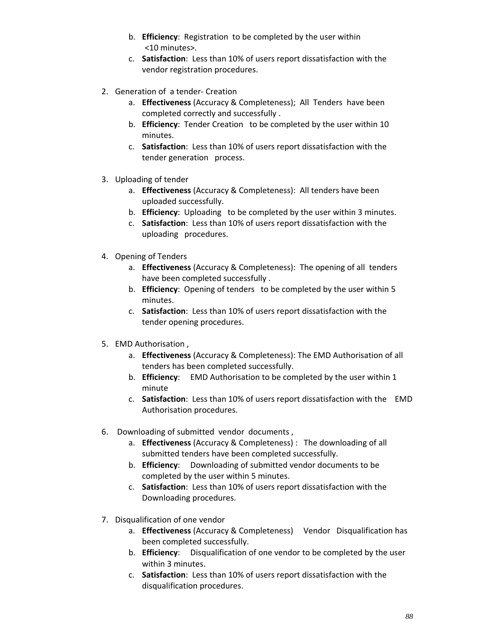- b. **Efficiency**: Registration to be completed by the user within <10 minutes>.
- c. **Satisfaction**: Less than 10% of users report dissatisfaction with the vendor registration procedures.
- 2. Generation of a tender‐ Creation
	- a. **Effectiveness** (Accuracy & Completeness); All Tenders have been completed correctly and successfully .
	- b. **Efficiency**: Tender Creation to be completed by the user within 10 minutes.
	- c. **Satisfaction**: Less than 10% of users report dissatisfaction with the tender generation process.
- 3. Uploading of tender
	- a. **Effectiveness** (Accuracy & Completeness): All tenders have been uploaded successfully.
	- b. **Efficiency**: Uploading to be completed by the user within 3 minutes.
	- c. **Satisfaction**: Less than 10% of users report dissatisfaction with the uploading procedures.
- 4. Opening of Tenders
	- a. **Effectiveness** (Accuracy & Completeness): The opening of all tenders have been completed successfully .
	- b. **Efficiency**: Opening of tenders to be completed by the user within 5 minutes.
	- c. **Satisfaction**: Less than 10% of users report dissatisfaction with the tender opening procedures.
- 5. EMD Authorisation ,
	- a. **Effectiveness** (Accuracy & Completeness): The EMD Authorisation of all tenders has been completed successfully.
	- b. **Efficiency**: EMD Authorisation to be completed by the user within 1 minute
	- c. **Satisfaction**: Less than 10% of users report dissatisfaction with the EMD Authorisation procedures.
- 6. Downloading of submitted vendor documents ,
	- a. **Effectiveness** (Accuracy & Completeness) : The downloading of all submitted tenders have been completed successfully.
	- b. **Efficiency**: Downloading of submitted vendor documents to be completed by the user within 5 minutes.
	- c. **Satisfaction**: Less than 10% of users report dissatisfaction with the Downloading procedures.
- 7. Disqualification of one vendor
	- a. **Effectiveness** (Accuracy & Completeness) Vendor Disqualification has been completed successfully.
	- b. **Efficiency**: Disqualification of one vendor to be completed by the user within 3 minutes.
	- c. **Satisfaction**: Less than 10% of users report dissatisfaction with the disqualification procedures.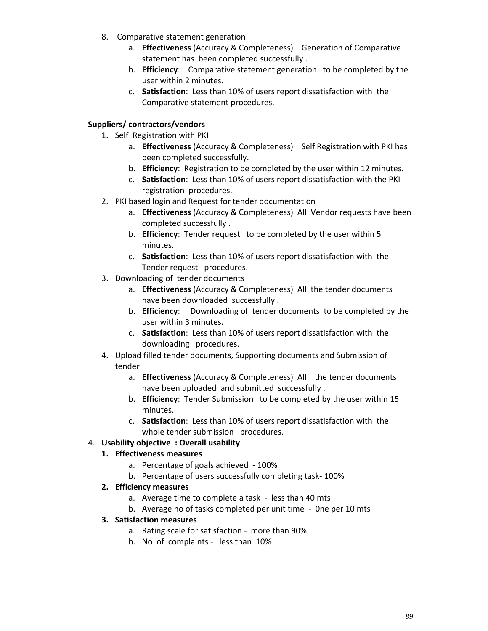- 8. Comparative statement generation
	- a. **Effectiveness** (Accuracy & Completeness) Generation of Comparative statement has been completed successfully .
	- b. **Efficiency**: Comparative statement generation to be completed by the user within 2 minutes.
	- c. **Satisfaction**: Less than 10% of users report dissatisfaction with the Comparative statement procedures.

## **Suppliers/ contractors/vendors**

- 1. Self Registration with PKI
	- a. **Effectiveness** (Accuracy & Completeness) Self Registration with PKI has been completed successfully.
	- b. **Efficiency**: Registration to be completed by the user within 12 minutes.
	- c. **Satisfaction**: Less than 10% of users report dissatisfaction with the PKI registration procedures.
- 2. PKI based login and Request for tender documentation
	- a. **Effectiveness** (Accuracy & Completeness) All Vendor requests have been completed successfully .
	- b. **Efficiency**: Tender request to be completed by the user within 5 minutes.
	- c. **Satisfaction**: Less than 10% of users report dissatisfaction with the Tender request procedures.
- 3. Downloading of tender documents
	- a. **Effectiveness** (Accuracy & Completeness) All the tender documents have been downloaded successfully .
	- b. **Efficiency**: Downloading of tender documents to be completed by the user within 3 minutes.
	- c. **Satisfaction**: Less than 10% of users report dissatisfaction with the downloading procedures.
- 4. Upload filled tender documents, Supporting documents and Submission of tender
	- a. **Effectiveness** (Accuracy & Completeness) All the tender documents have been uploaded and submitted successfully .
	- b. **Efficiency**: Tender Submission to be completed by the user within 15 minutes.
	- c. **Satisfaction**: Less than 10% of users report dissatisfaction with the whole tender submission procedures.

## 4. **Usability objective : Overall usability**

## **1. Effectiveness measures**

- a. Percentage of goals achieved ‐ 100%
- b. Percentage of users successfully completing task‐ 100%
- **2. Efficiency measures**
	- a. Average time to complete a task ‐ less than 40 mts
	- b. Average no of tasks completed per unit time ‐ 0ne per 10 mts
- **3. Satisfaction measures** 
	- a. Rating scale for satisfaction ‐ more than 90%
	- b. No of complaints less than 10%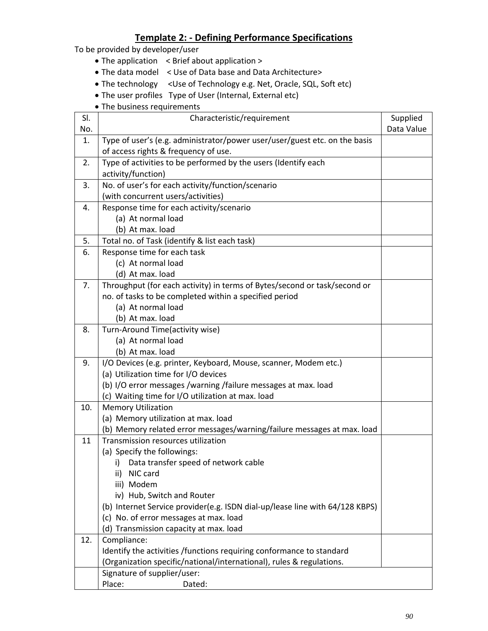# **Template 2: ‐ Defining Performance Specifications**

To be provided by developer/user

- The application < Brief about application >
- The data model < Use of Data base and Data Architecture>
- The technology < Use of Technology e.g. Net, Oracle, SQL, Soft etc)
- The user profiles Type of User (Internal, External etc)
- The business requirements

| SI. | Characteristic/requirement                                                   | Supplied   |
|-----|------------------------------------------------------------------------------|------------|
| No. |                                                                              | Data Value |
| 1.  | Type of user's (e.g. administrator/power user/user/guest etc. on the basis   |            |
|     | of access rights & frequency of use.                                         |            |
| 2.  | Type of activities to be performed by the users (Identify each               |            |
|     | activity/function)                                                           |            |
| 3.  | No. of user's for each activity/function/scenario                            |            |
|     | (with concurrent users/activities)                                           |            |
| 4.  | Response time for each activity/scenario                                     |            |
|     | (a) At normal load                                                           |            |
|     | (b) At max. load                                                             |            |
| 5.  | Total no. of Task (identify & list each task)                                |            |
| 6.  | Response time for each task                                                  |            |
|     | (c) At normal load                                                           |            |
|     | (d) At max. load                                                             |            |
| 7.  | Throughput (for each activity) in terms of Bytes/second or task/second or    |            |
|     | no. of tasks to be completed within a specified period                       |            |
|     | (a) At normal load                                                           |            |
|     | (b) At max. load                                                             |            |
| 8.  | Turn-Around Time(activity wise)                                              |            |
|     | (a) At normal load                                                           |            |
|     | (b) At max. load                                                             |            |
| 9.  | I/O Devices (e.g. printer, Keyboard, Mouse, scanner, Modem etc.)             |            |
|     | (a) Utilization time for I/O devices                                         |            |
|     | (b) I/O error messages /warning /failure messages at max. load               |            |
|     | (c) Waiting time for I/O utilization at max. load                            |            |
| 10. | <b>Memory Utilization</b>                                                    |            |
|     | (a) Memory utilization at max. load                                          |            |
|     | (b) Memory related error messages/warning/failure messages at max. load      |            |
| 11  | Transmission resources utilization                                           |            |
|     | (a) Specify the followings:                                                  |            |
|     | Data transfer speed of network cable<br>i)                                   |            |
|     | ii) NIC card                                                                 |            |
|     | iii) Modem                                                                   |            |
|     | iv) Hub, Switch and Router                                                   |            |
|     | (b) Internet Service provider(e.g. ISDN dial-up/lease line with 64/128 KBPS) |            |
|     | (c) No. of error messages at max. load                                       |            |
|     | (d) Transmission capacity at max. load                                       |            |
| 12. | Compliance:                                                                  |            |
|     | Identify the activities /functions requiring conformance to standard         |            |
|     | (Organization specific/national/international), rules & regulations.         |            |
|     | Signature of supplier/user:                                                  |            |
|     | Place:<br>Dated:                                                             |            |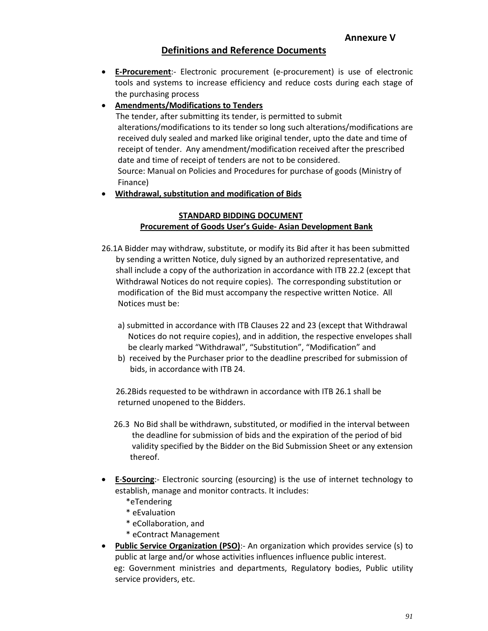# **Definitions and Reference Documents**

 **E‐Procurement**:‐ Electronic procurement (e‐procurement) is use of electronic tools and systems to increase efficiency and reduce costs during each stage of the purchasing process

# **Amendments/Modifications to Tenders**

 The tender, after submitting its tender, is permitted to submit alterations/modifications to its tender so long such alterations/modifications are received duly sealed and marked like original tender, upto the date and time of receipt of tender. Any amendment/modification received after the prescribed date and time of receipt of tenders are not to be considered. Source: Manual on Policies and Procedures for purchase of goods (Ministry of Finance)

## **Withdrawal, substitution and modification of Bids**

#### **STANDARD BIDDING DOCUMENT Procurement of Goods User's Guide‐ Asian Development Bank**

- 26.1A Bidder may withdraw, substitute, or modify its Bid after it has been submitted by sending a written Notice, duly signed by an authorized representative, and shall include a copy of the authorization in accordance with ITB 22.2 (except that Withdrawal Notices do not require copies). The corresponding substitution or modification of the Bid must accompany the respective written Notice. All Notices must be:
	- a) submitted in accordance with ITB Clauses 22 and 23 (except that Withdrawal Notices do not require copies), and in addition, the respective envelopes shall be clearly marked "Withdrawal", "Substitution", "Modification" and
	- b) received by the Purchaser prior to the deadline prescribed for submission of bids, in accordance with ITB 24.

 26.2Bids requested to be withdrawn in accordance with ITB 26.1 shall be returned unopened to the Bidders.

- 26.3 No Bid shall be withdrawn, substituted, or modified in the interval between the deadline for submission of bids and the expiration of the period of bid validity specified by the Bidder on the Bid Submission Sheet or any extension thereof.
- **E-Sourcing**: Electronic sourcing (esourcing) is the use of internet technology to establish, manage and monitor contracts. It includes:
	- \*eTendering
	- \* eEvaluation
	- \* eCollaboration, and
	- \* eContract Management
- **Public Service Organization (PSO)**:‐ An organization which provides service (s) to public at large and/or whose activities influences influence public interest. eg: Government ministries and departments, Regulatory bodies, Public utility service providers, etc.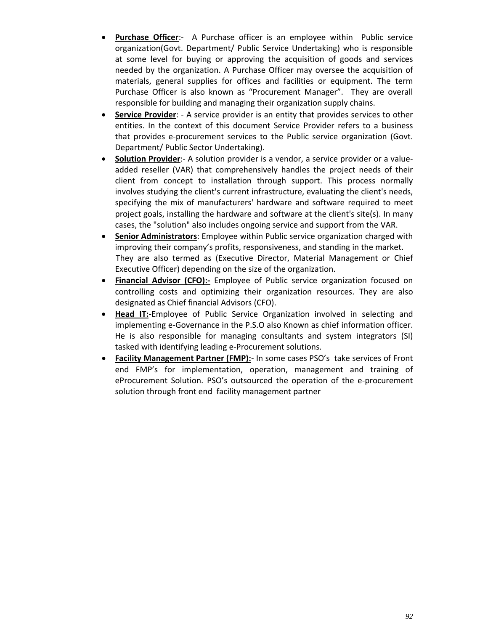- **Purchase Officer:** A Purchase officer is an employee within Public service organization(Govt. Department/ Public Service Undertaking) who is responsible at some level for buying or approving the acquisition of goods and services needed by the organization. A Purchase Officer may oversee the acquisition of materials, general supplies for offices and facilities or equipment. The term Purchase Officer is also known as "Procurement Manager". They are overall responsible for building and managing their organization supply chains.
- **Service Provider**: ‐ A service provider is an entity that provides services to other entities. In the context of this document Service Provider refers to a business that provides e‐procurement services to the Public service organization (Govt. Department/ Public Sector Undertaking).
- **Solution Provider**:‐ A solution provider is a vendor, a service provider or a value‐ added reseller (VAR) that comprehensively handles the project needs of their client from concept to installation through support. This process normally involves studying the client's current infrastructure, evaluating the client's needs, specifying the mix of manufacturers' hardware and software required to meet project goals, installing the hardware and software at the client's site(s). In many cases, the "solution" also includes ongoing service and support from the VAR.
- **Senior Administrators**: Employee within Public service organization charged with improving their company's profits, responsiveness, and standing in the market. They are also termed as (Executive Director, Material Management or Chief Executive Officer) depending on the size of the organization.
- **Financial Advisor (CFO):‐** Employee of Public service organization focused on controlling costs and optimizing their organization resources. They are also designated as Chief financial Advisors (CFO).
- **Head IT:**‐Employee of Public Service Organization involved in selecting and implementing e‐Governance in the P.S.O also Known as chief information officer. He is also responsible for managing consultants and system integrators (SI) tasked with identifying leading e‐Procurement solutions.
- **Facility Management Partner (FMP):**‐ In some cases PSO's take services of Front end FMP's for implementation, operation, management and training of eProcurement Solution. PSO's outsourced the operation of the e‐procurement solution through front end facility management partner